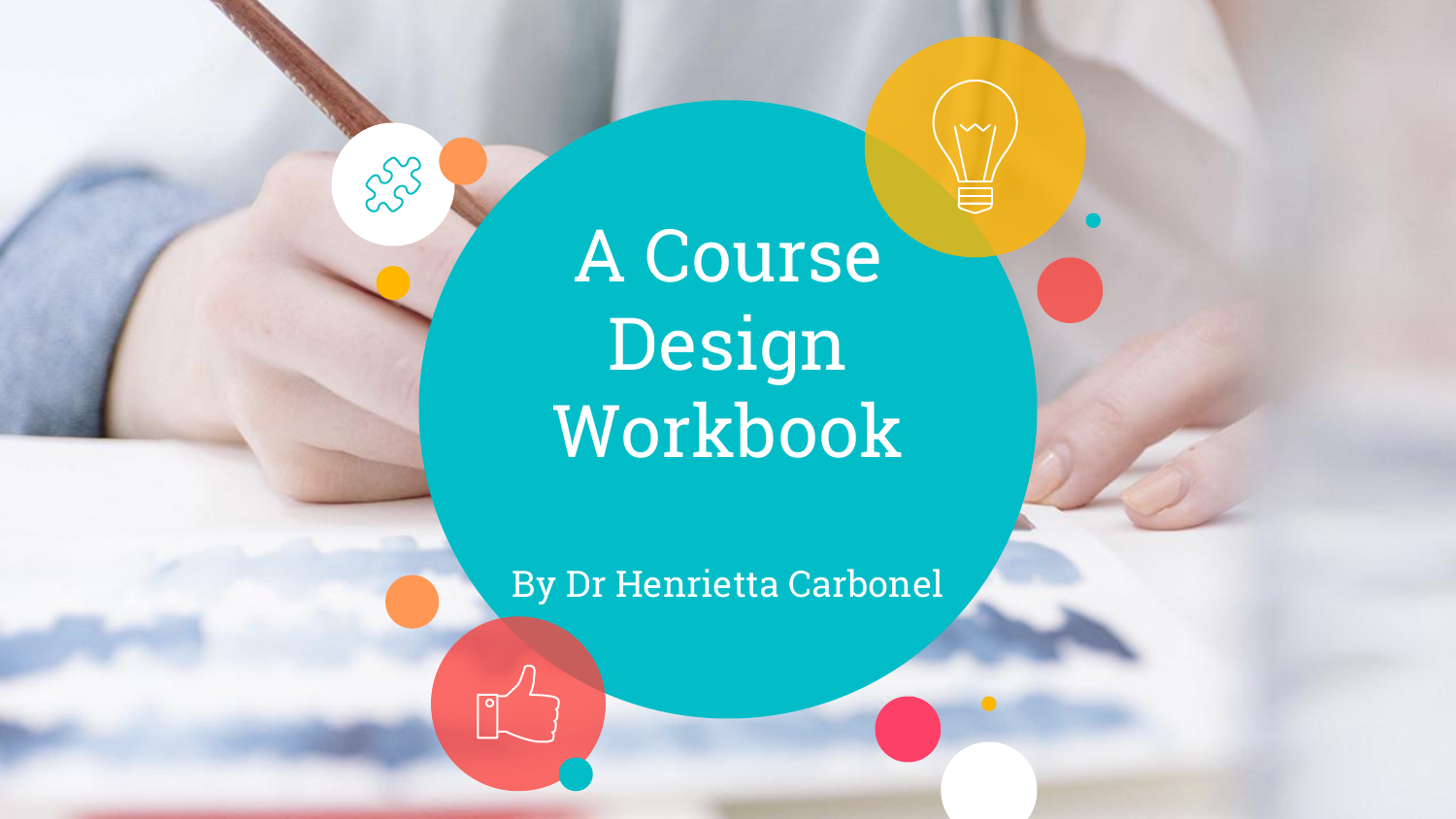A Course Design Workbook

558

By Dr Henrietta Carbonel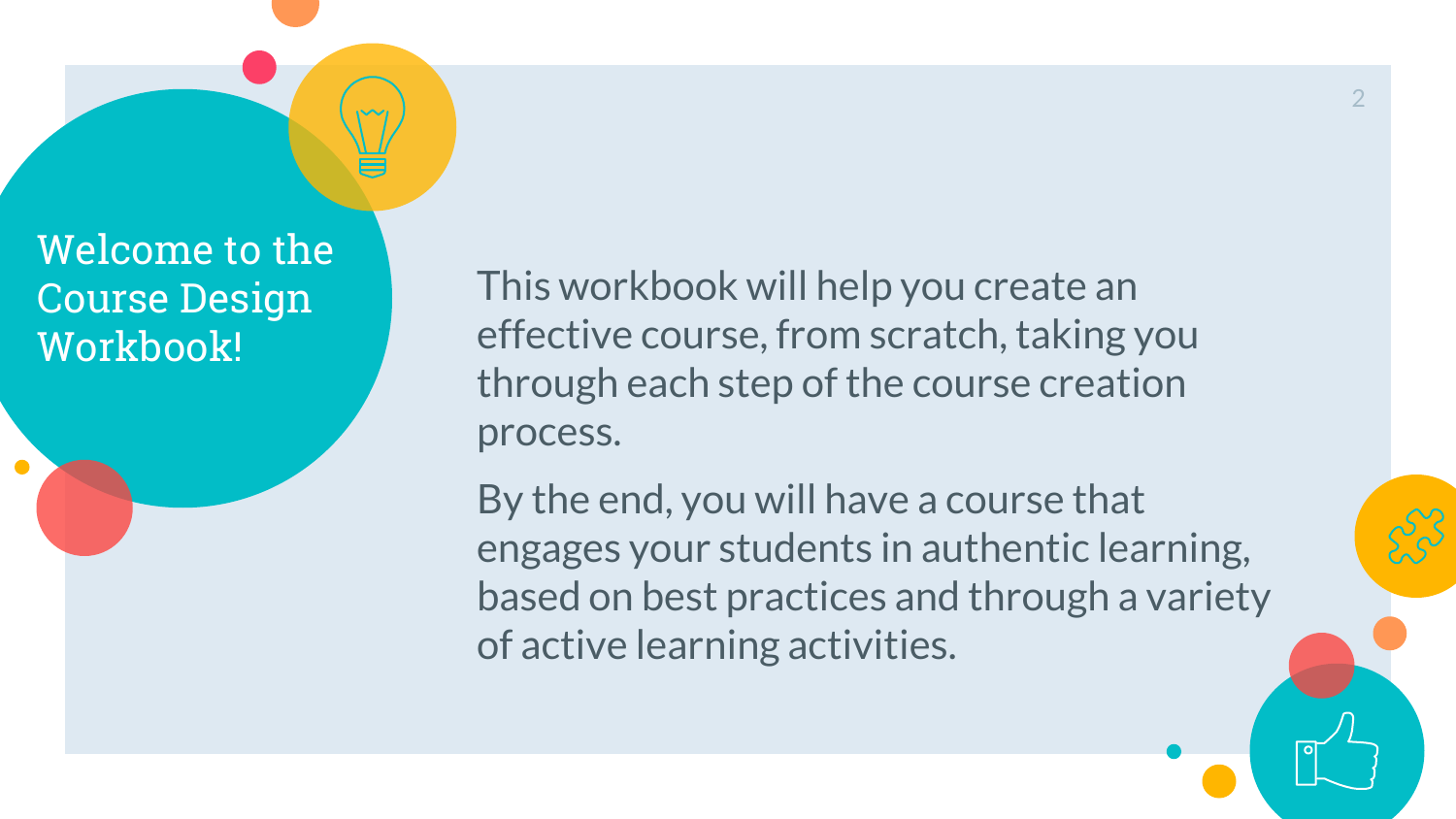Welcome to the Course Design Workbook!

This workbook will help you create an effective course, from scratch, taking you through each step of the course creation process.

By the end, you will have a course that engages your students in authentic learning, based on best practices and through a variety of active learning activities.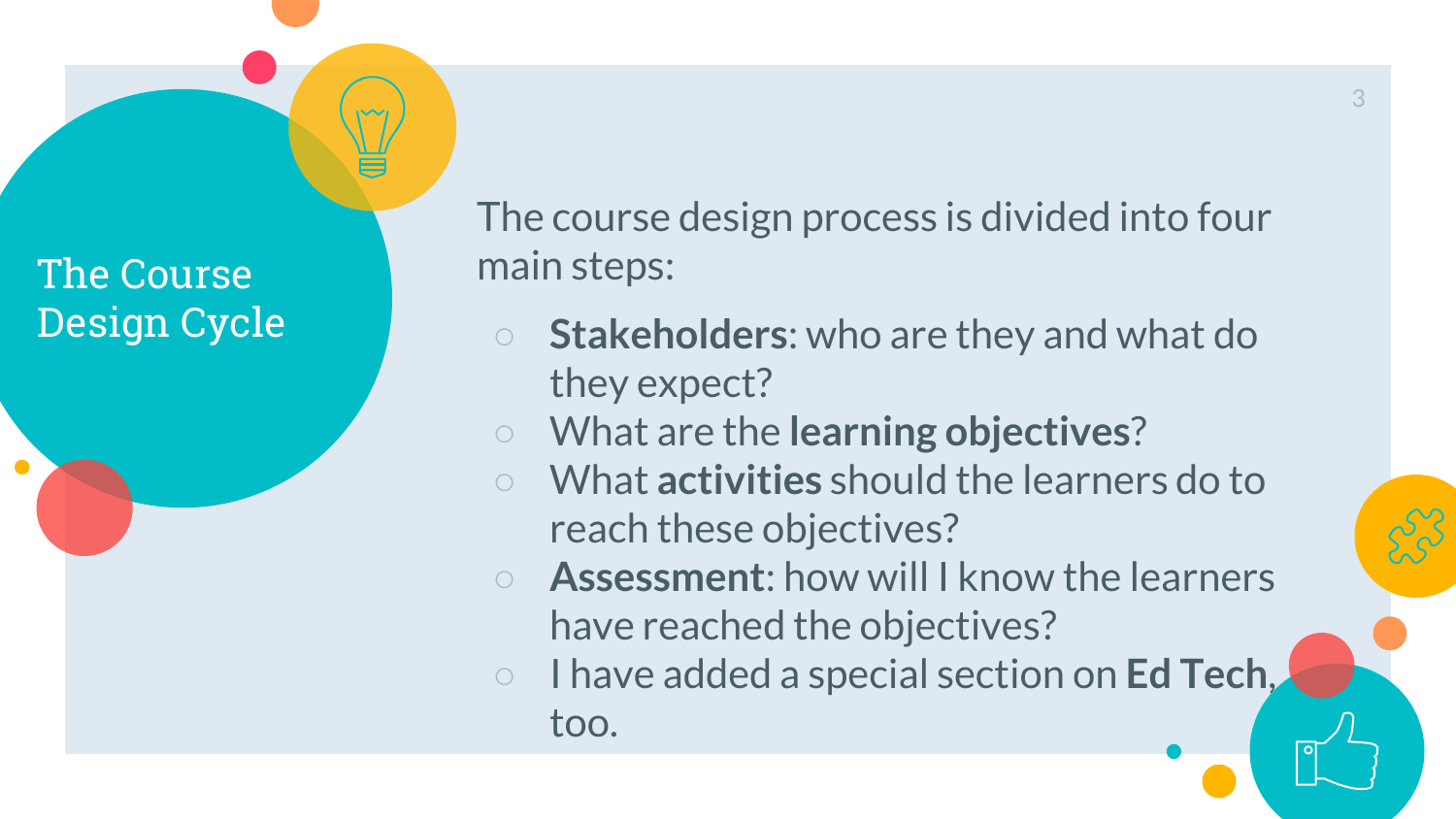The Course Design Cycle The course design process is divided into four main steps:

- **Stakeholders**: who are they and what do they expect?
- What are the **learning objectives**?
- What **activities** should the learners do to reach these objectives?
- **Assessment**: how will I know the learners have reached the objectives?
- I have added a special section on **Ed Tech**, too.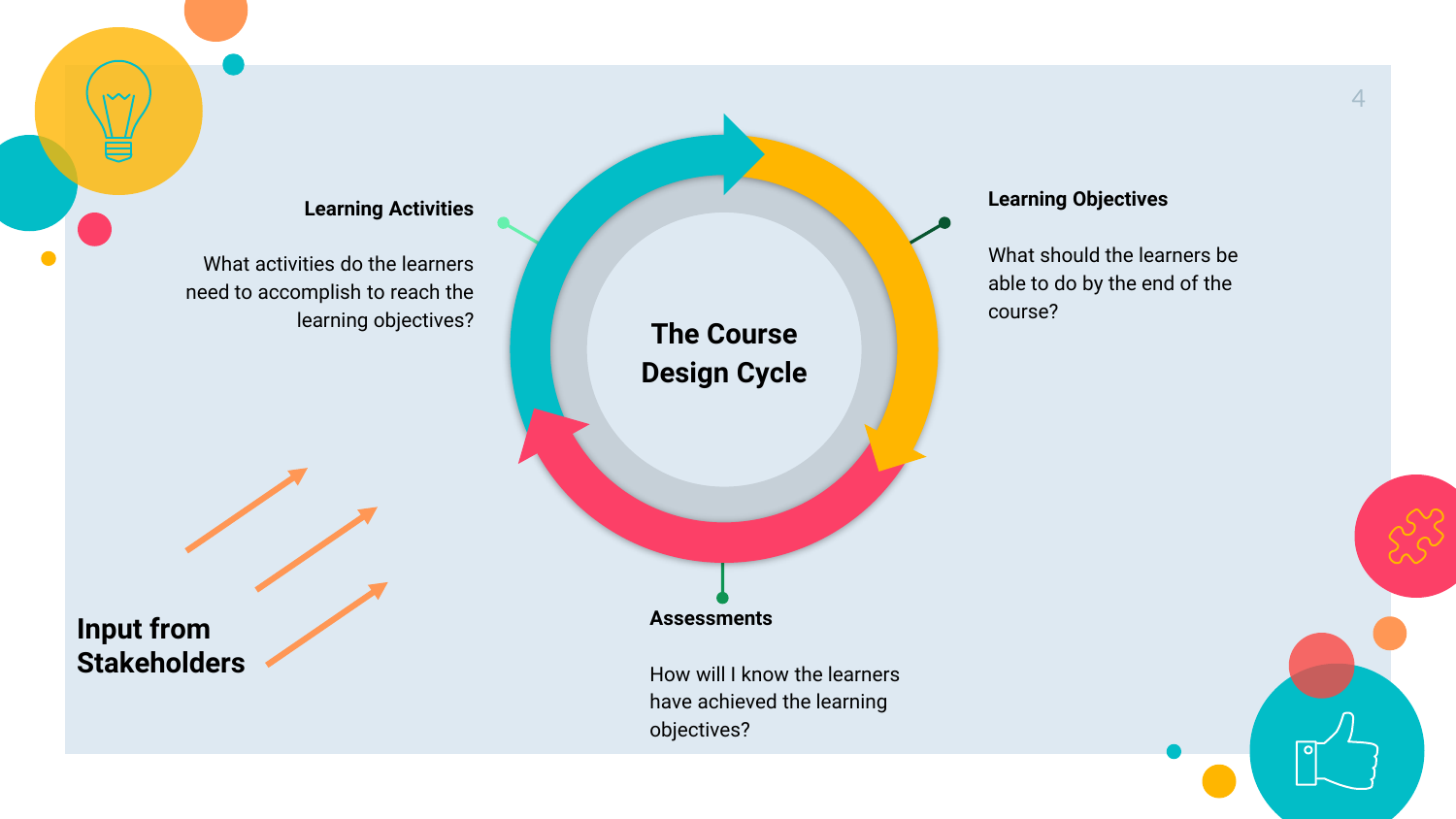What activities do the learners need to accomplish to reach the

**Input from Stakeholders** learning objectives? **The Course Design Cycle**

**Assessments**

How will I know the learners have achieved the learning objectives?

#### **Learning Objectives**

What should the learners be able to do by the end of the course?

4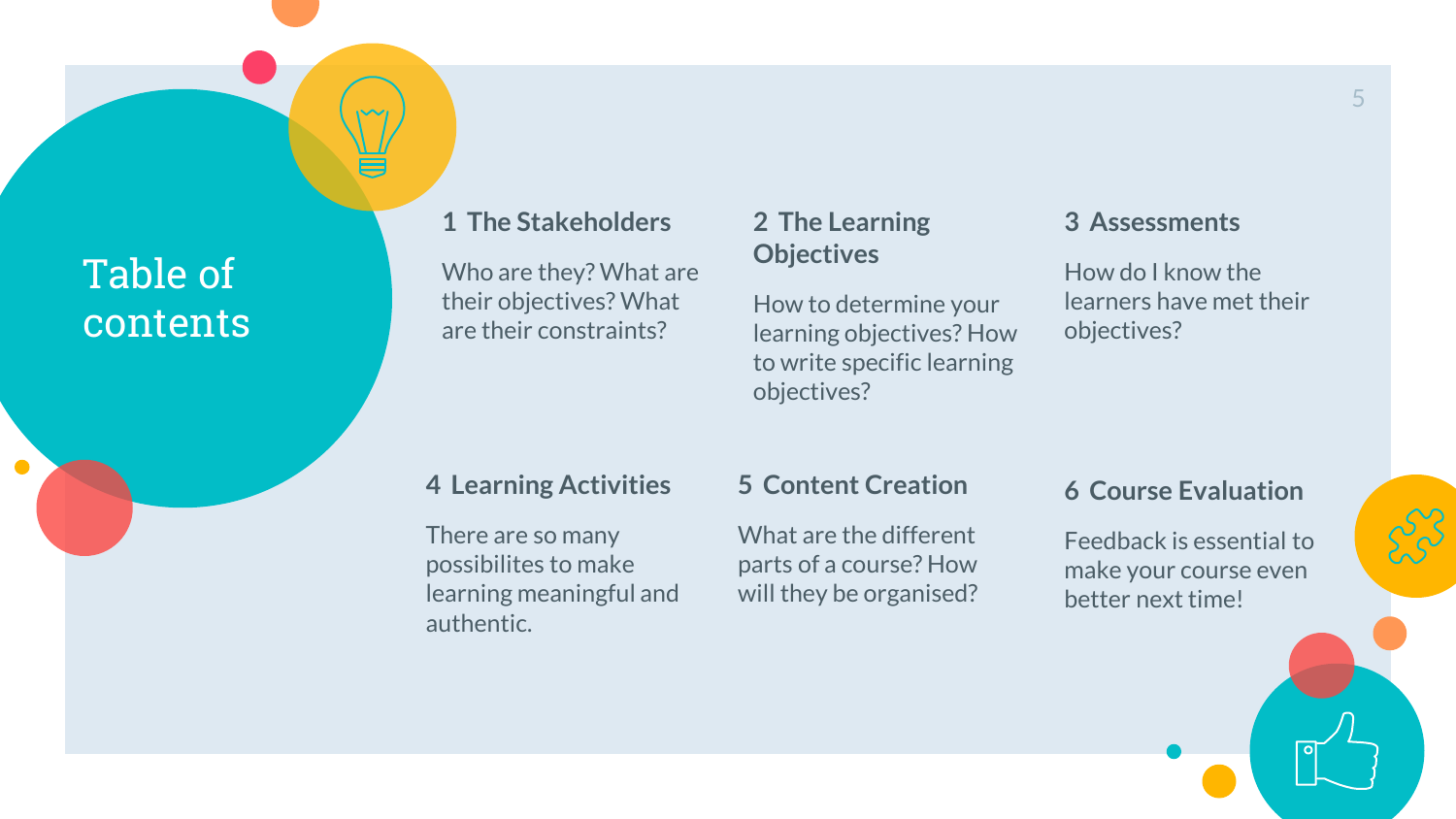## Table of contents

 $\bullet$ 

#### **1 The Stakeholders**

Who are they? What are their objectives? What are their constraints?

#### **2 The Learning Objectives**

How to determine your learning objectives? How to write specific learning objectives?

#### **3 Assessments**

How do I know the learners have met their objectives?

#### **4 Learning Activities**

There are so many possibilites to make learning meaningful and authentic.

#### **5 Content Creation**

What are the different parts of a course? How will they be organised?

#### **6 Course Evaluation**

Feedback is essential to make your course even better next time!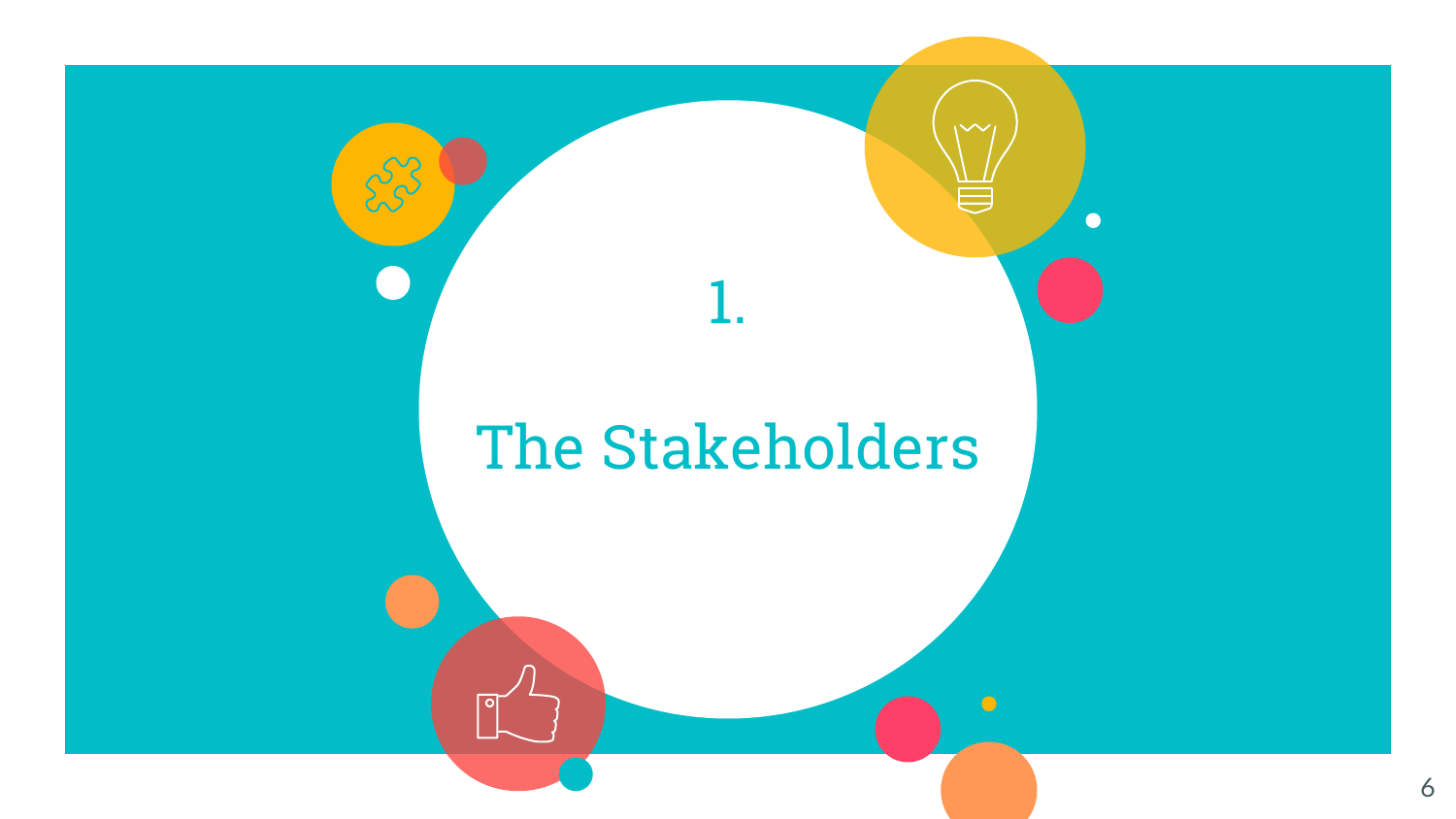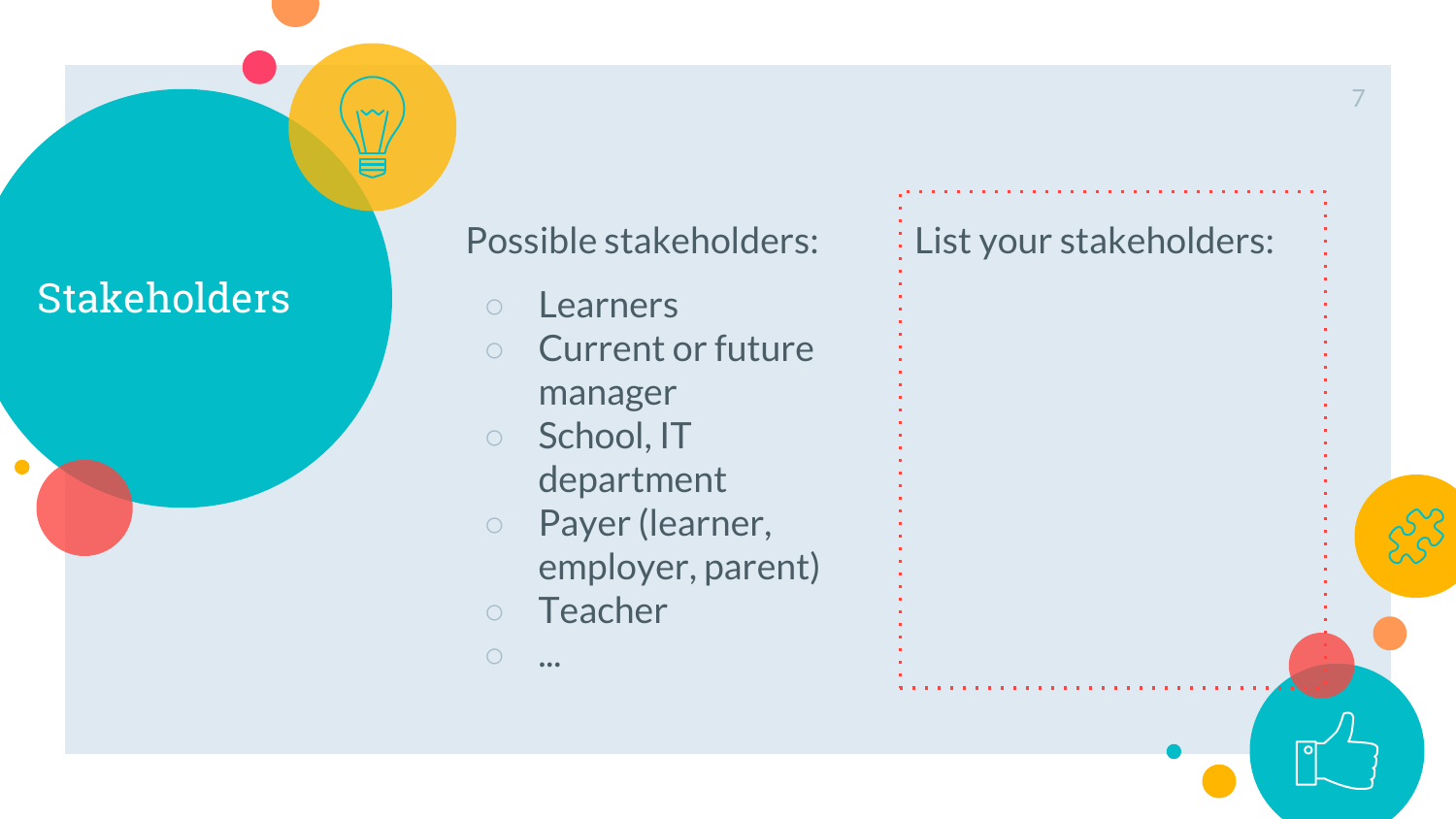## Stakeholders

 $\bullet$ 

| Possible stakeholders:   | : List your stakeholders: |
|--------------------------|---------------------------|
| Learners                 |                           |
| <b>Current or future</b> |                           |
| manager                  |                           |
| School, IT               |                           |
| department               |                           |
| Payer (learner,          |                           |
| employer, parent)        |                           |
| Teacher                  |                           |
|                          |                           |
|                          |                           |

 $\circ$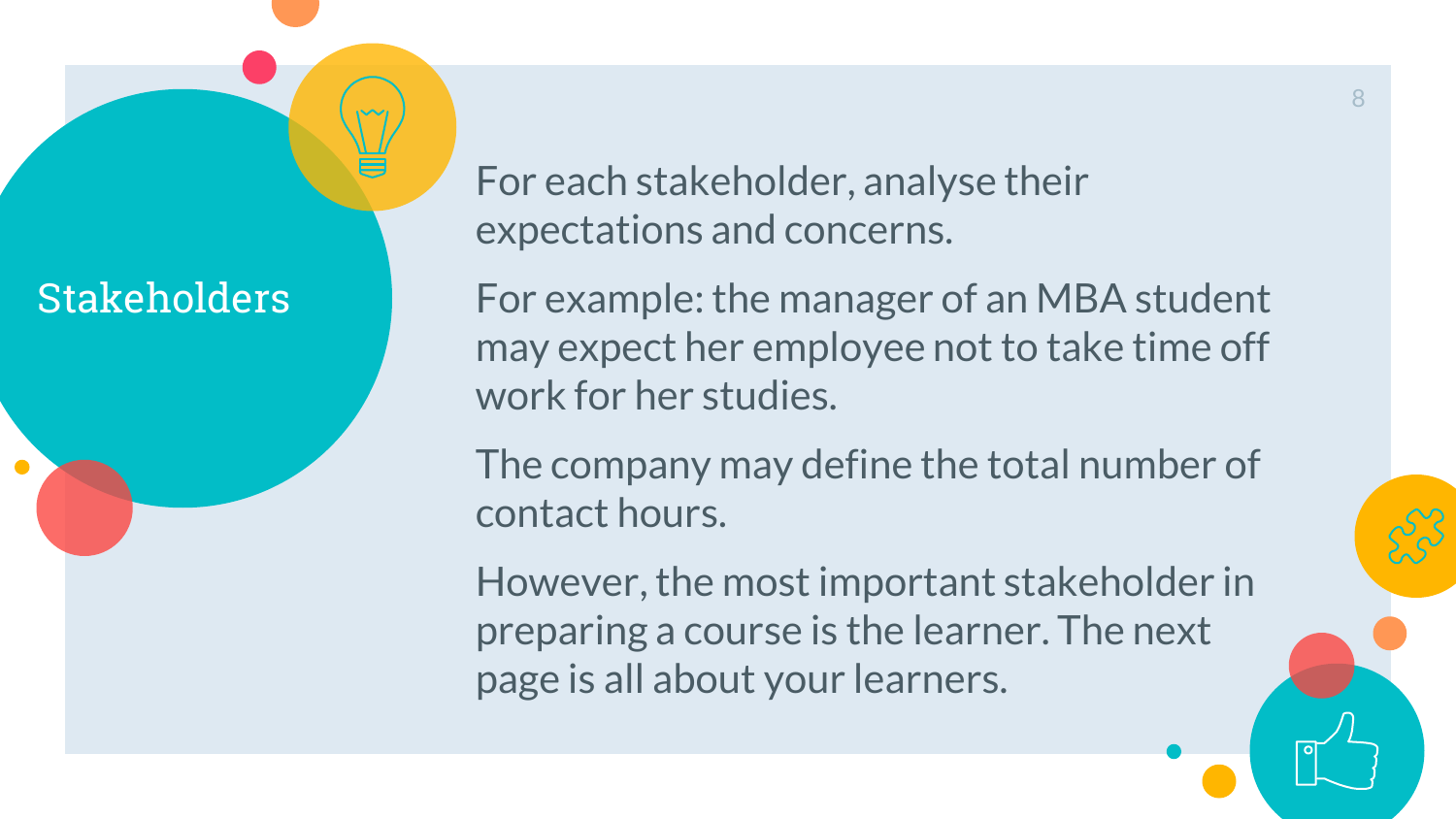## Stakeholders

For each stakeholder, analyse their expectations and concerns.

For example: the manager of an MBA student may expect her employee not to take time off work for her studies.

The company may define the total number of contact hours.

However, the most important stakeholder in preparing a course is the learner. The next page is all about your learners.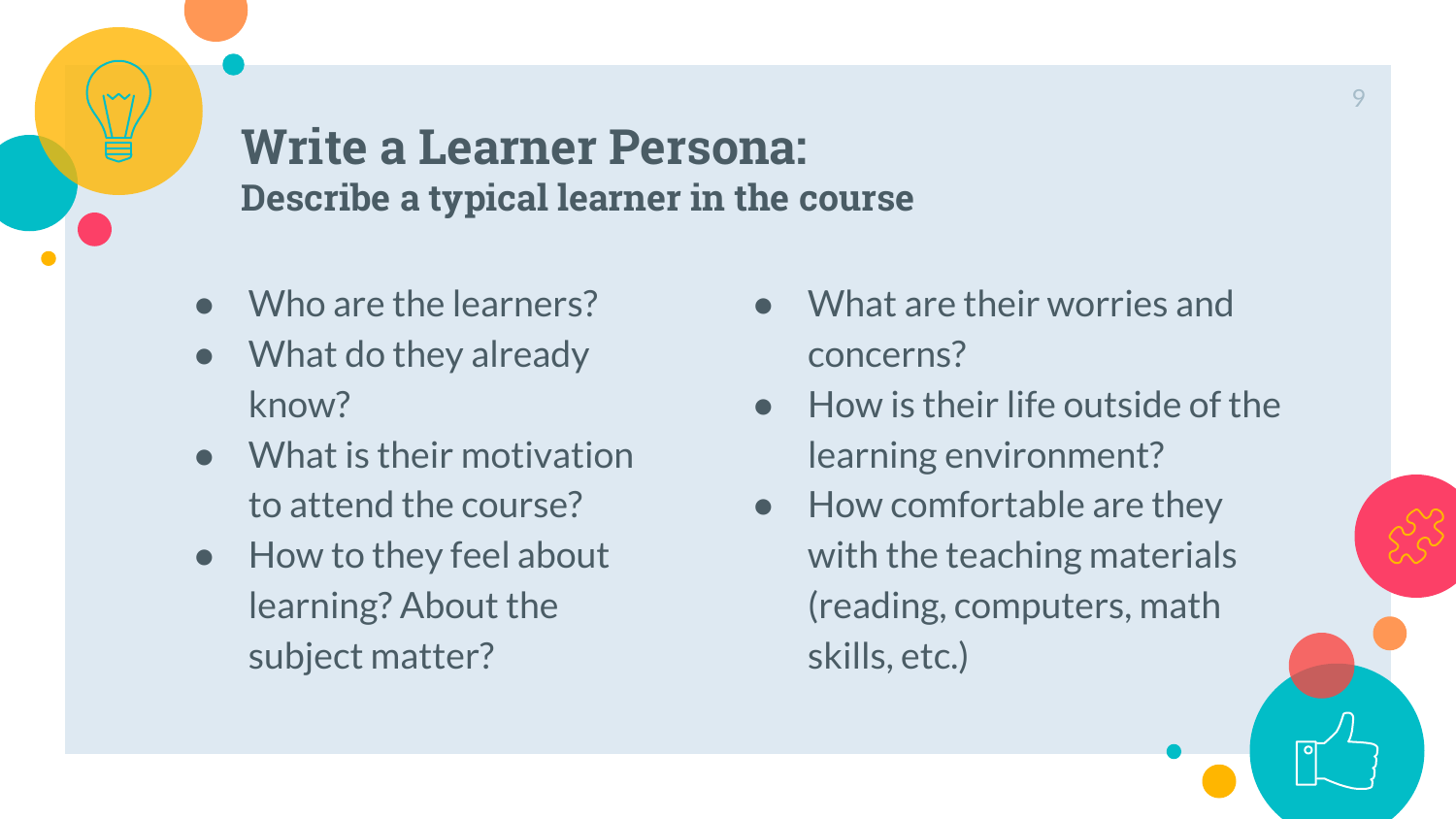**Write a Learner Persona: Describe a typical learner in the course**

- Who are the learners?
- What do they already know?
- What is their motivation to attend the course?
- How to they feel about learning? About the subject matter?
- What are their worries and concerns?
- $\bullet$  How is their life outside of the learning environment?
- How comfortable are they with the teaching materials (reading, computers, math skills, etc.)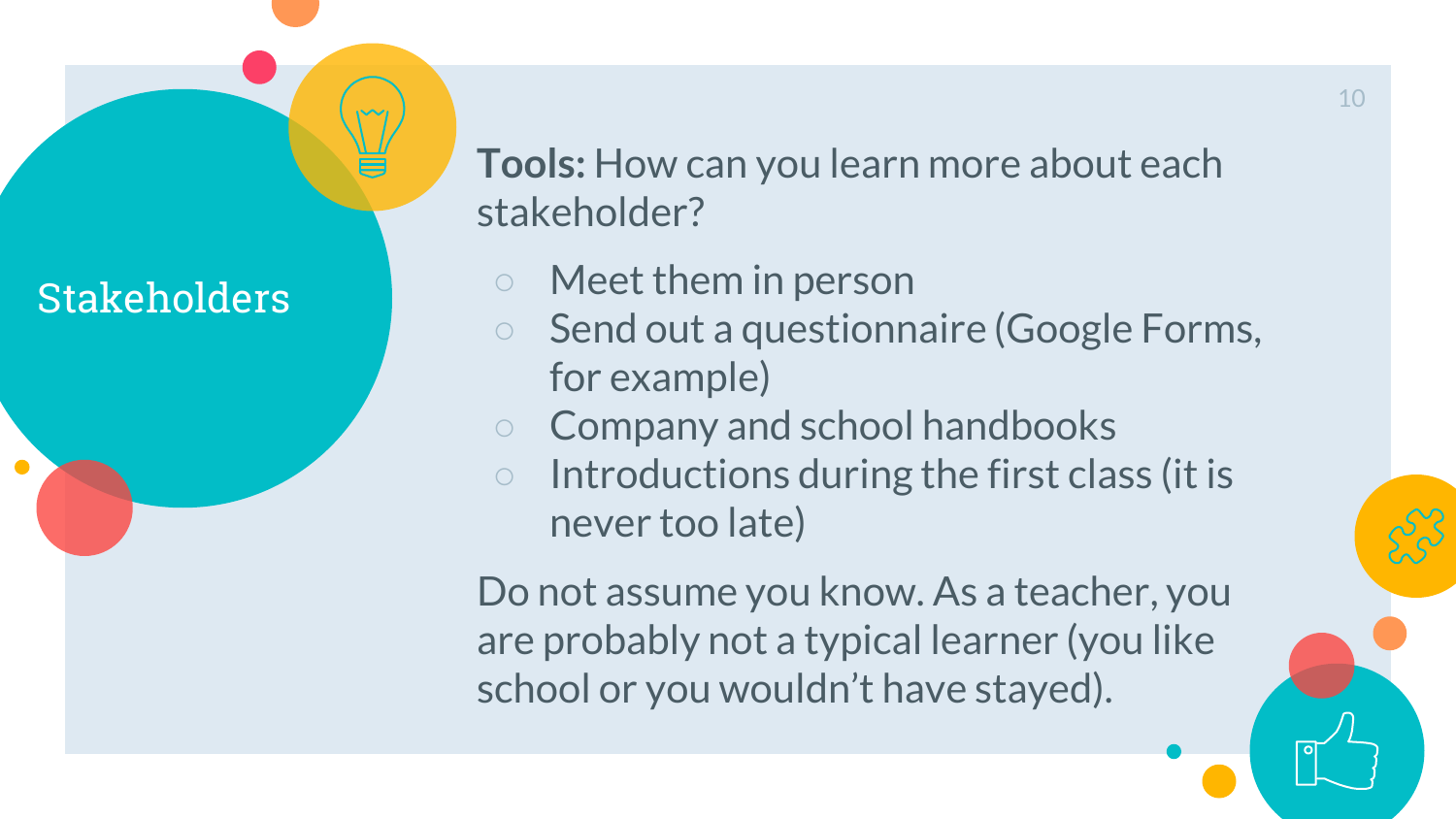## Stakeholders

**Tools:** How can you learn more about each stakeholder?

- Meet them in person
- Send out a questionnaire (Google Forms, for example)
- Company and school handbooks
- Introductions during the first class (it is never too late)

Do not assume you know. As a teacher, you are probably not a typical learner (you like school or you wouldn't have stayed).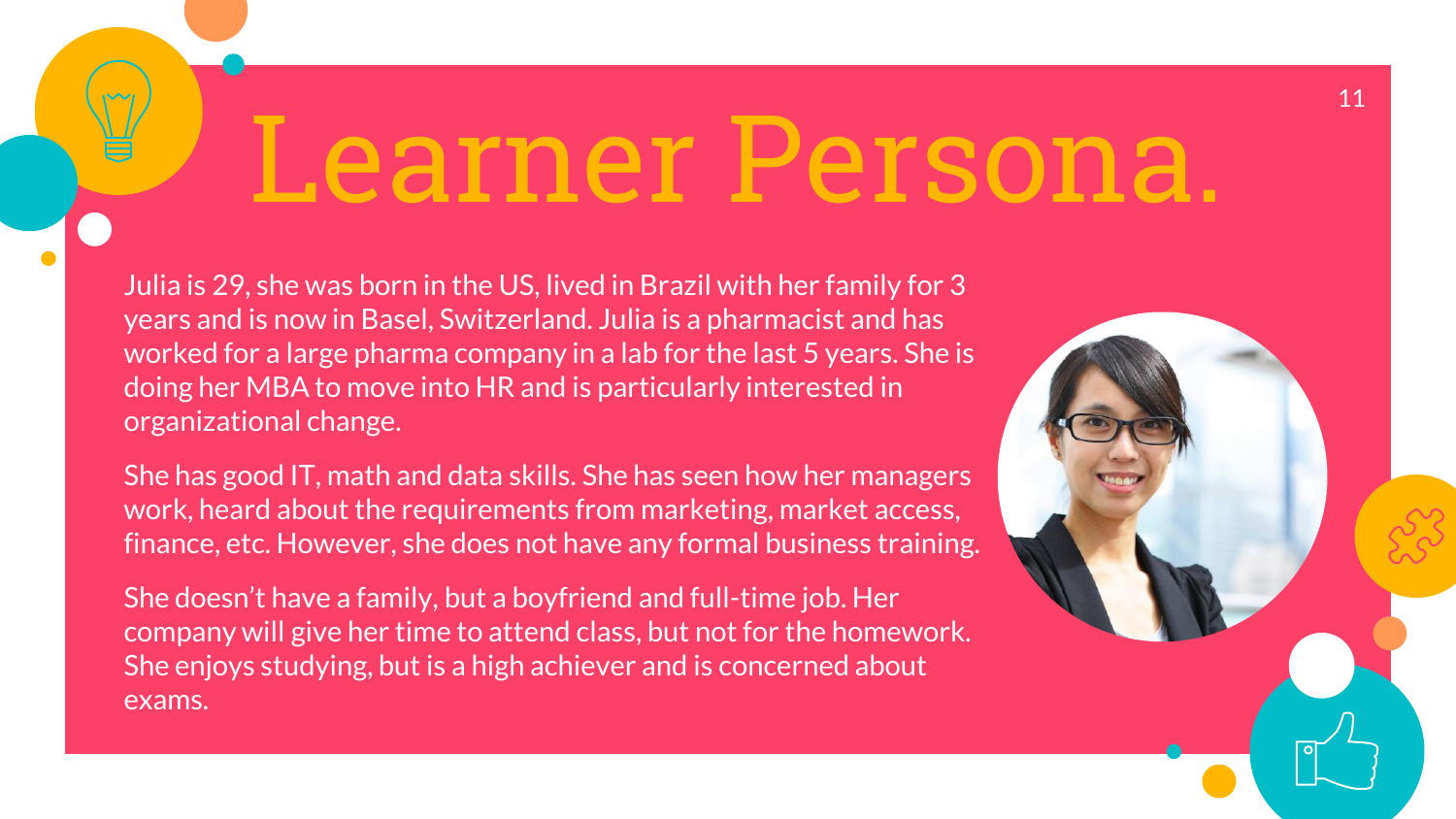# Learner Persona.

Julia is 29, she was born in the US, lived in Brazil with her family for 3 years and is now in Basel, Switzerland. Julia is a pharmacist and has worked for a large pharma company in a lab for the last 5 years. She is doing her MBA to move into HR and is particularly interested in organizational change.

She has good IT, math and data skills. She has seen how her managers work, heard about the requirements from marketing, market access, finance, etc. However, she does not have any formal business training.

She doesn't have a family, but a boyfriend and full-time job. Her company will give her time to attend class, but not for the homework. She enjoys studying, but is a high achiever and is concerned about exams.

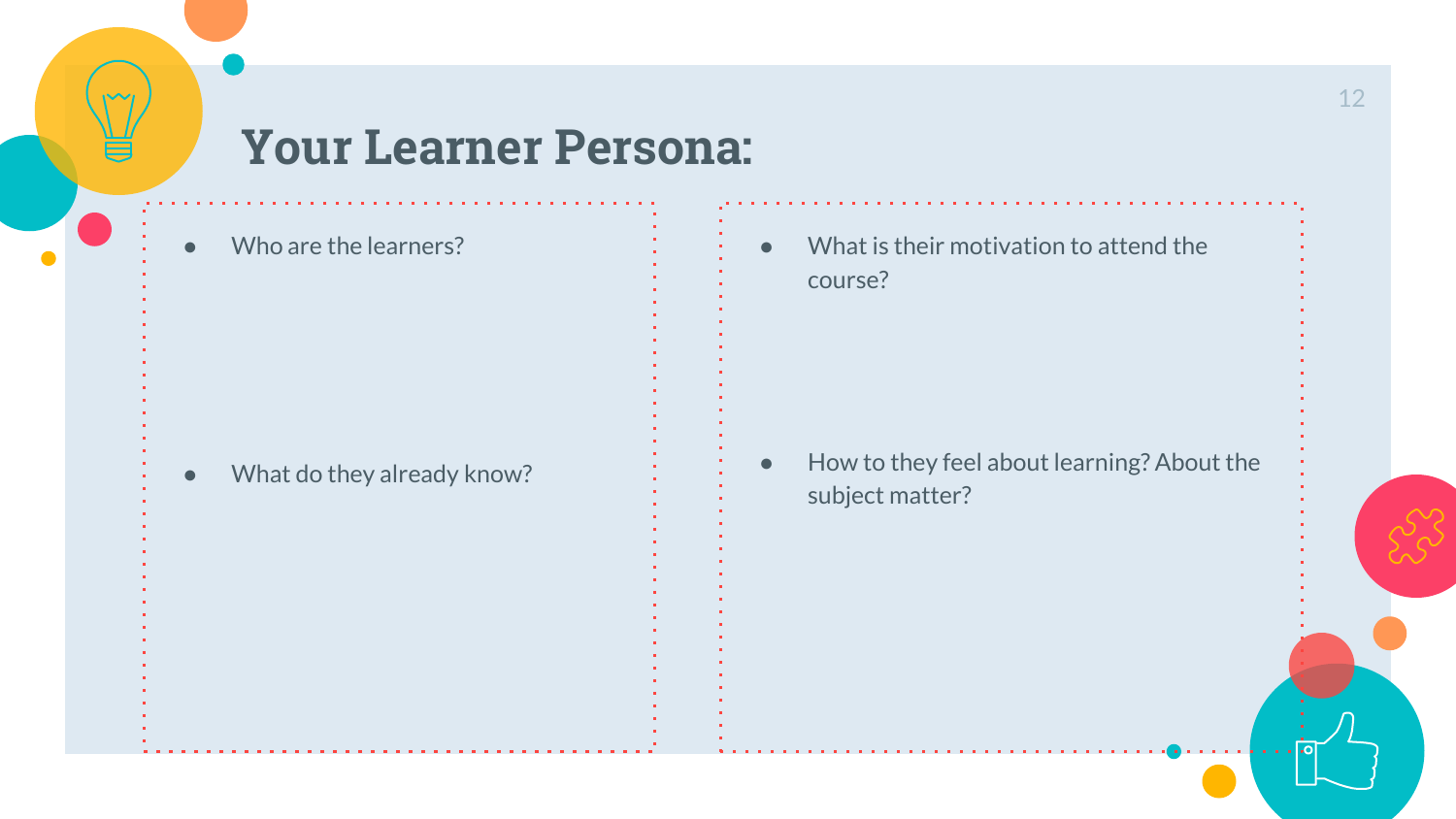## **Your Learner Persona:**

Who are the learners?

- 
- 
- 
- 
- 
- 
- - - What do they already know?

● What is their motivation to attend the course?

● How to they feel about learning? About the subject matter?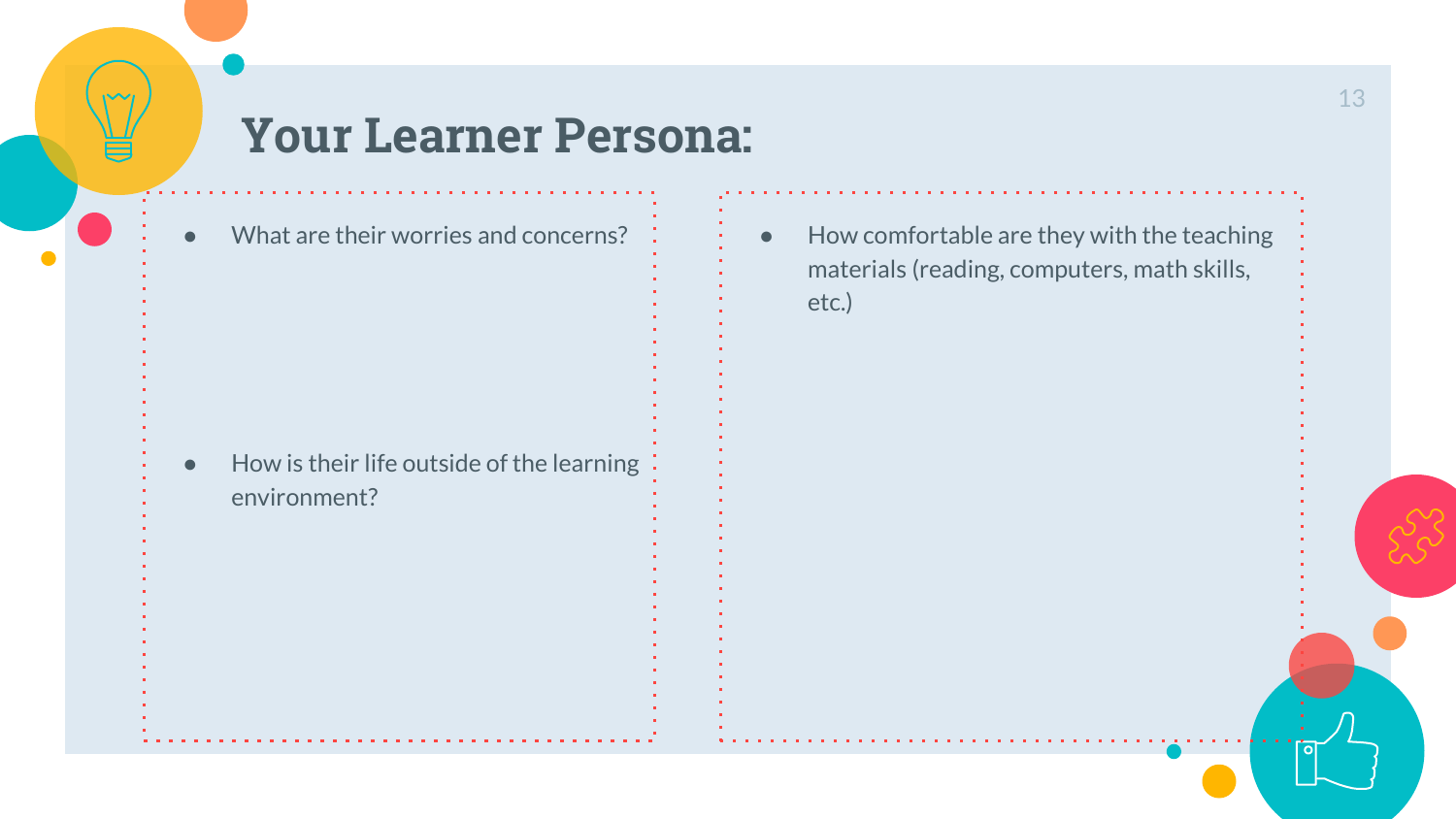## **Your Learner Persona:**

| What are their worries and concerns?                      |  |
|-----------------------------------------------------------|--|
| How is their life outside of the learning<br>environment? |  |

● How comfortable are they with the teaching materials (reading, computers, math skills, etc.)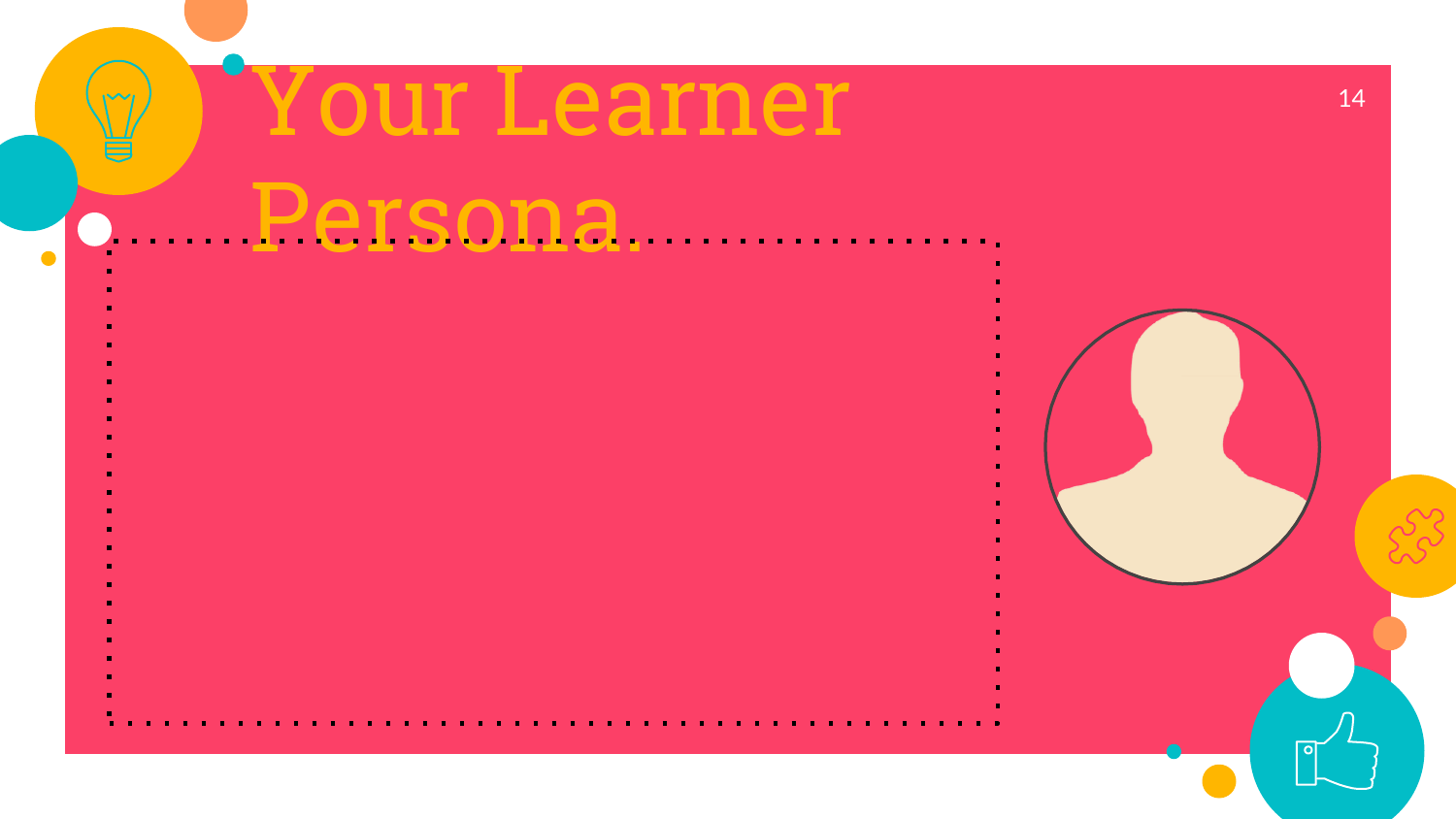# Your Learner

- 
- 
- 
- 
- 
- 
- 
- 
- 
- 
- -
- **Persona.** 
	- - -
			-
		- -
			- -

14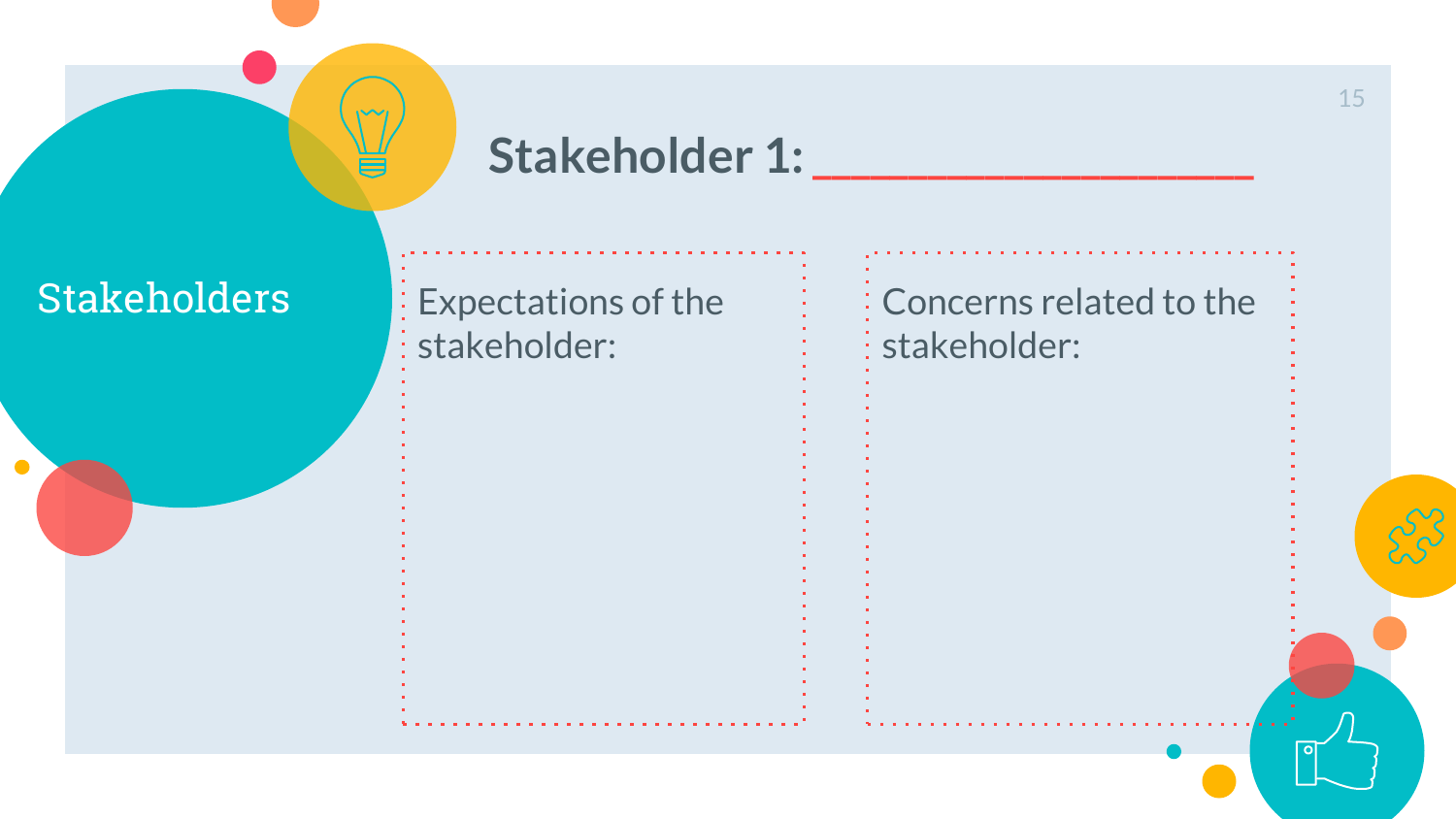

## Stakeholder 1:

 $\bullet$ 

Stakeholders Expectations of the stakeholder:

Concerns related to the stakeholder: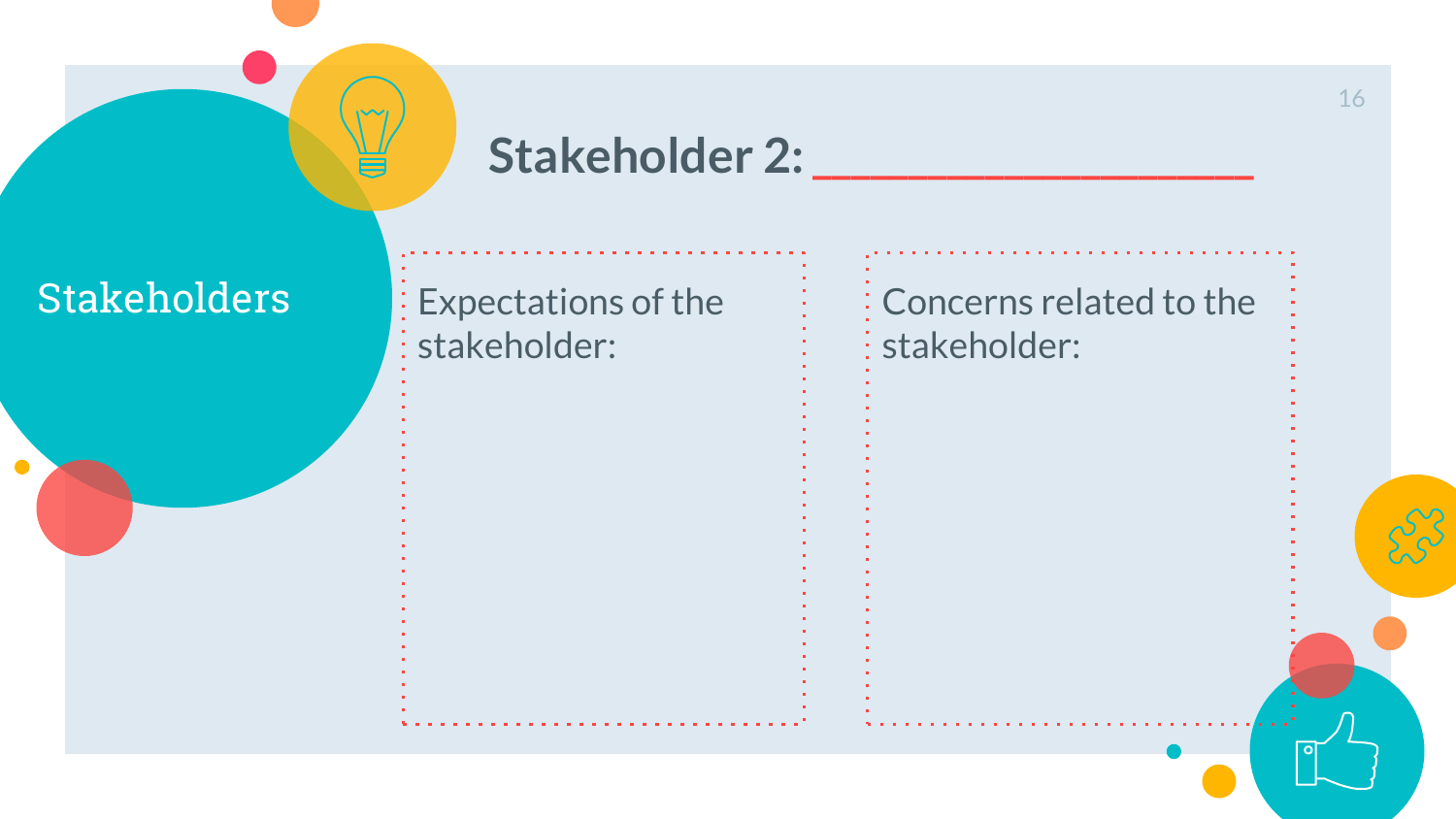

## Stakeholder 2:

 $\bullet$ 

Stakeholders Expectations of the stakeholder:

Concerns related to the stakeholder: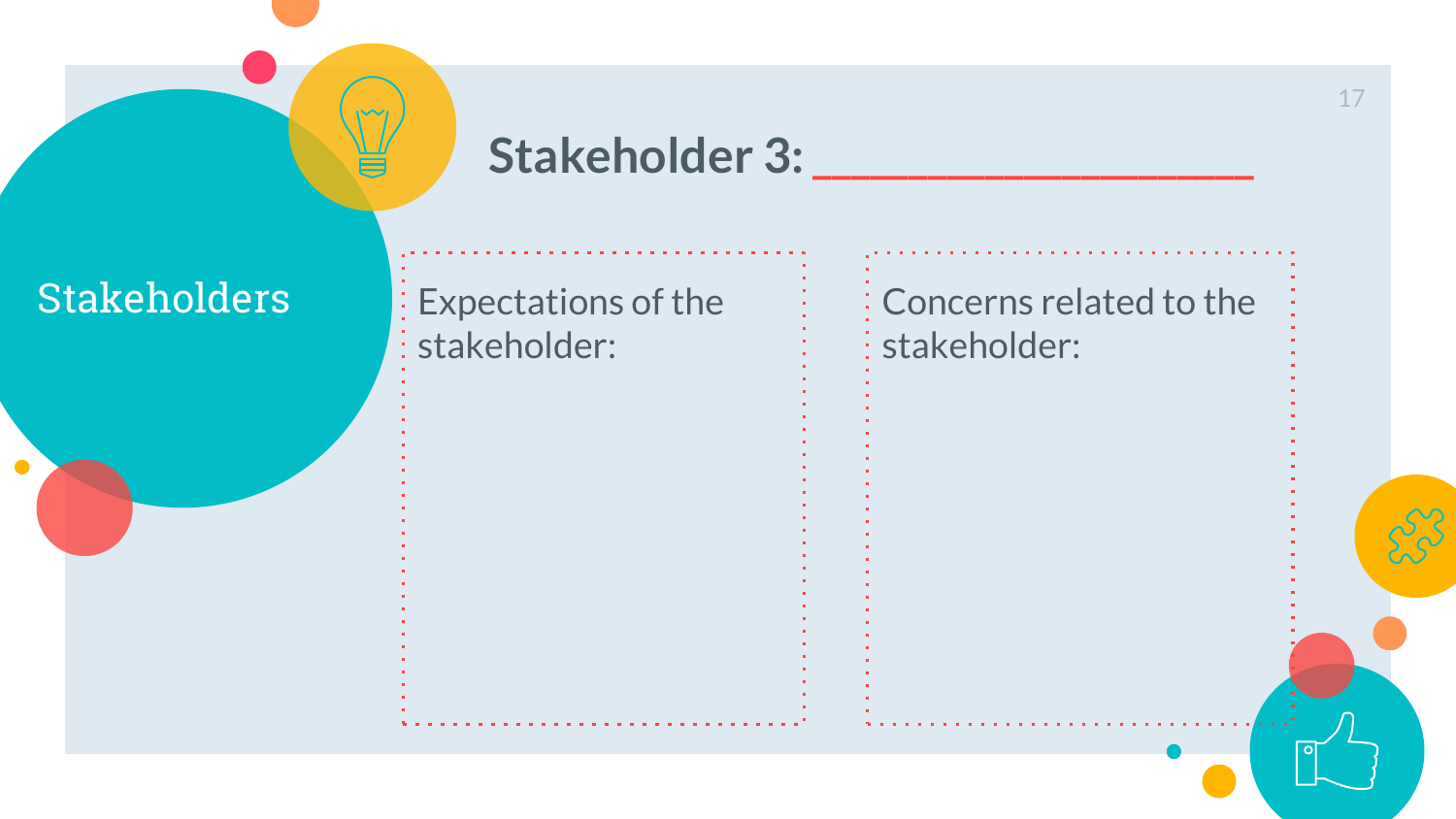

## **Stakeholder 3: \_\_\_\_\_\_\_\_\_\_\_\_\_\_\_\_\_\_\_\_\_\_\_**

 $\bullet$ 

Stakeholders Expectations of the stakeholder:

Concerns related to the stakeholder: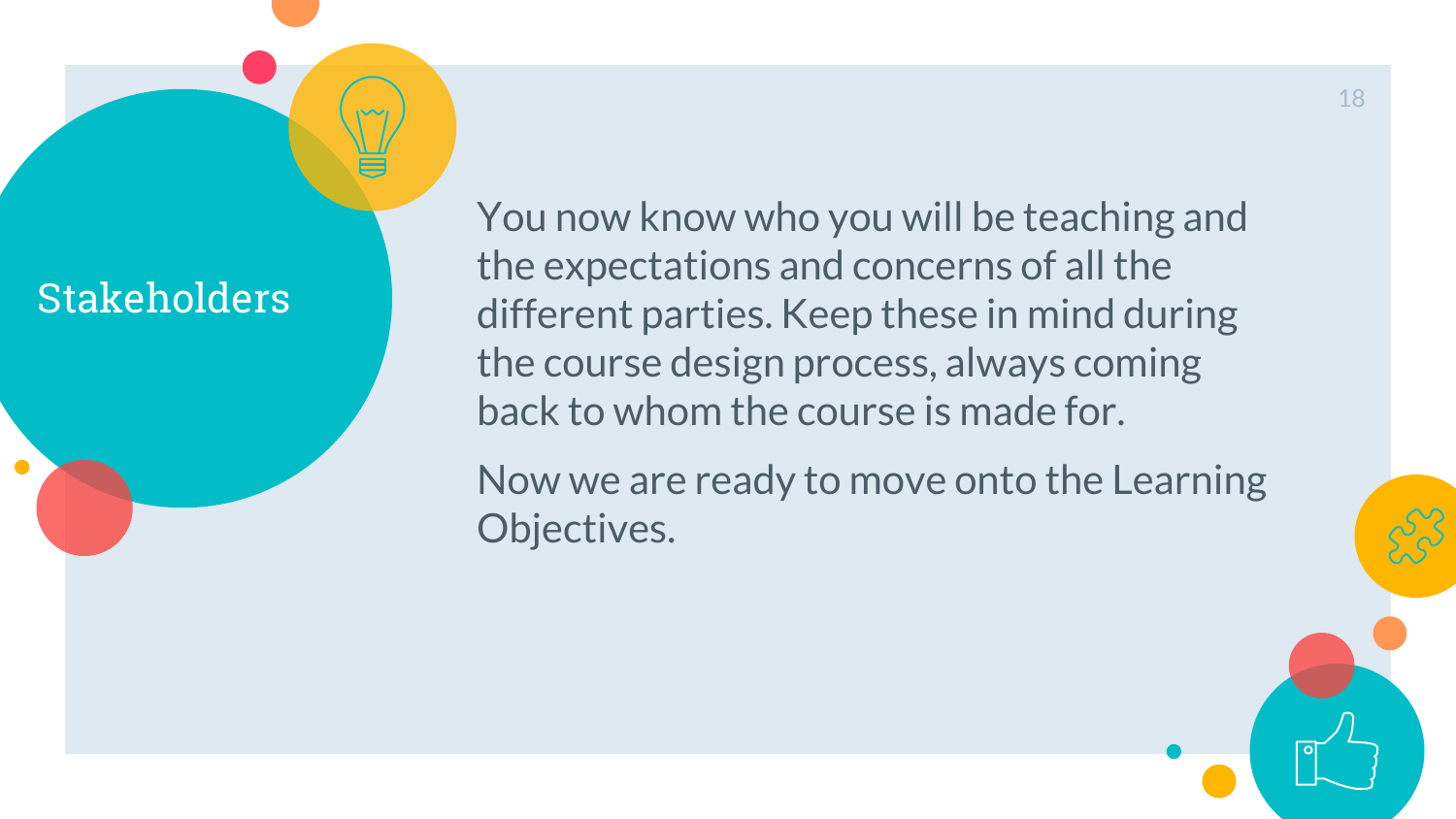## **Stakeholders**

You now know who you will be teaching and the expectations and concerns of all the different parties. Keep these in mind during the course design process, always coming back to whom the course is made for.

Now we are ready to move onto the Learning Objectives.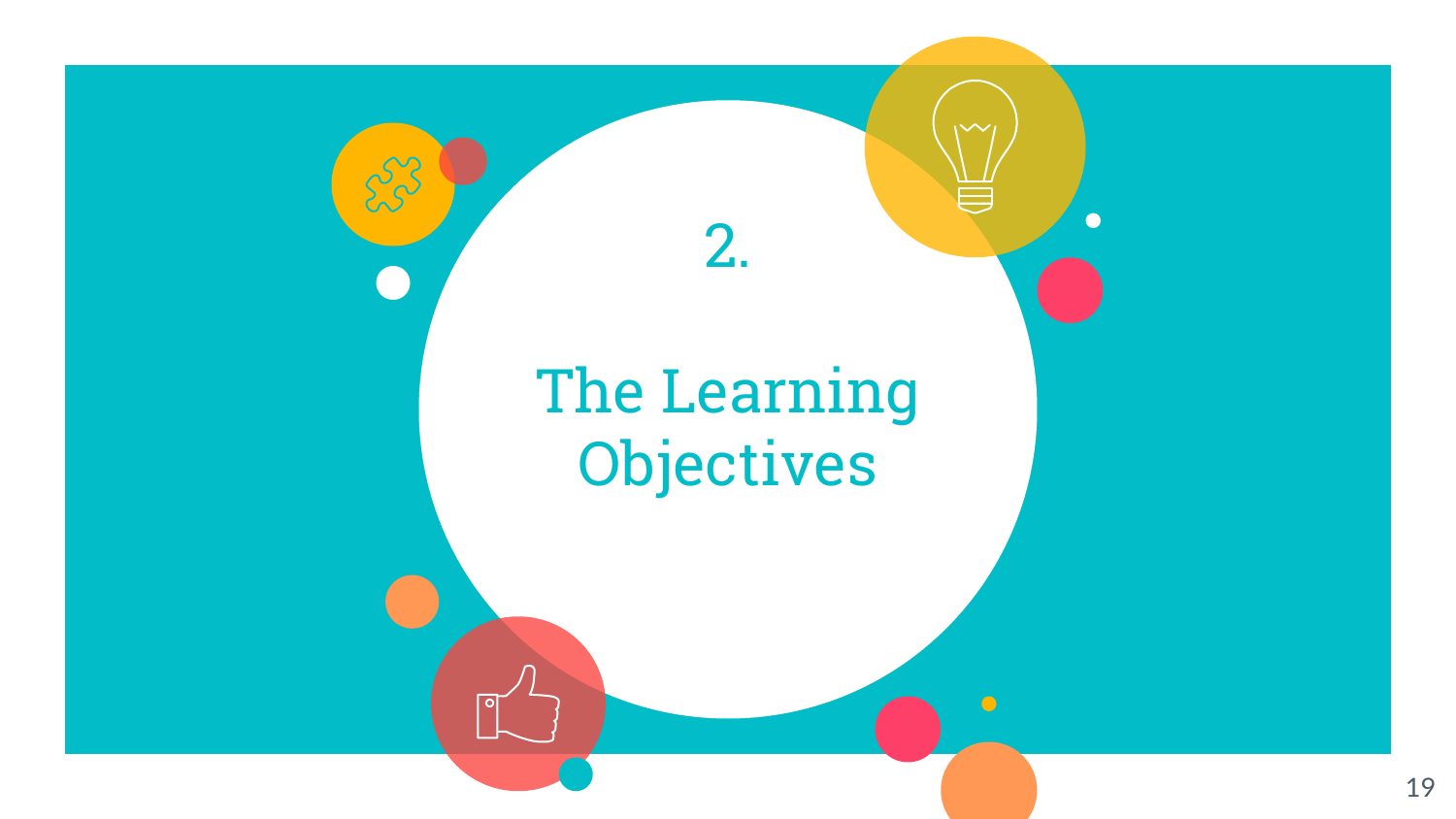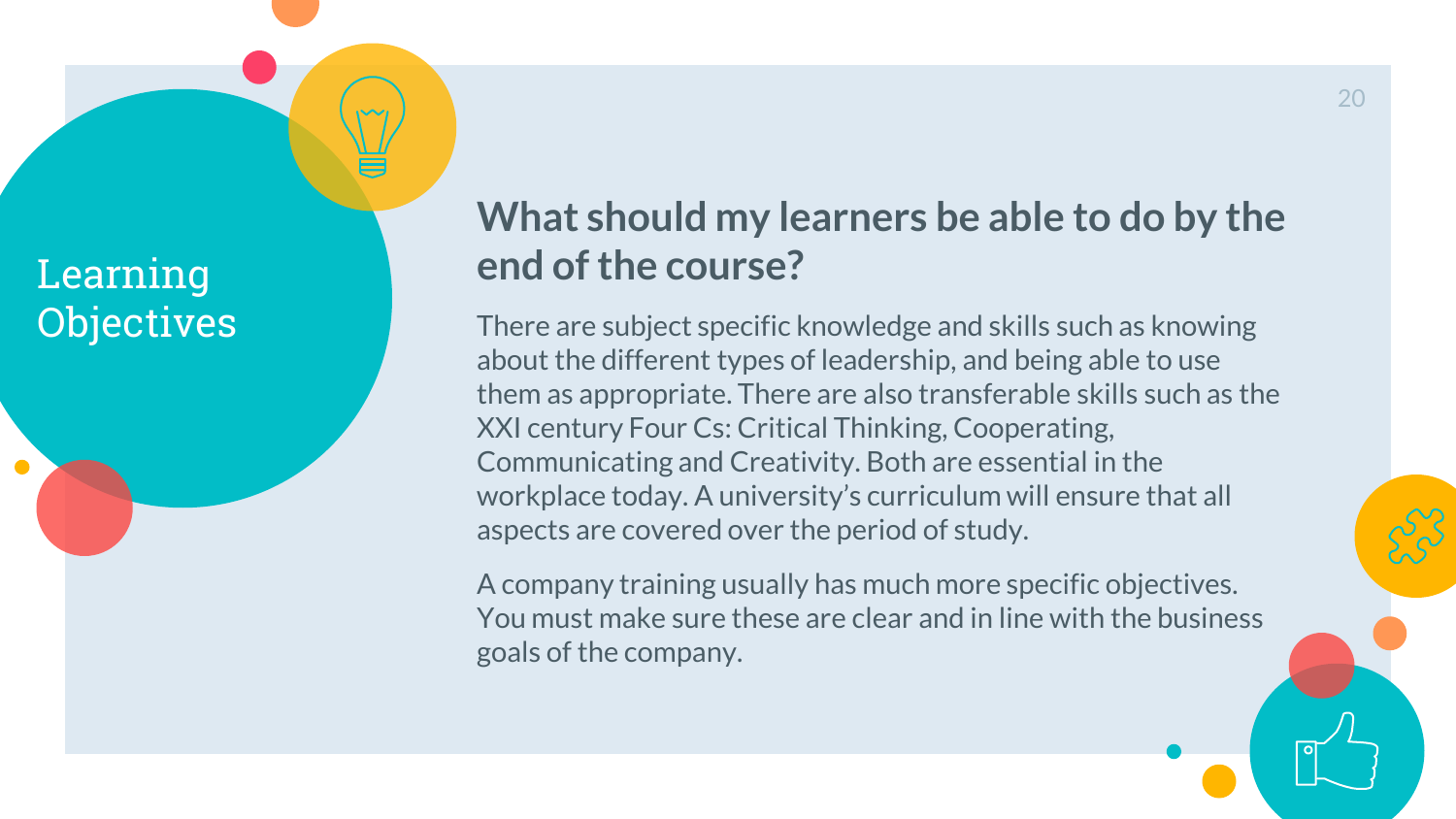

## **What should my learners be able to do by the end of the course?**

There are subject specific knowledge and skills such as knowing about the different types of leadership, and being able to use them as appropriate. There are also transferable skills such as the XXI century Four Cs: Critical Thinking, Cooperating, Communicating and Creativity. Both are essential in the workplace today. A university's curriculum will ensure that all aspects are covered over the period of study.

A company training usually has much more specific objectives. You must make sure these are clear and in line with the business goals of the company.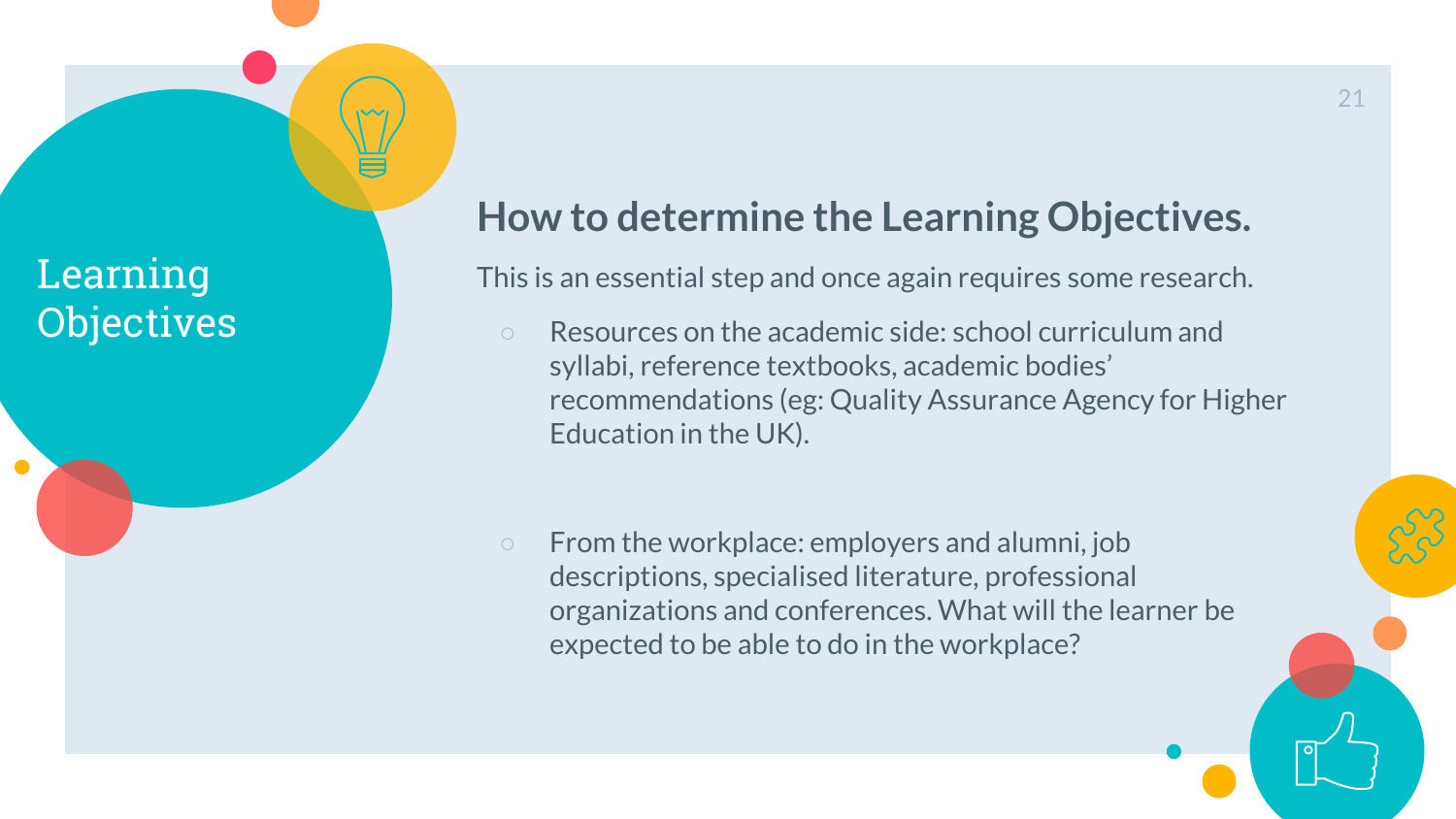## **How to determine the Learning Objectives.**

This is an essential step and once again requires some research.

- Resources on the academic side: school curriculum and syllabi, reference textbooks, academic bodies' recommendations (eg: Quality Assurance Agency for Higher Education in the UK).
- From the workplace: employers and alumni, job descriptions, specialised literature, professional organizations and conferences. What will the learner be expected to be able to do in the workplace?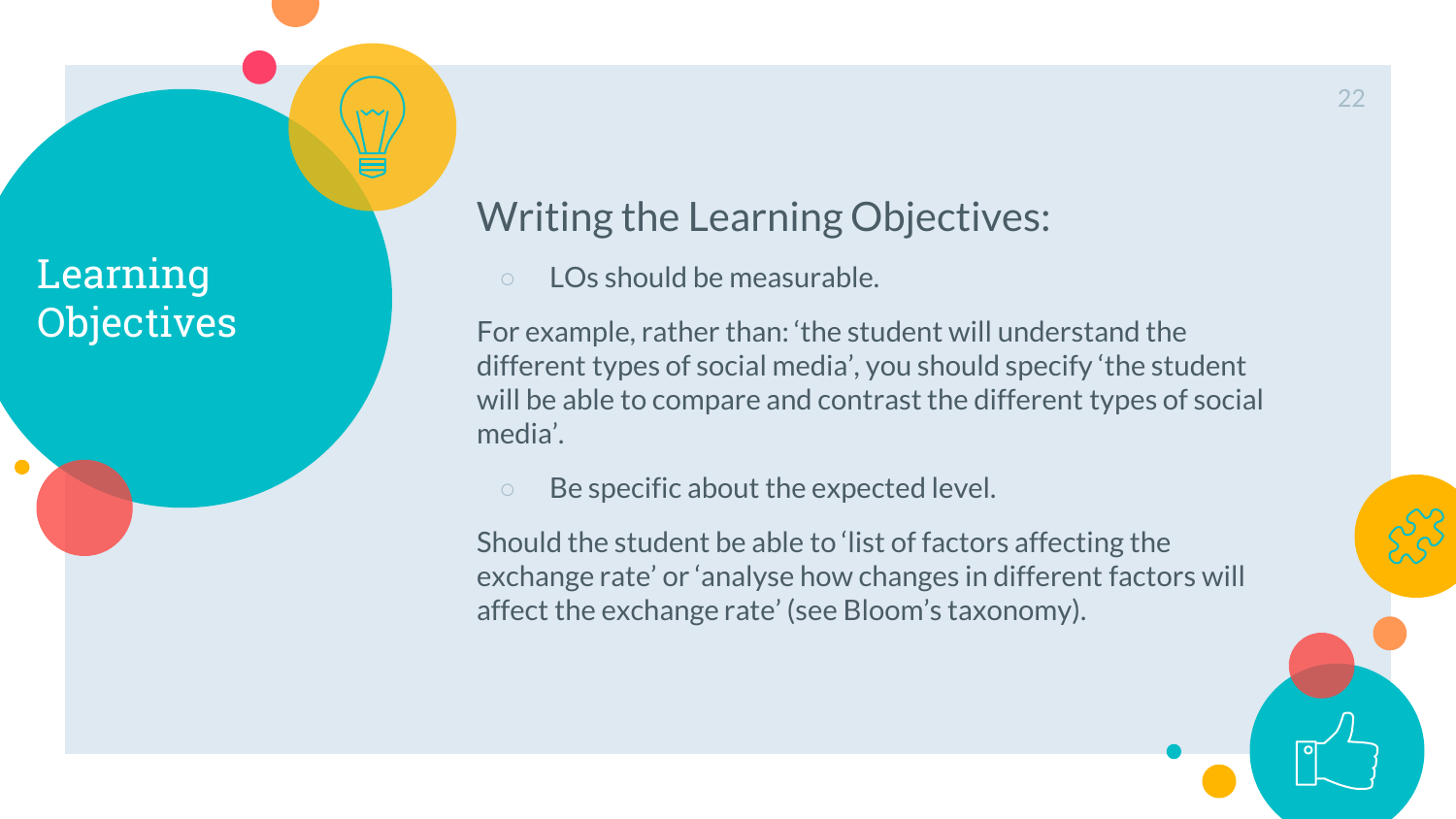$\sqrt{2}$ 

## Writing the Learning Objectives:

LOs should be measurable.

For example, rather than: 'the student will understand the different types of social media', you should specify 'the student will be able to compare and contrast the different types of social media'.

○ Be specific about the expected level.

Should the student be able to 'list of factors affecting the exchange rate' or 'analyse how changes in different factors will affect the exchange rate' (see Bloom's taxonomy).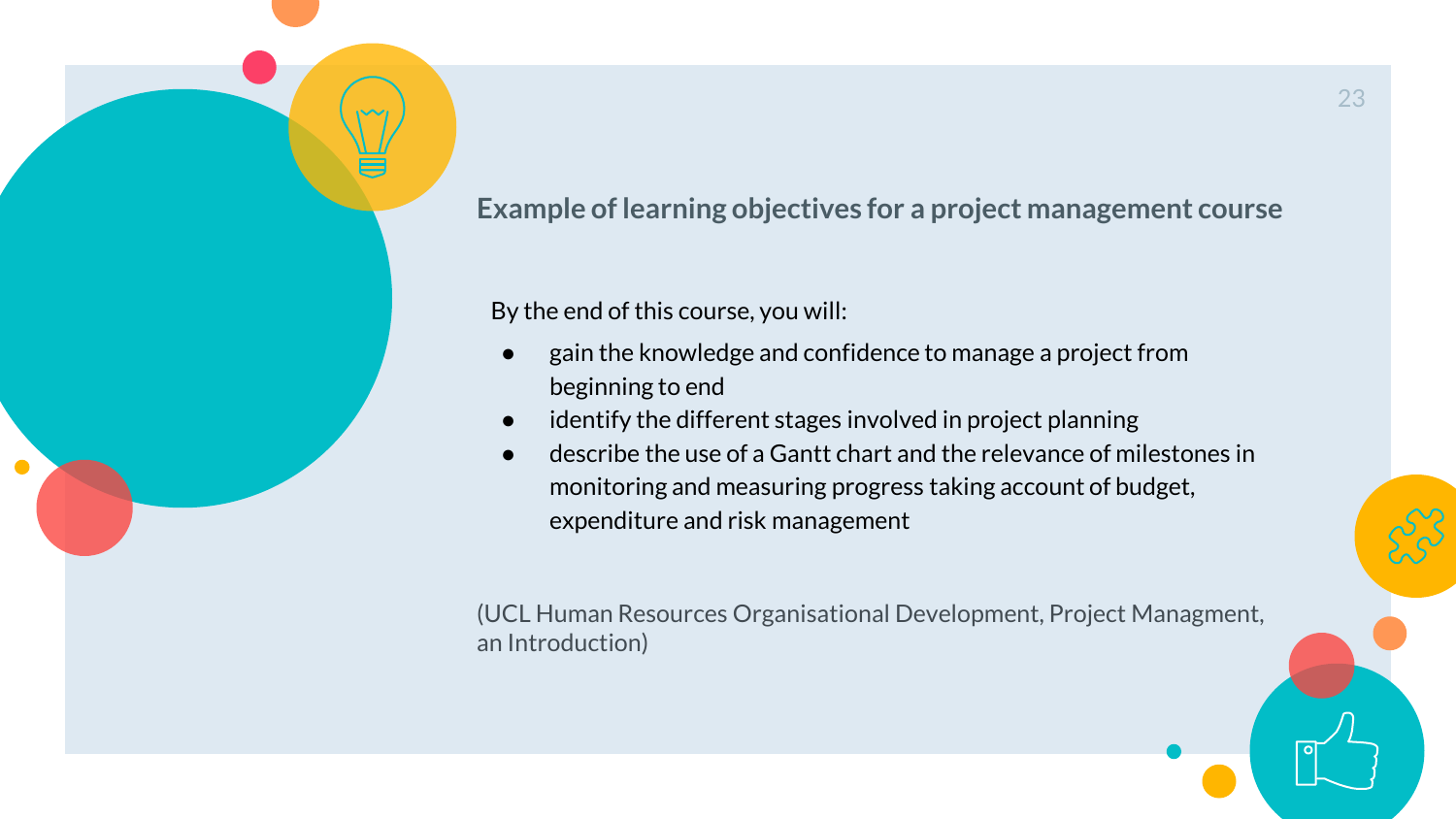**Example of learning objectives for a project management course**

By the end of this course, you will:

- gain the knowledge and confidence to manage a project from beginning to end
- identify the different stages involved in project planning
- describe the use of a Gantt chart and the relevance of milestones in monitoring and measuring progress taking account of budget, expenditure and risk management

(UCL Human Resources Organisational Development, Project Managment, an Introduction)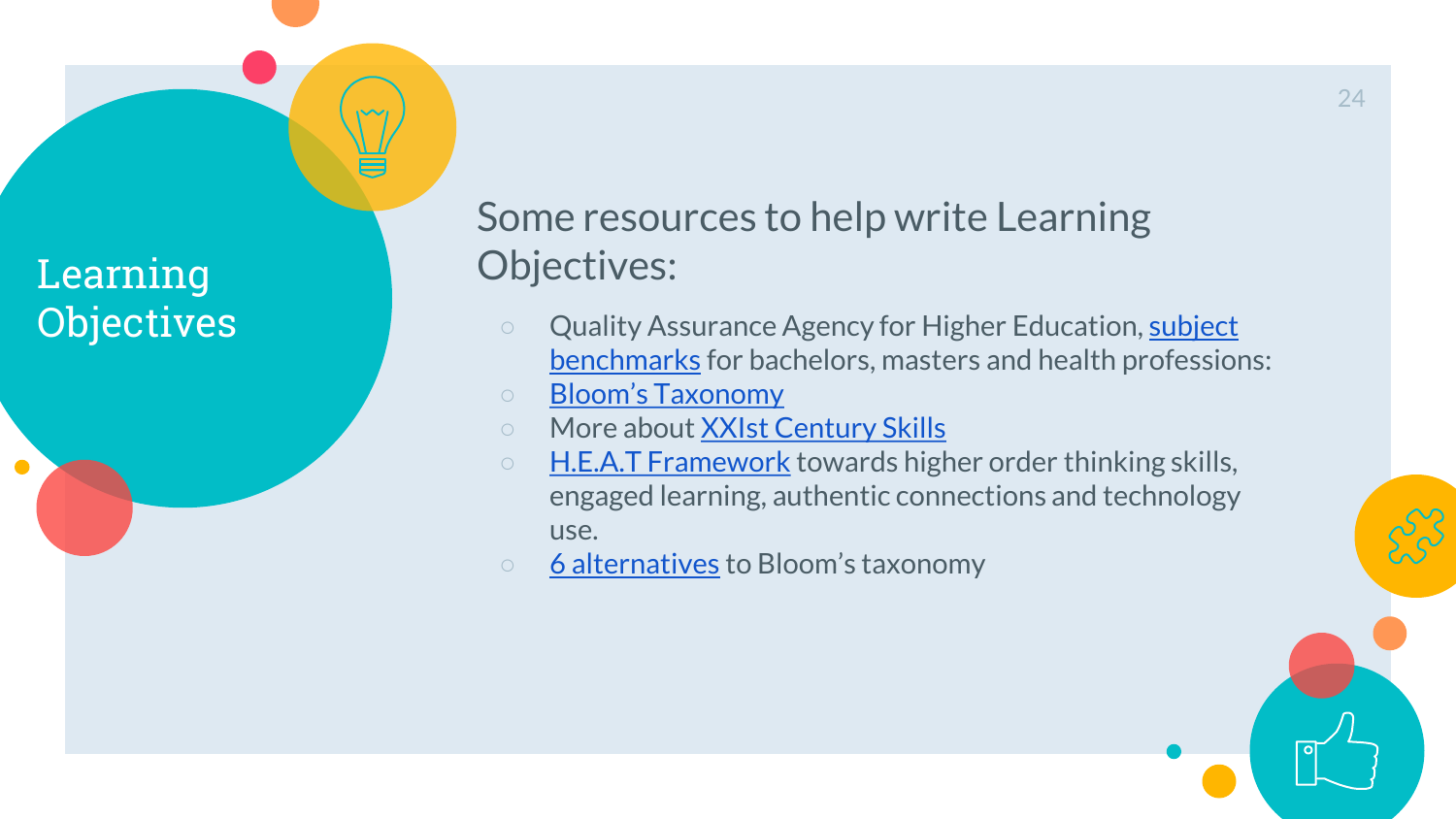$\bullet$ 

Some resources to help write Learning Objectives:

- Quality Assurance Agency for Higher Education, subject benchmarks for bachelors, masters and health professions:
- [Bloom's Taxonomy](https://www.tes.com/lessons/ck3ciKII_efBeQ/planning-for-effective-teaching-bloom-s-taxonomy)
- More about [XXIst Century Skills](http://www.p21.org/our-work/p21-framework)
- [H.E.A.T Framework](http://loticonnection.cachefly.net/global_documents/HEAT-Scoring-Guide-Bloom.pdf) towards higher order thinking skills, engaged learning, authentic connections and technology use.
- [6 alternatives](https://www.teachthought.com/critical-thinking/5-alternatives-to-blooms-taxonomy/) to Bloom's taxonomy

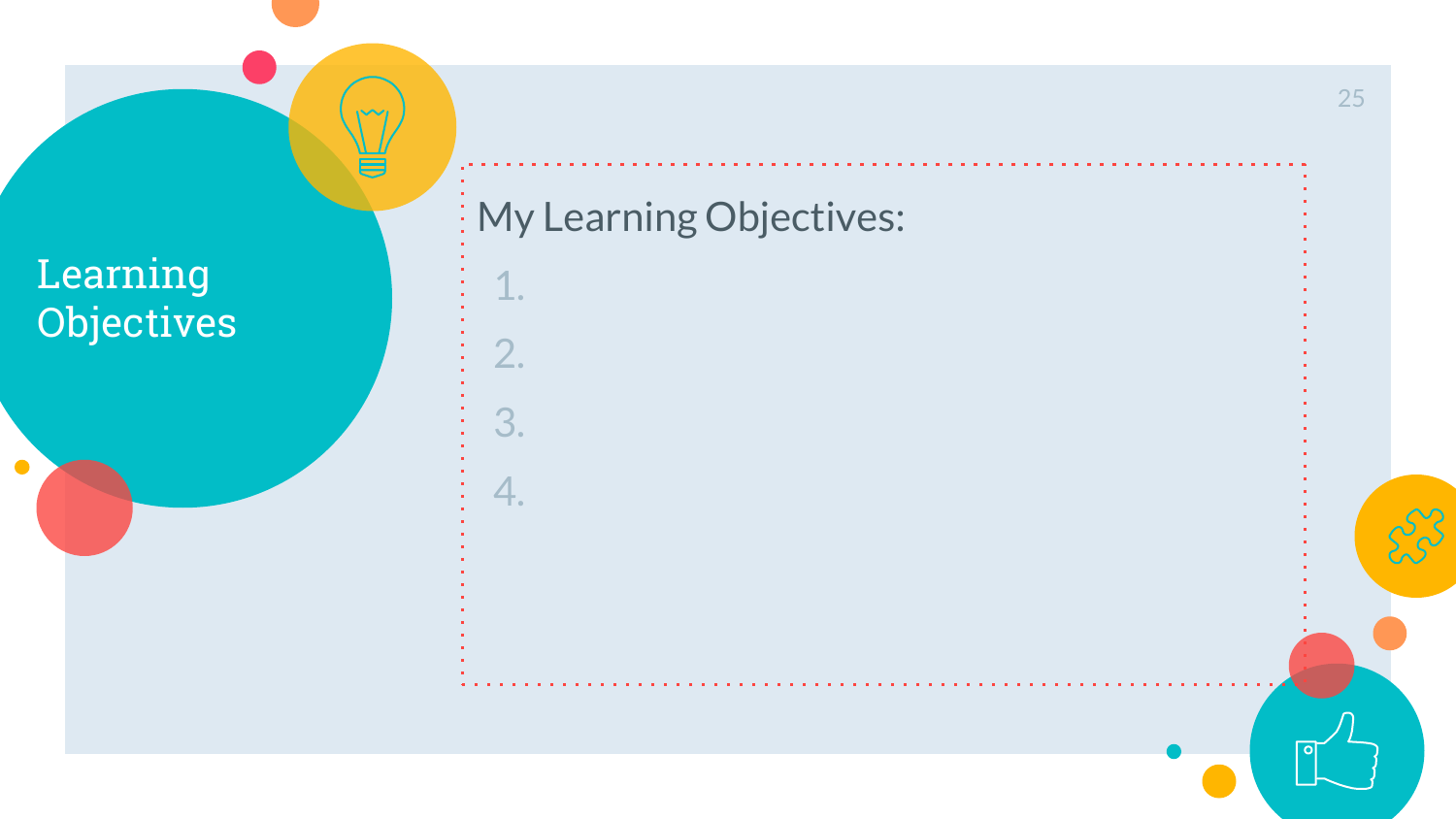

1.

2.

3.

4.

25

-C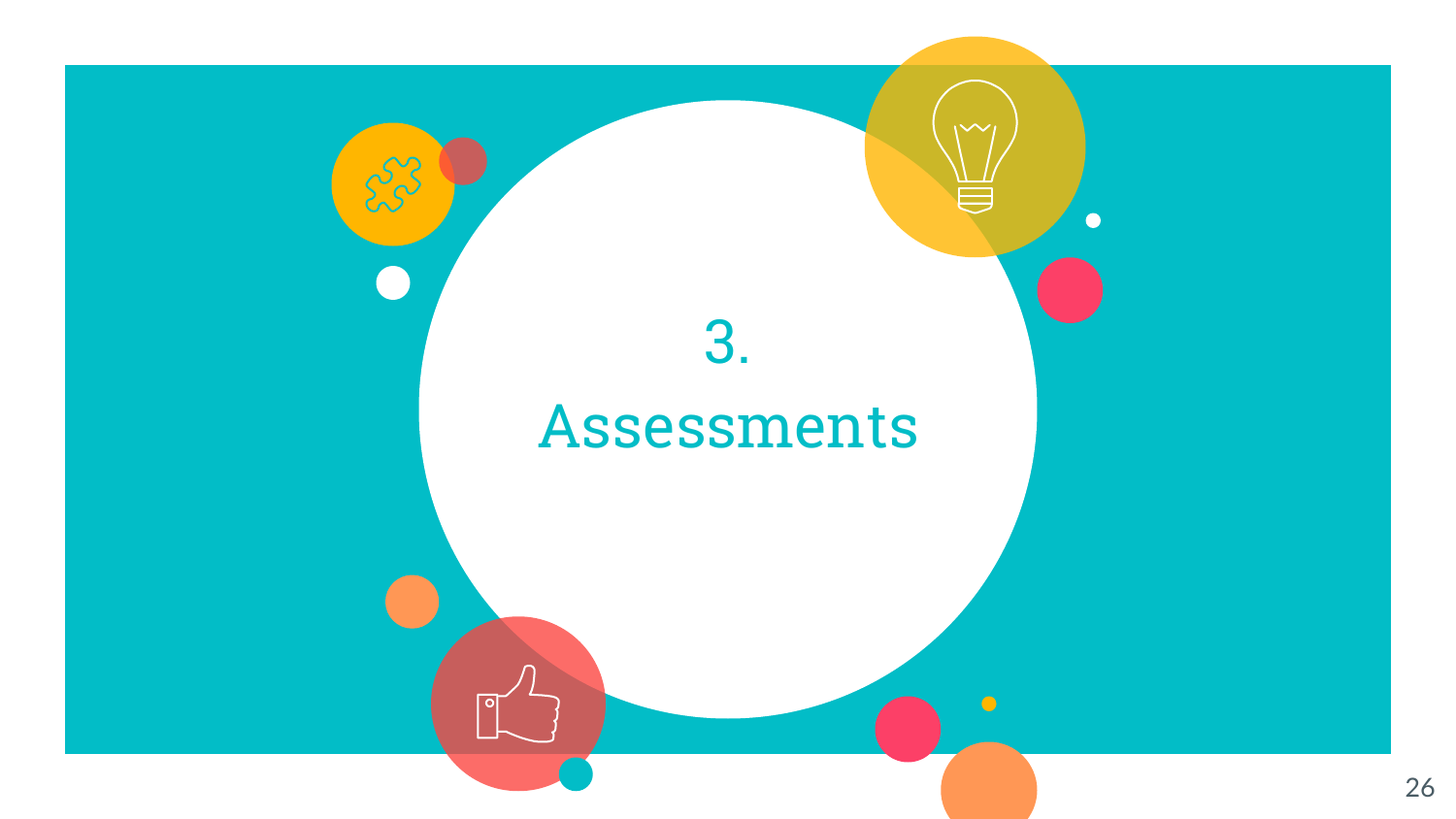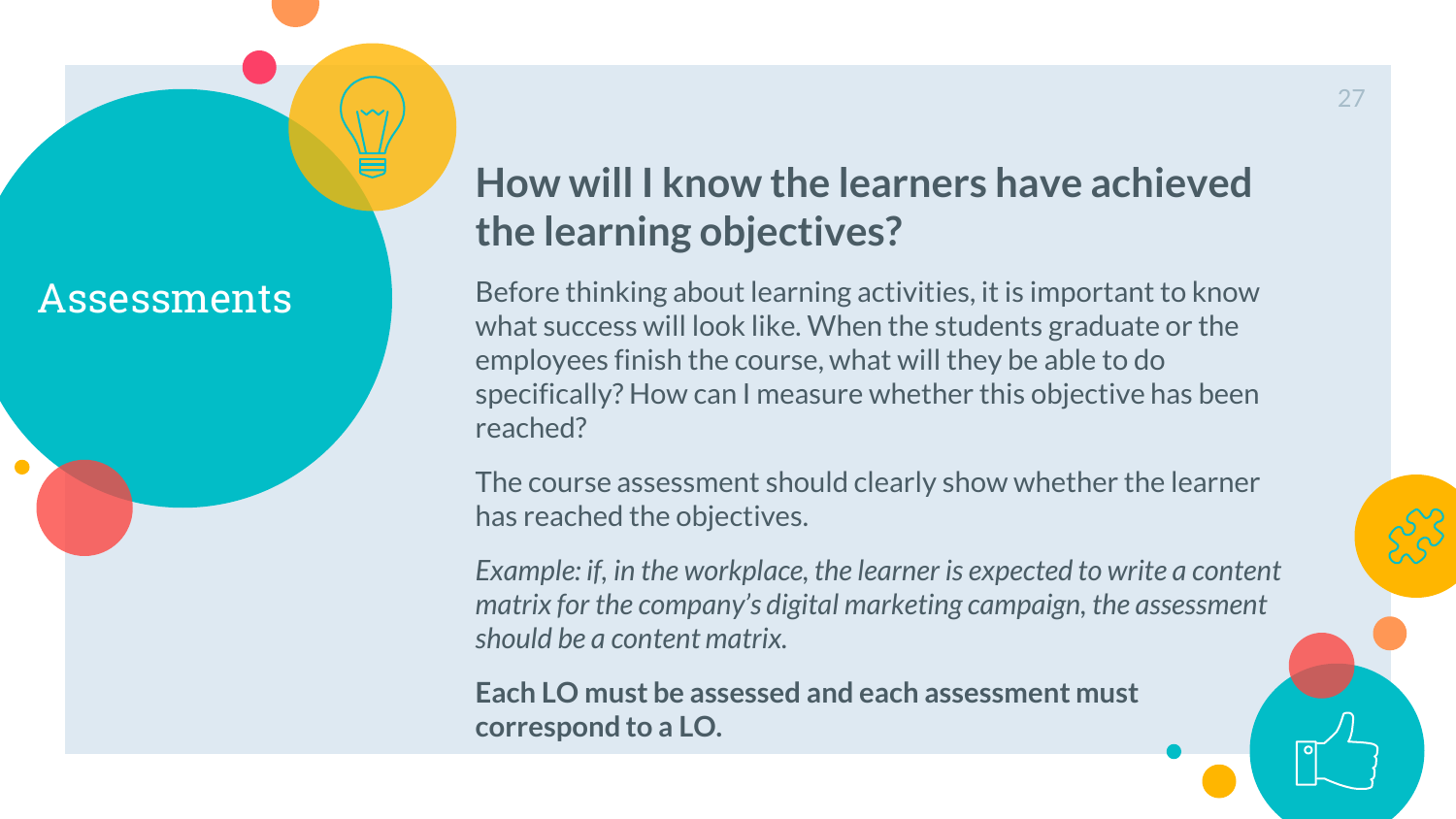## Assessments

## **How will I know the learners have achieved the learning objectives?**

Before thinking about learning activities, it is important to know what success will look like. When the students graduate or the employees finish the course, what will they be able to do specifically? How can I measure whether this objective has been reached?

The course assessment should clearly show whether the learner has reached the objectives.

*Example: if, in the workplace, the learner is expected to write a content matrix for the company's digital marketing campaign, the assessment should be a content matrix.*

**Each LO must be assessed and each assessment must correspond to a LO.**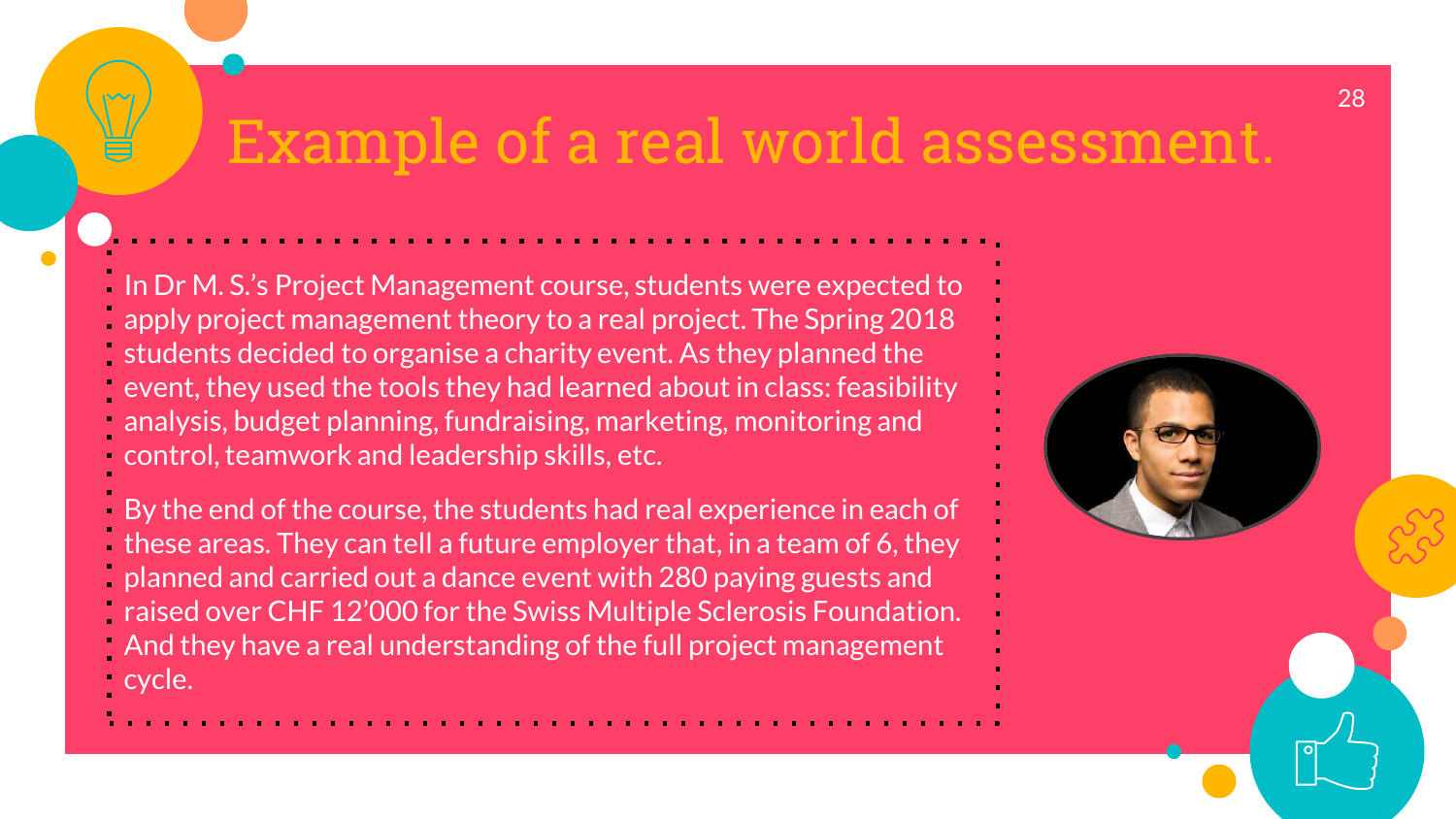## Example of a real world assessmen

In Dr M. S.'s Project Management course, students were expected to apply project management theory to a real project. The Spring 2018 students decided to organise a charity event. As they planned the event, they used the tools they had learned about in class: feasibility analysis, budget planning, fundraising, marketing, monitoring and control, teamwork and leadership skills, etc.

By the end of the course, the students had real experience in each of these areas. They can tell a future employer that, in a team of 6, they planned and carried out a dance event with 280 paying guests and

- raised over CHF 12'000 for the Swiss Multiple Sclerosis Foundation.
- And they have a real understanding of the full project management cycle.

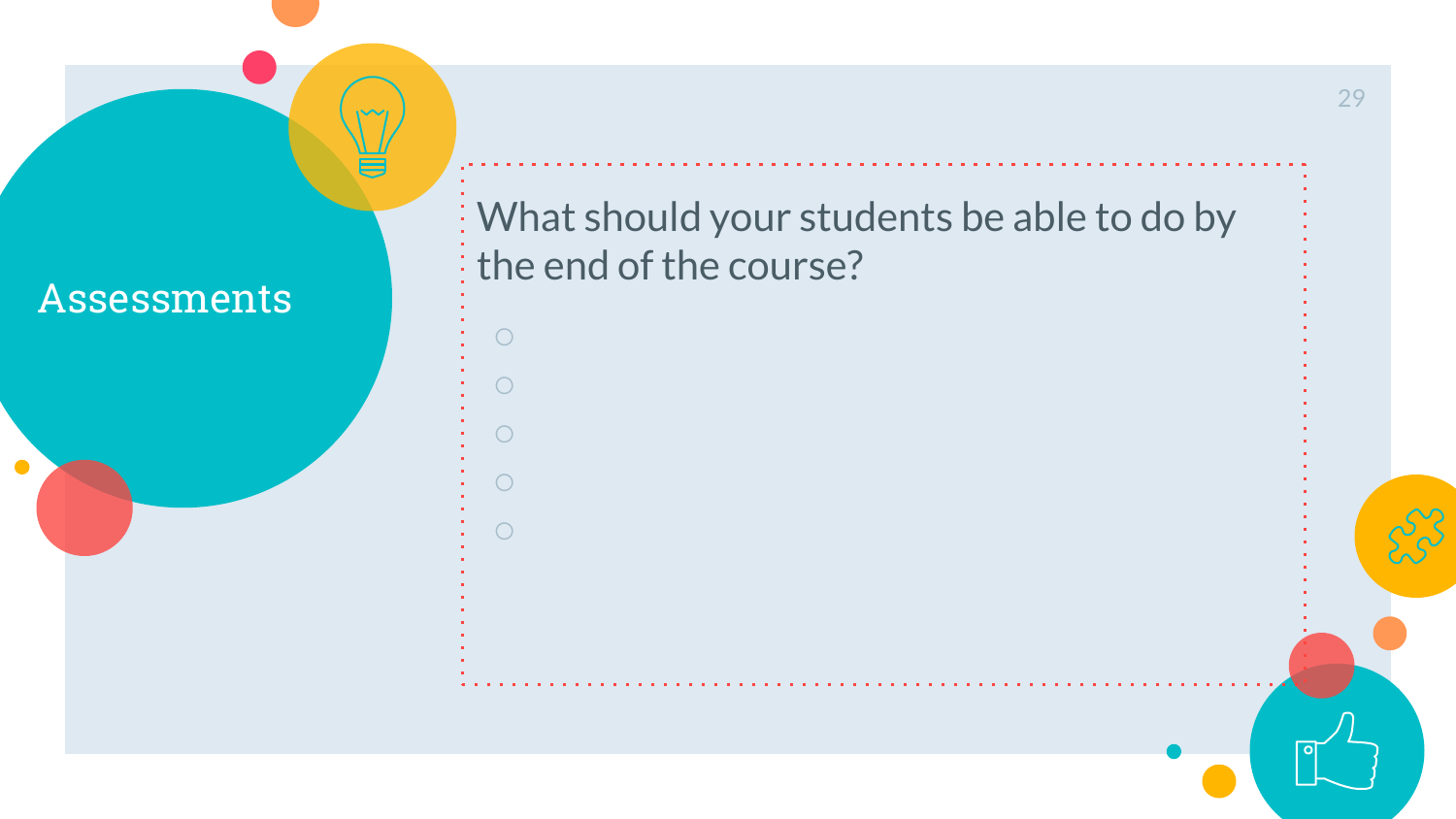

 $\sqrt{2}$ 



29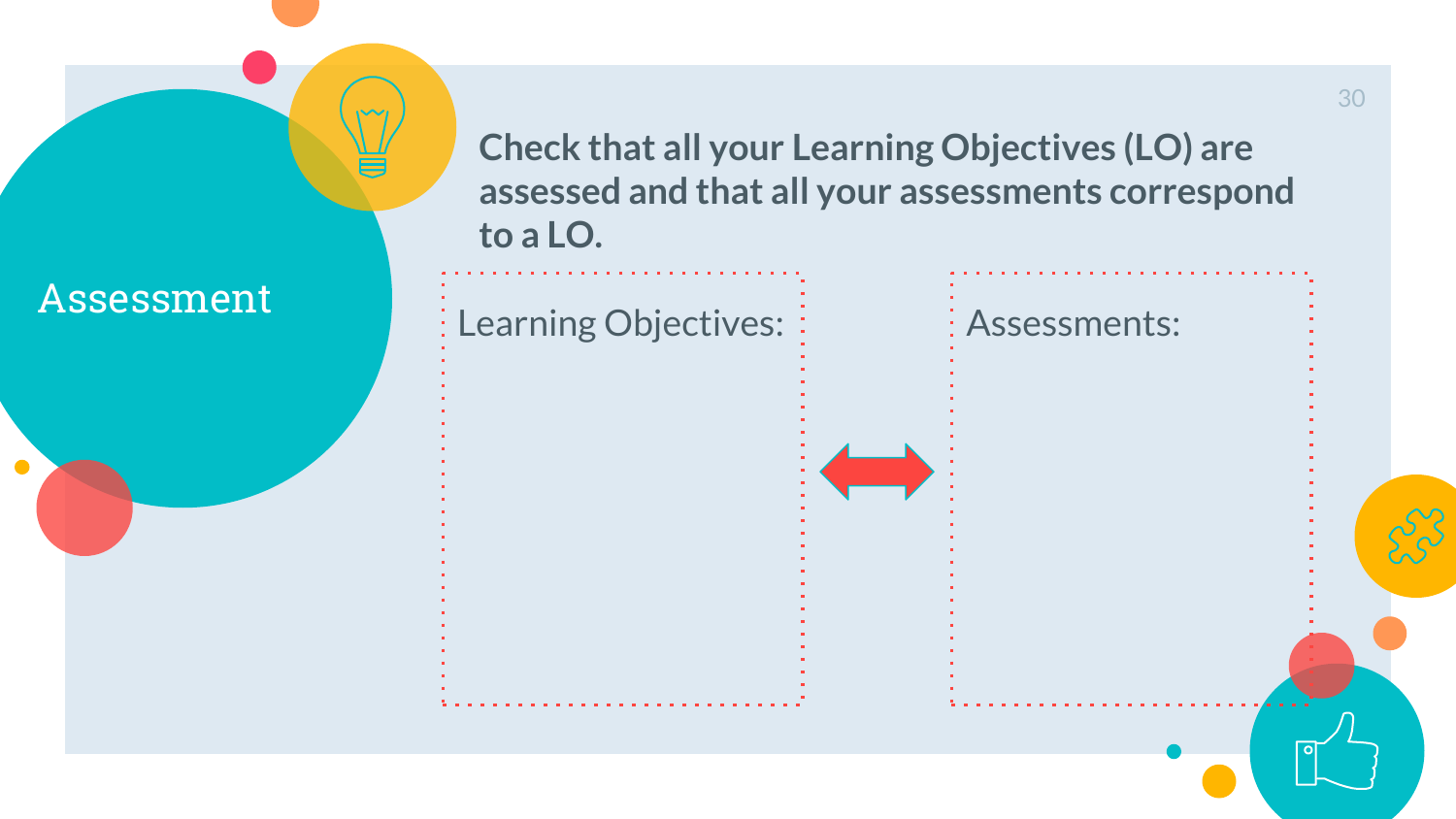**Check that all your Learning Objectives (LO) are assessed and that all your assessments correspond to a LO.**



30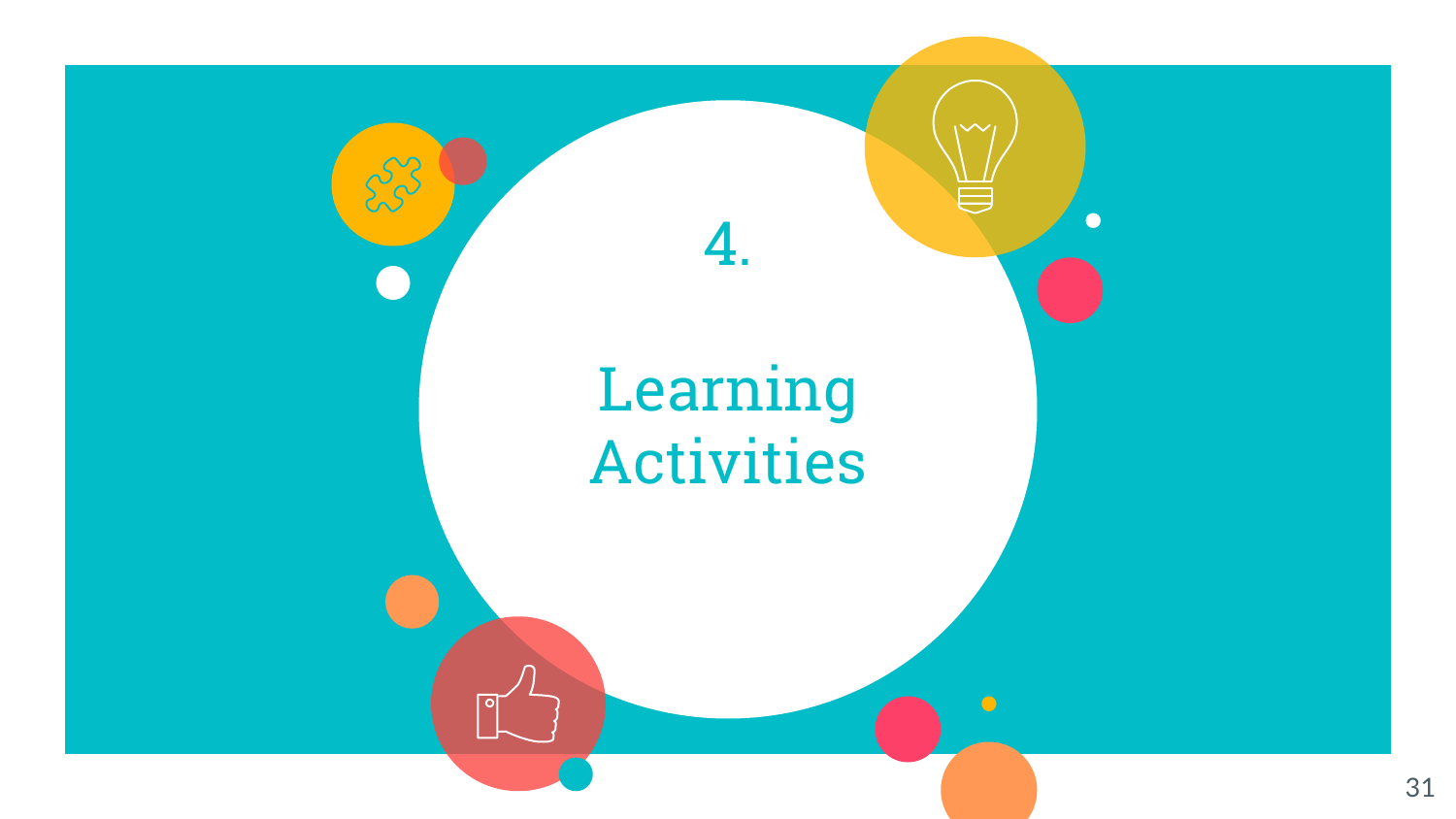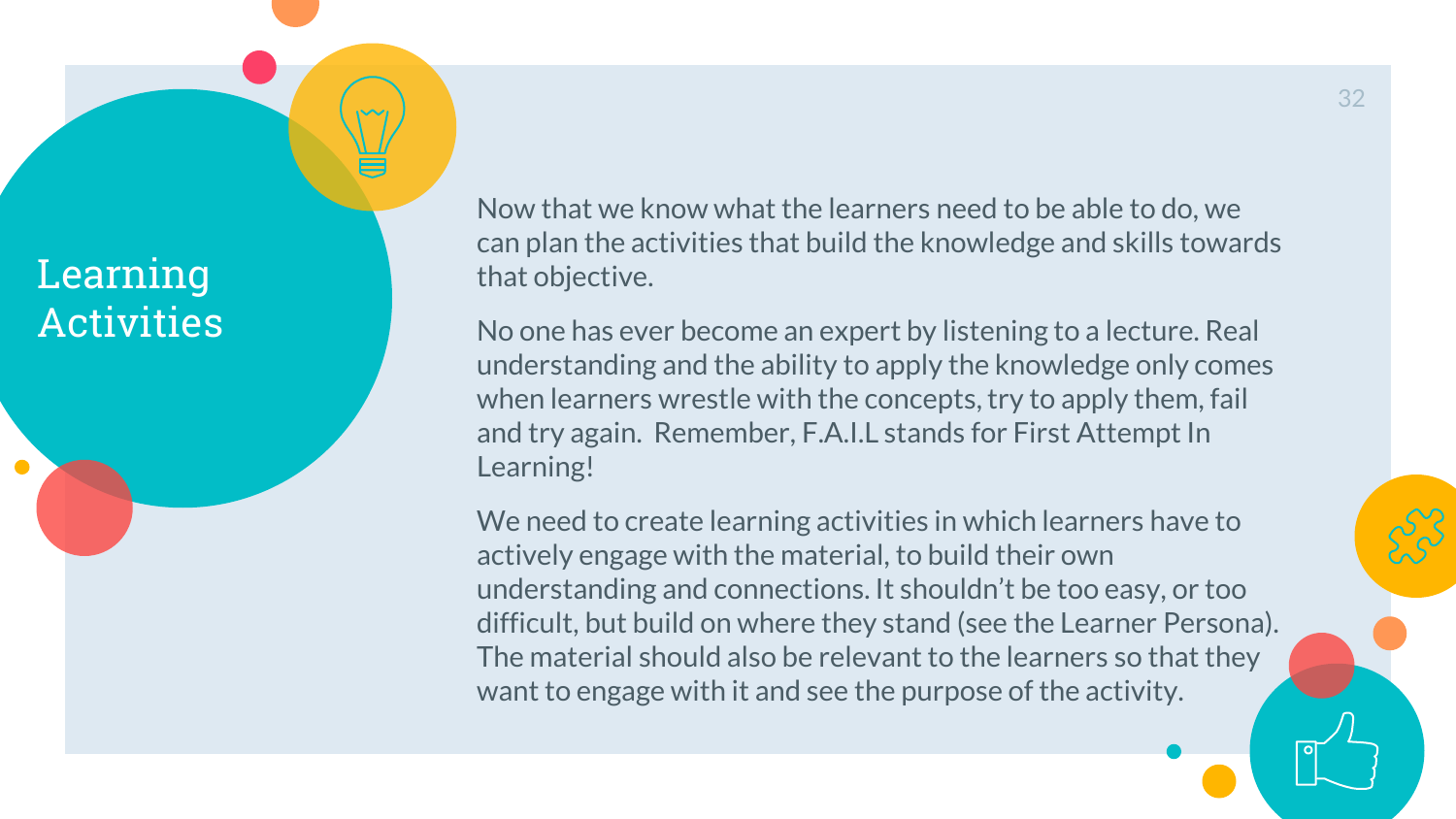$\sqrt{2}$ 

Now that we know what the learners need to be able to do, we can plan the activities that build the knowledge and skills towards that objective.

No one has ever become an expert by listening to a lecture. Real understanding and the ability to apply the knowledge only comes when learners wrestle with the concepts, try to apply them, fail and try again. Remember, F.A.I.L stands for First Attempt In Learning!

We need to create learning activities in which learners have to actively engage with the material, to build their own understanding and connections. It shouldn't be too easy, or too difficult, but build on where they stand (see the Learner Persona). The material should also be relevant to the learners so that they want to engage with it and see the purpose of the activity.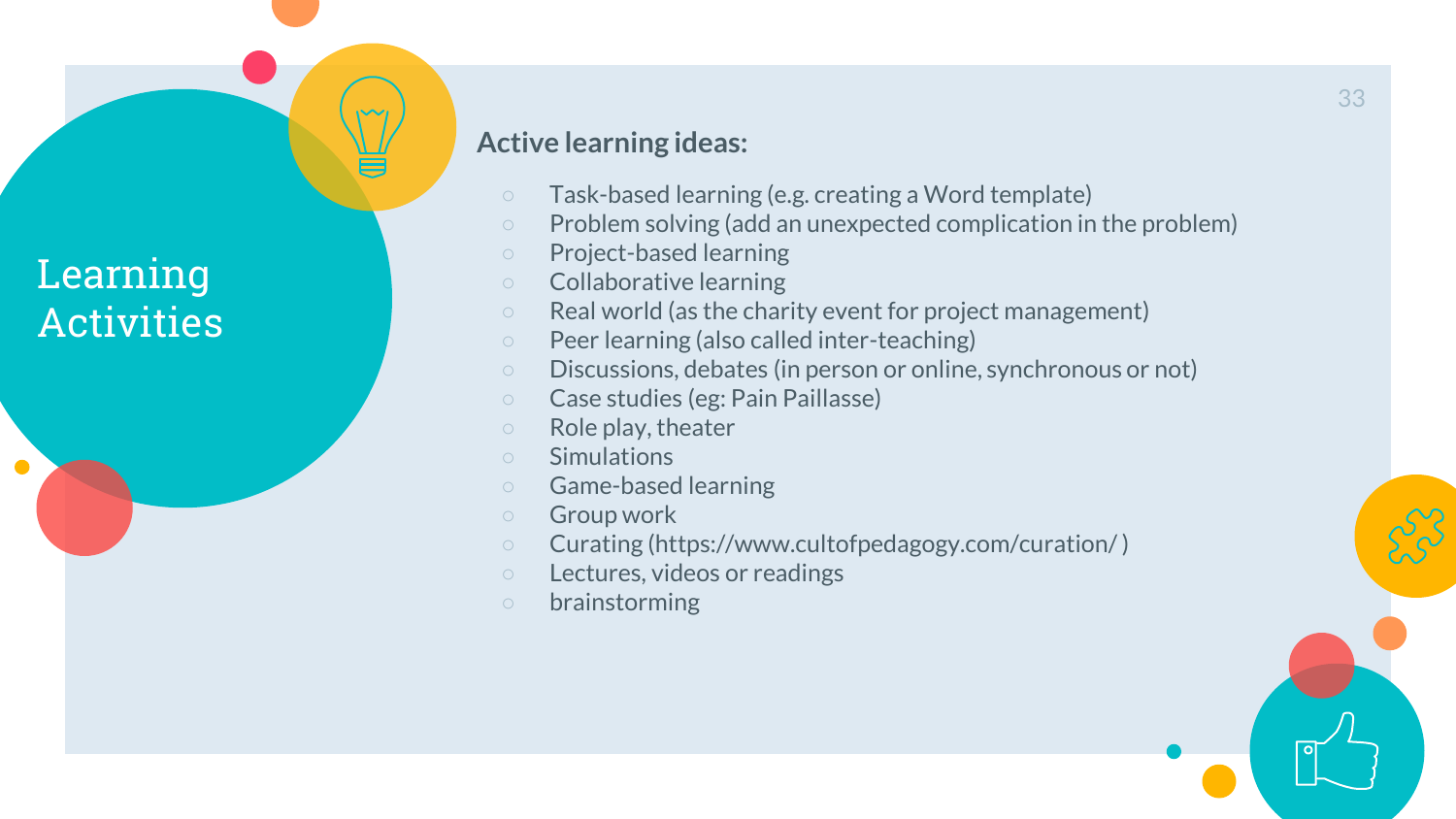$\sqrt{2}$ 

#### **Active learning ideas:**

- Task-based learning (e.g. creating a Word template)
- Problem solving (add an unexpected complication in the problem)
- Project-based learning
- Collaborative learning
- Real world (as the charity event for project management)
- Peer learning (also called inter-teaching)
- Discussions, debates (in person or online, synchronous or not)
- Case studies (eg: Pain Paillasse)
- Role play, theater
- Simulations
- Game-based learning
- Group work
- Curating (https://www.cultofpedagogy.com/curation/ )
- Lectures, videos or readings
- brainstorming

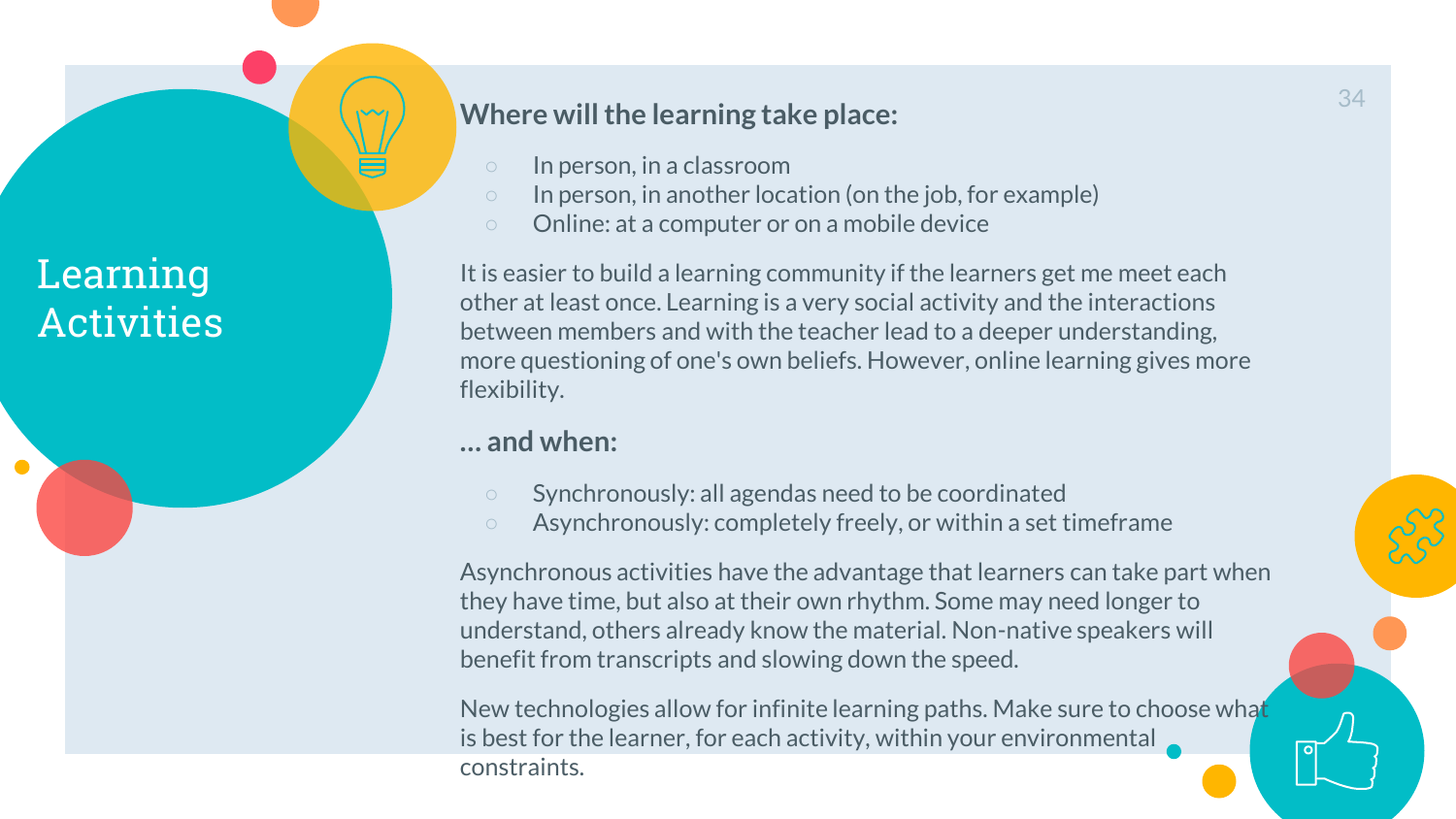#### **Where will the learning take place:**

- In person, in a classroom
- In person, in another location (on the job, for example)
- Online: at a computer or on a mobile device

It is easier to build a learning community if the learners get me meet each other at least once. Learning is a very social activity and the interactions between members and with the teacher lead to a deeper understanding, more questioning of one's own beliefs. However, online learning gives more flexibility.

#### **… and when:**

- Synchronously: all agendas need to be coordinated
- Asynchronously: completely freely, or within a set timeframe

Asynchronous activities have the advantage that learners can take part when they have time, but also at their own rhythm. Some may need longer to understand, others already know the material. Non-native speakers will benefit from transcripts and slowing down the speed.

New technologies allow for infinite learning paths. Make sure to choose what is best for the learner, for each activity, within your environmental constraints.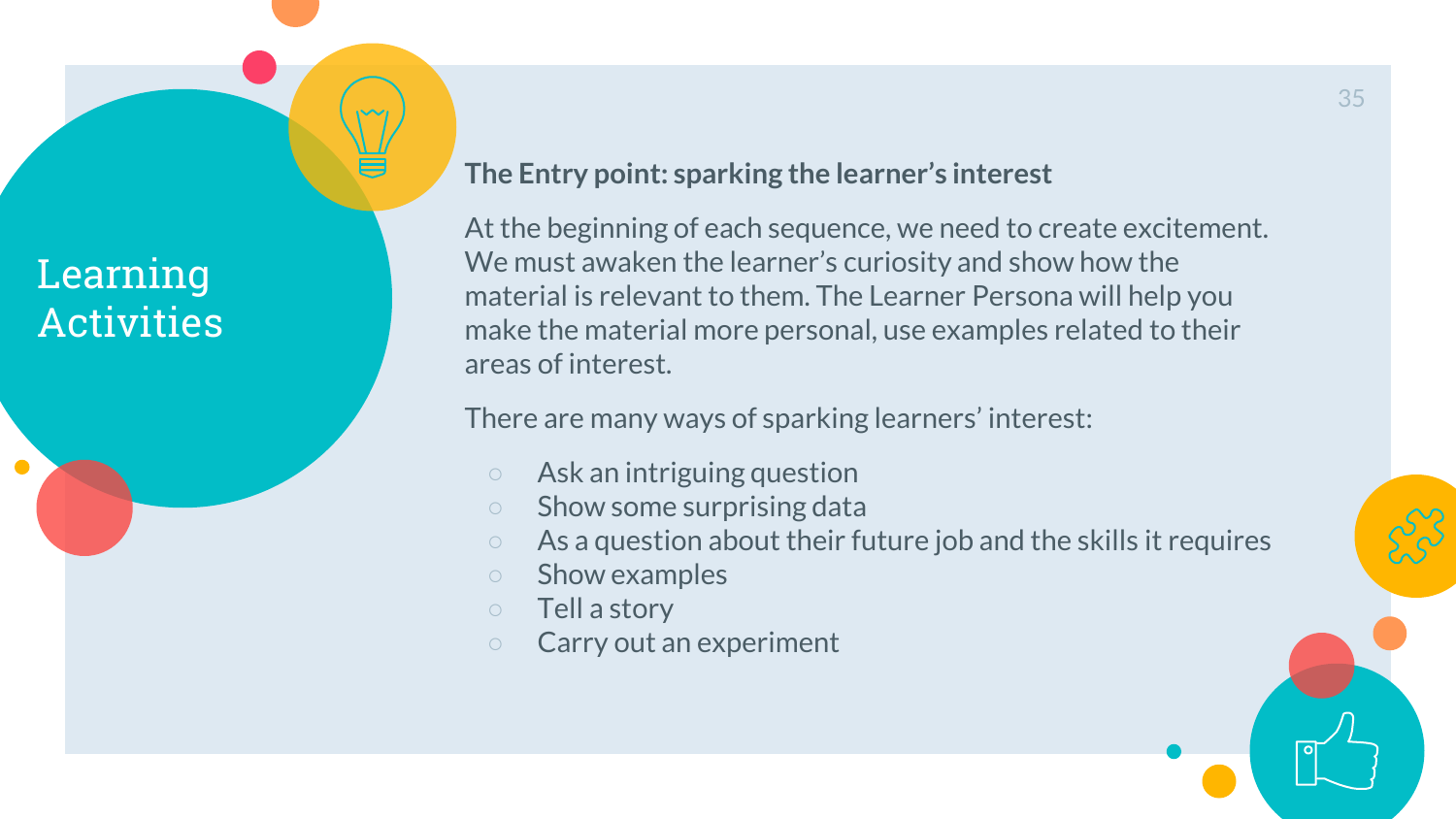

At the beginning of each sequence, we need to create excitement. We must awaken the learner's curiosity and show how the material is relevant to them. The Learner Persona will help you make the material more personal, use examples related to their areas of interest.

There are many ways of sparking learners' interest:

- Ask an intriguing question
- Show some surprising data
- As a question about their future job and the skills it requires
- Show examples
- Tell a story
- Carry out an experiment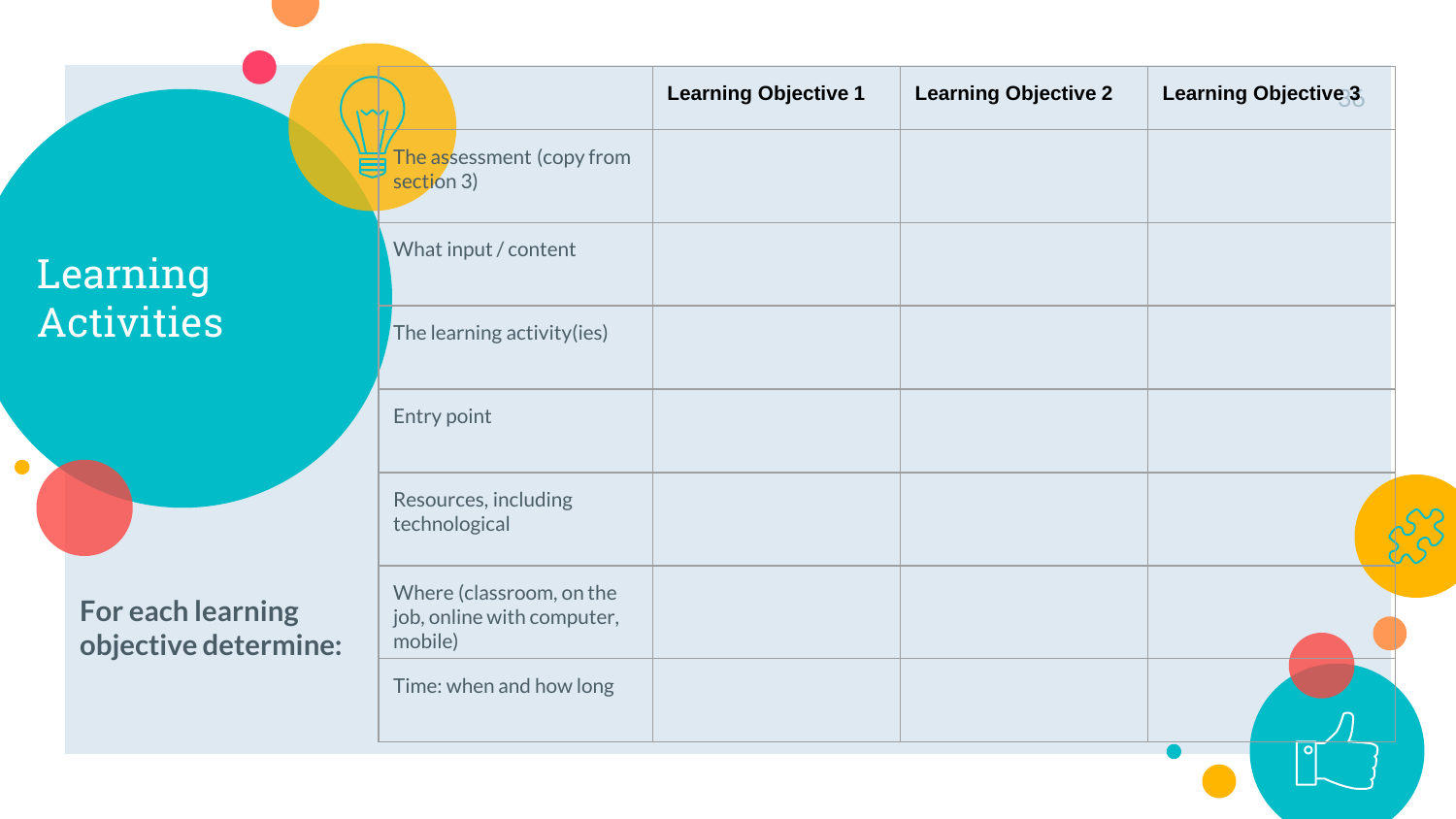$\bullet$ 



|                                                                   | <b>Learning Objective 1</b> | <b>Learning Objective 2</b> | Learning Objective 3 |
|-------------------------------------------------------------------|-----------------------------|-----------------------------|----------------------|
| The assessment (copy from<br>section 3)                           |                             |                             |                      |
| What input / content                                              |                             |                             |                      |
| The learning activity(ies)                                        |                             |                             |                      |
| Entry point                                                       |                             |                             |                      |
| Resources, including<br>technological                             |                             |                             |                      |
| Where (classroom, on the<br>job, online with computer,<br>mobile) |                             |                             |                      |
| Time: when and how long                                           |                             |                             |                      |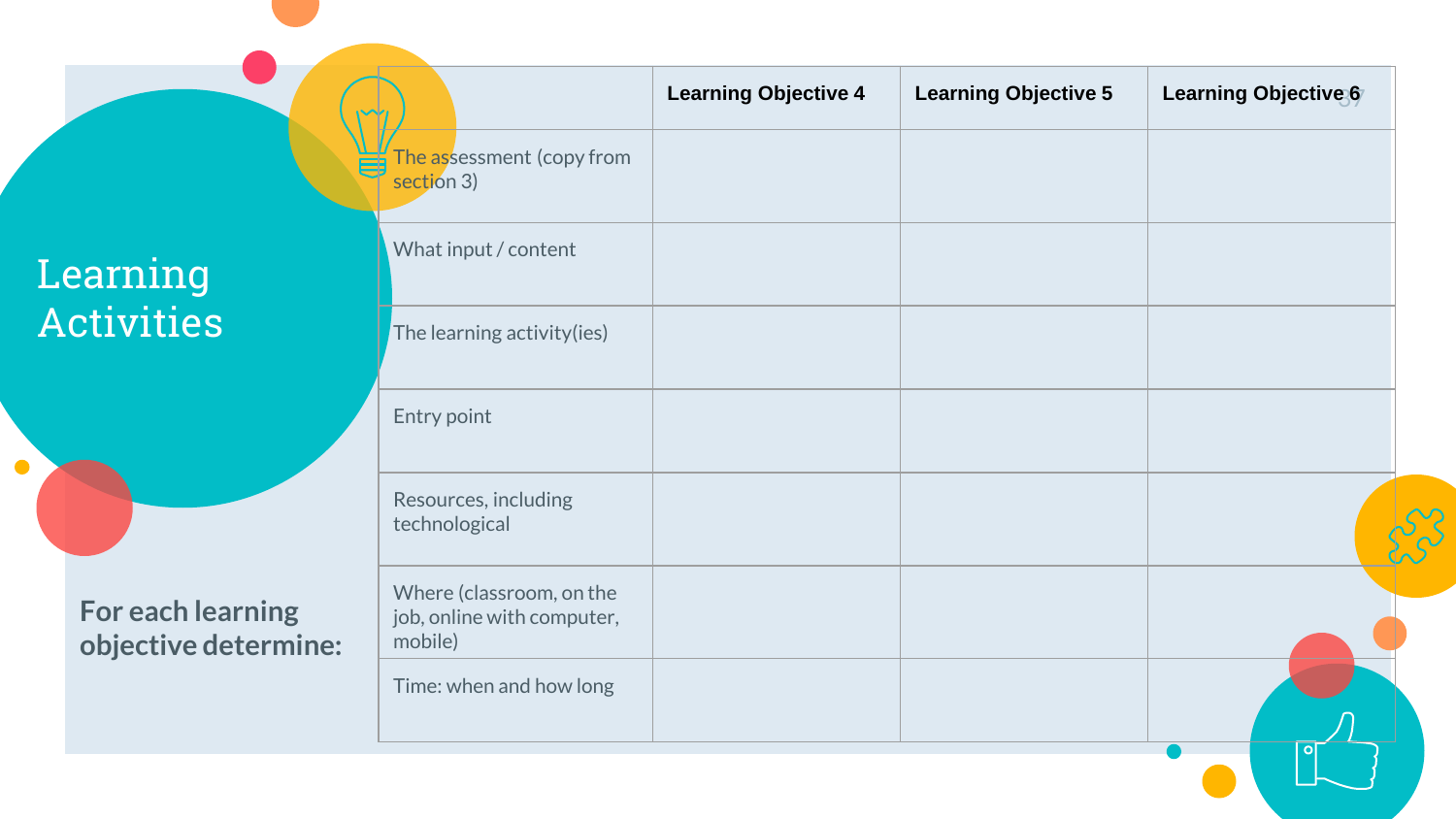$\bullet$ 



|                                                                   | <b>Learning Objective 4</b> | <b>Learning Objective 5</b> | Learning Objective 6 |
|-------------------------------------------------------------------|-----------------------------|-----------------------------|----------------------|
| The assessment (copy from<br>section 3)                           |                             |                             |                      |
| What input / content                                              |                             |                             |                      |
| The learning activity(ies)                                        |                             |                             |                      |
| Entry point                                                       |                             |                             |                      |
| Resources, including<br>technological                             |                             |                             |                      |
| Where (classroom, on the<br>job, online with computer,<br>mobile) |                             |                             |                      |
| Time: when and how long                                           |                             |                             |                      |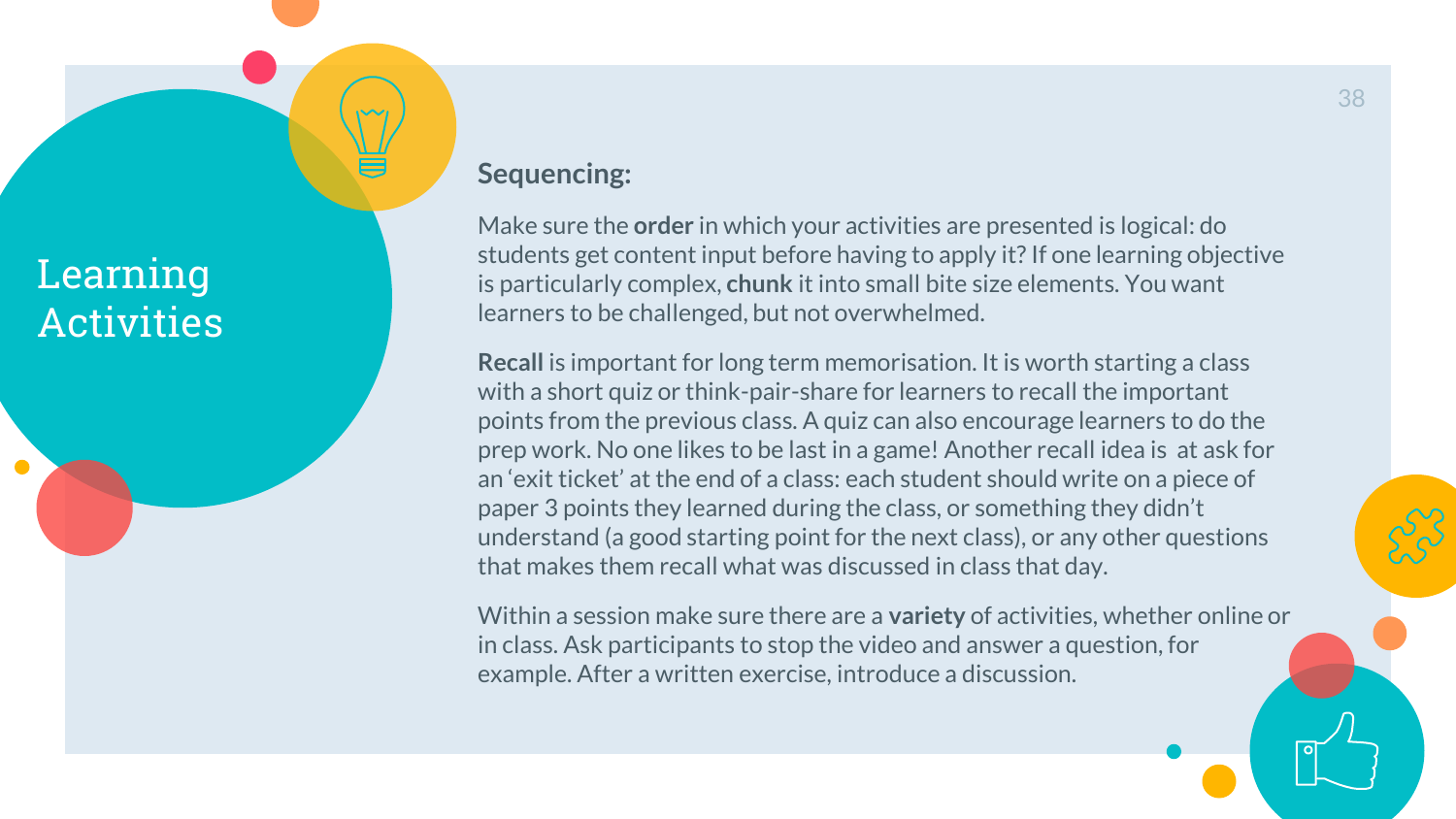#### **Sequencing:**

Make sure the **order** in which your activities are presented is logical: do students get content input before having to apply it? If one learning objective is particularly complex, **chunk** it into small bite size elements. You want learners to be challenged, but not overwhelmed.

**Recall** is important for long term memorisation. It is worth starting a class with a short quiz or think-pair-share for learners to recall the important points from the previous class. A quiz can also encourage learners to do the prep work. No one likes to be last in a game! Another recall idea is at ask for an 'exit ticket' at the end of a class: each student should write on a piece of paper 3 points they learned during the class, or something they didn't understand (a good starting point for the next class), or any other questions that makes them recall what was discussed in class that day.

Within a session make sure there are a **variety** of activities, whether online or in class. Ask participants to stop the video and answer a question, for example. After a written exercise, introduce a discussion.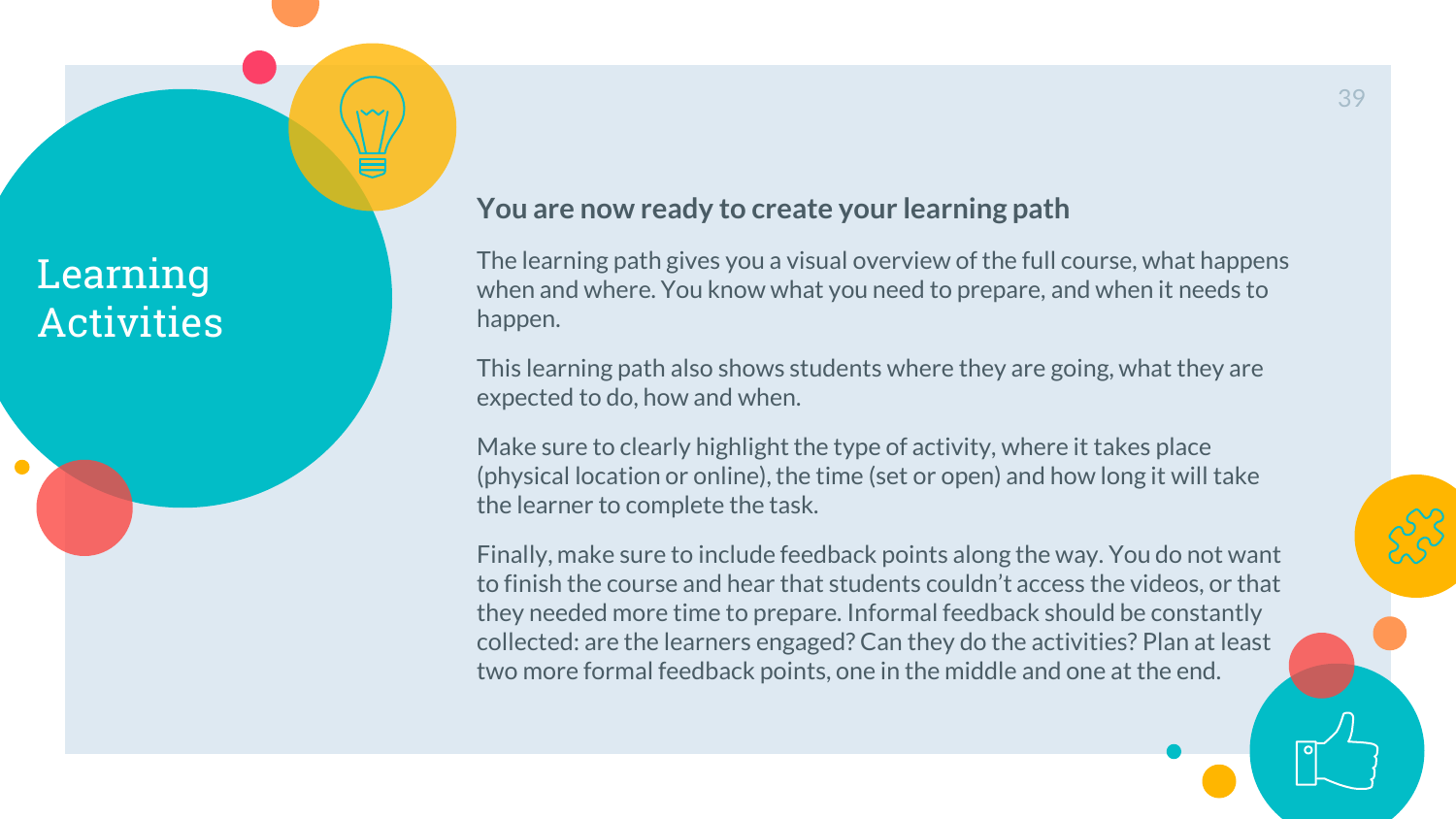#### **You are now ready to create your learning path**

The learning path gives you a visual overview of the full course, what happens when and where. You know what you need to prepare, and when it needs to happen.

This learning path also shows students where they are going, what they are expected to do, how and when.

Make sure to clearly highlight the type of activity, where it takes place (physical location or online), the time (set or open) and how long it will take the learner to complete the task.

Finally, make sure to include feedback points along the way. You do not want to finish the course and hear that students couldn't access the videos, or that they needed more time to prepare. Informal feedback should be constantly collected: are the learners engaged? Can they do the activities? Plan at least two more formal feedback points, one in the middle and one at the end.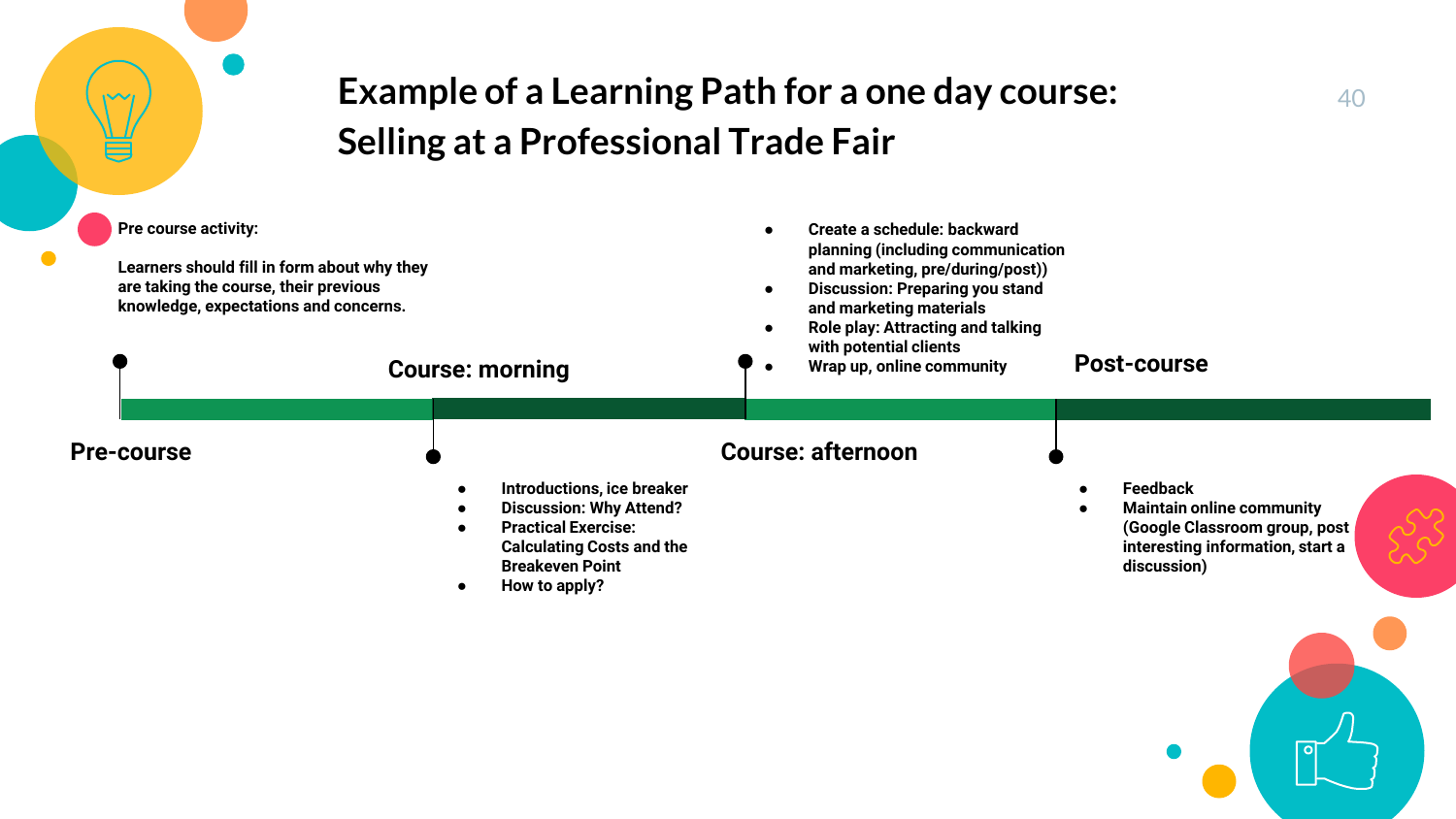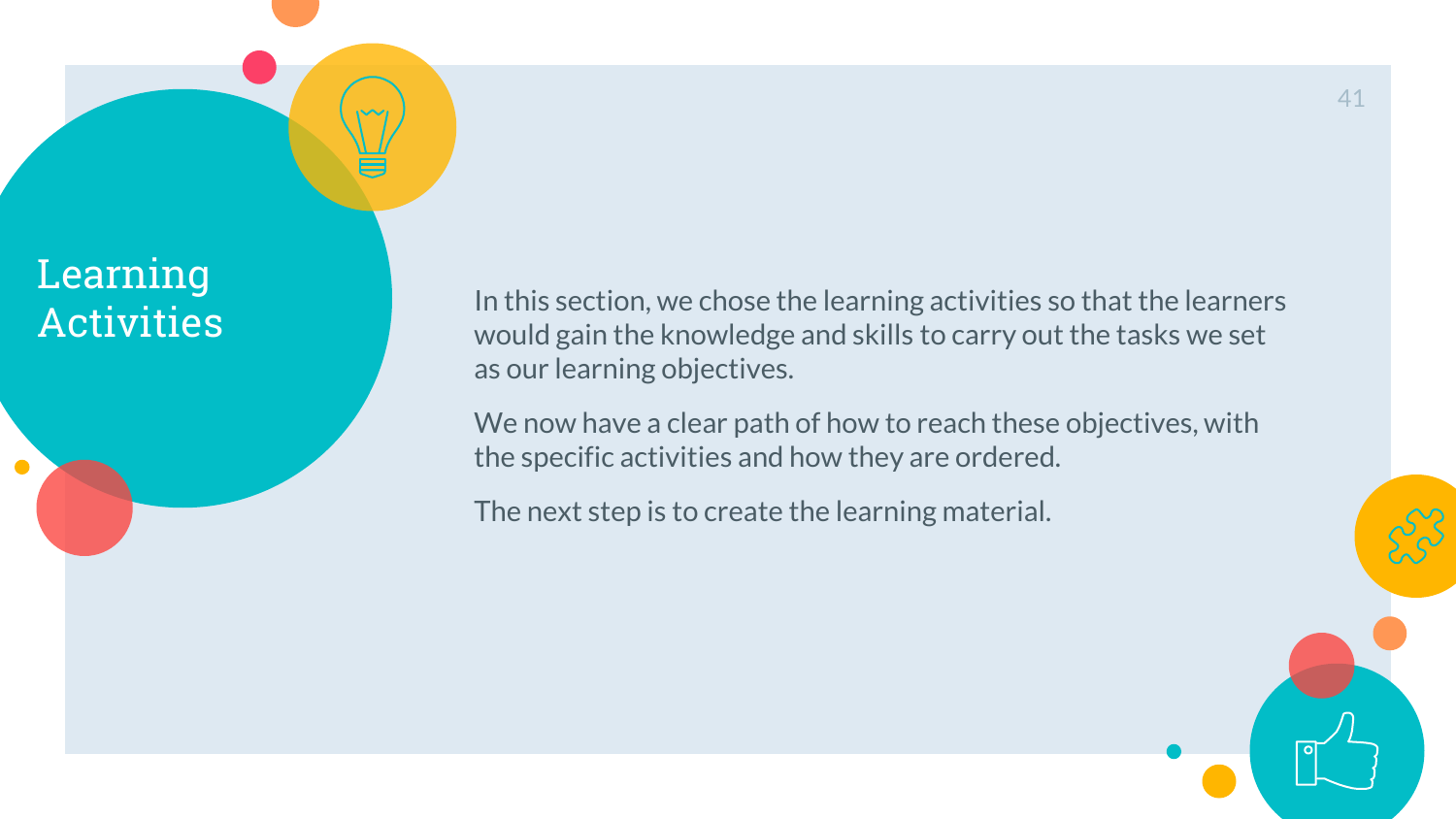Learning

 $\bullet$ 

Activities In this section, we chose the learning activities so that the learners<br>Activities would gain the knowledge and skills to carry out the tasks we set as our learning objectives.

> We now have a clear path of how to reach these objectives, with the specific activities and how they are ordered.

The next step is to create the learning material.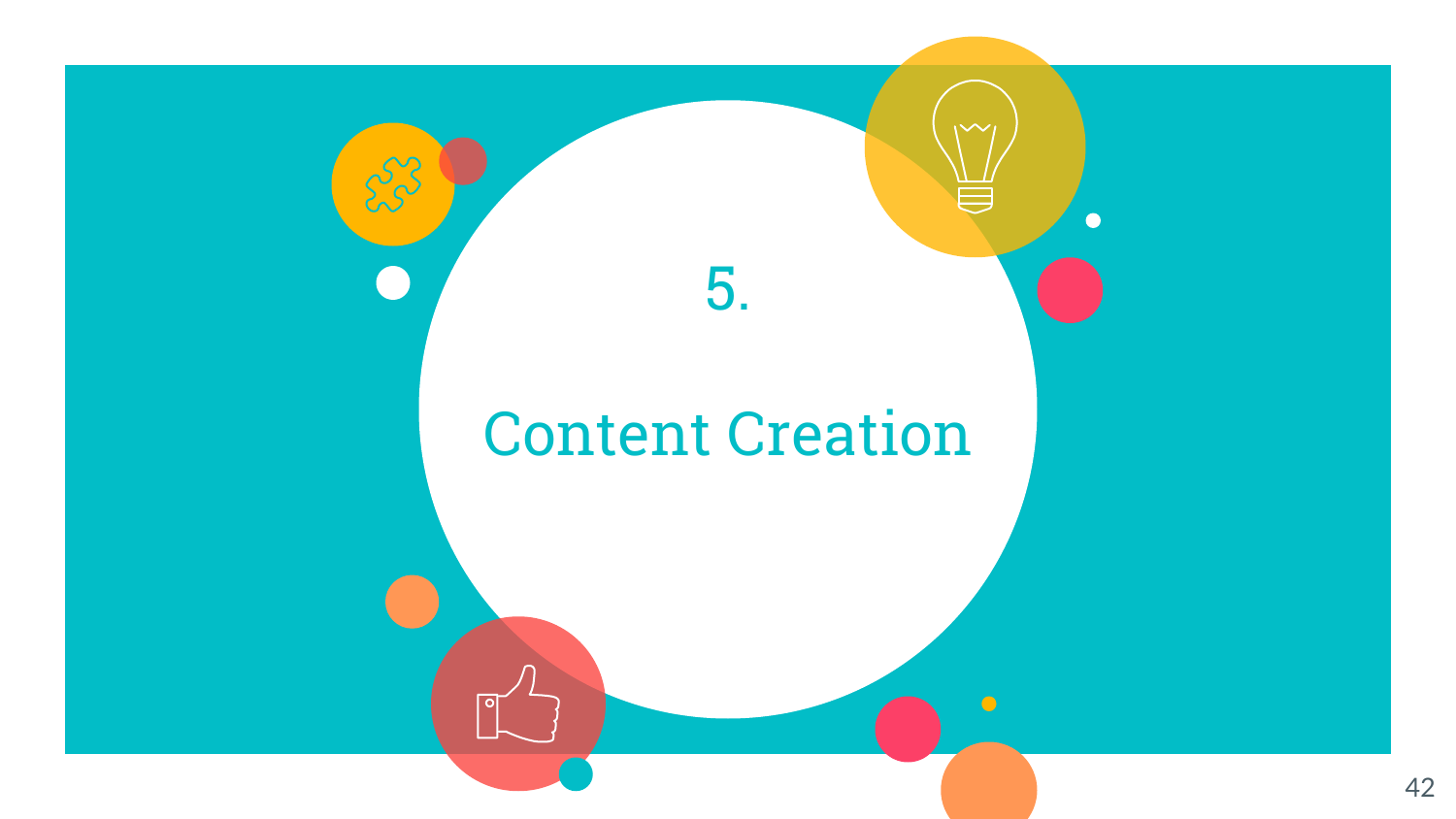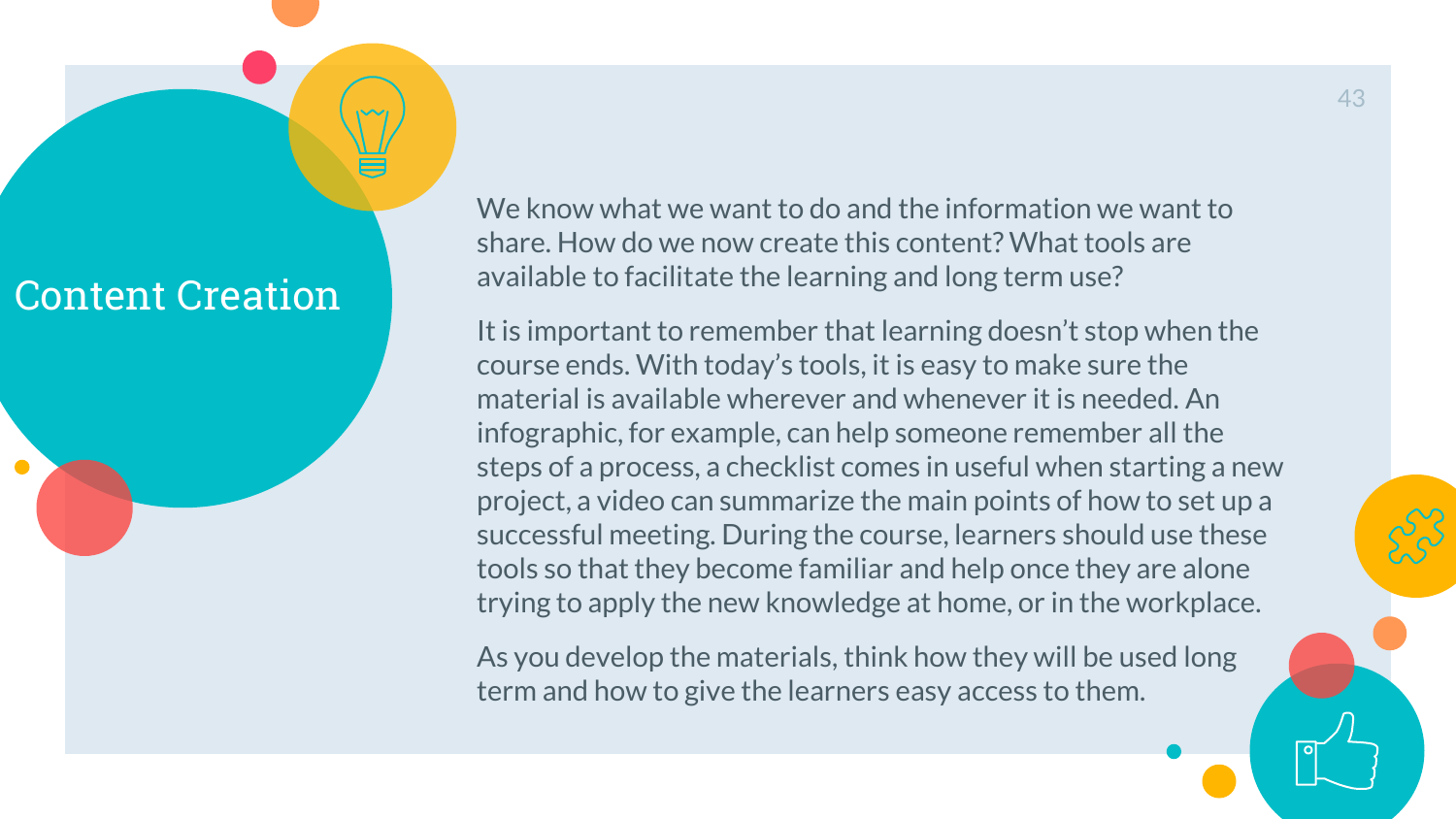

We know what we want to do and the information we want to share. How do we now create this content? What tools are available to facilitate the learning and long term use?

It is important to remember that learning doesn't stop when the course ends. With today's tools, it is easy to make sure the material is available wherever and whenever it is needed. An infographic, for example, can help someone remember all the steps of a process, a checklist comes in useful when starting a new project, a video can summarize the main points of how to set up a successful meeting. During the course, learners should use these tools so that they become familiar and help once they are alone trying to apply the new knowledge at home, or in the workplace.

As you develop the materials, think how they will be used long term and how to give the learners easy access to them.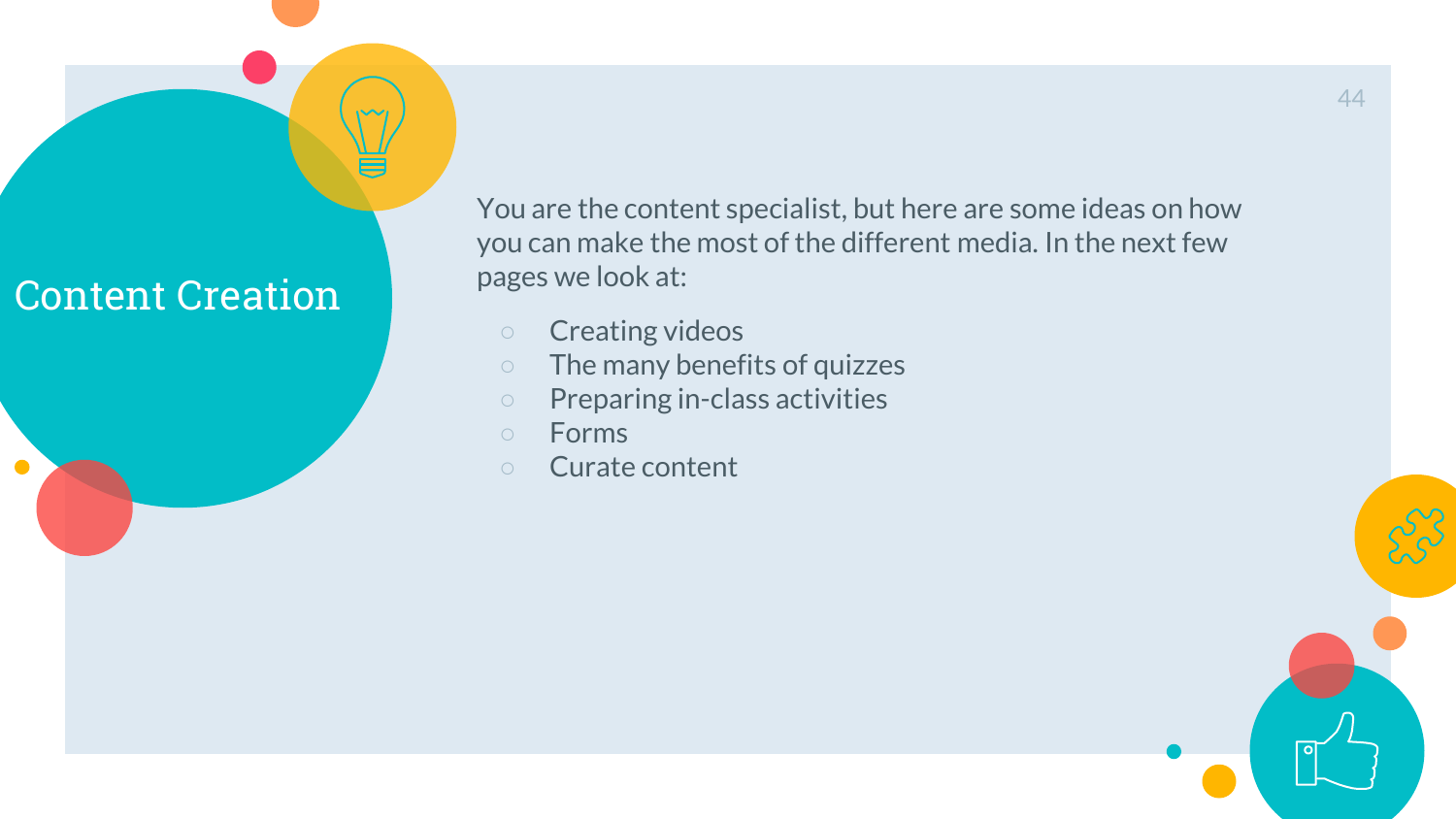

You are the content specialist, but here are some ideas on how you can make the most of the different media. In the next few pages we look at:

- Creating videos
- The many benefits of quizzes
- Preparing in-class activities
- Forms
- Curate content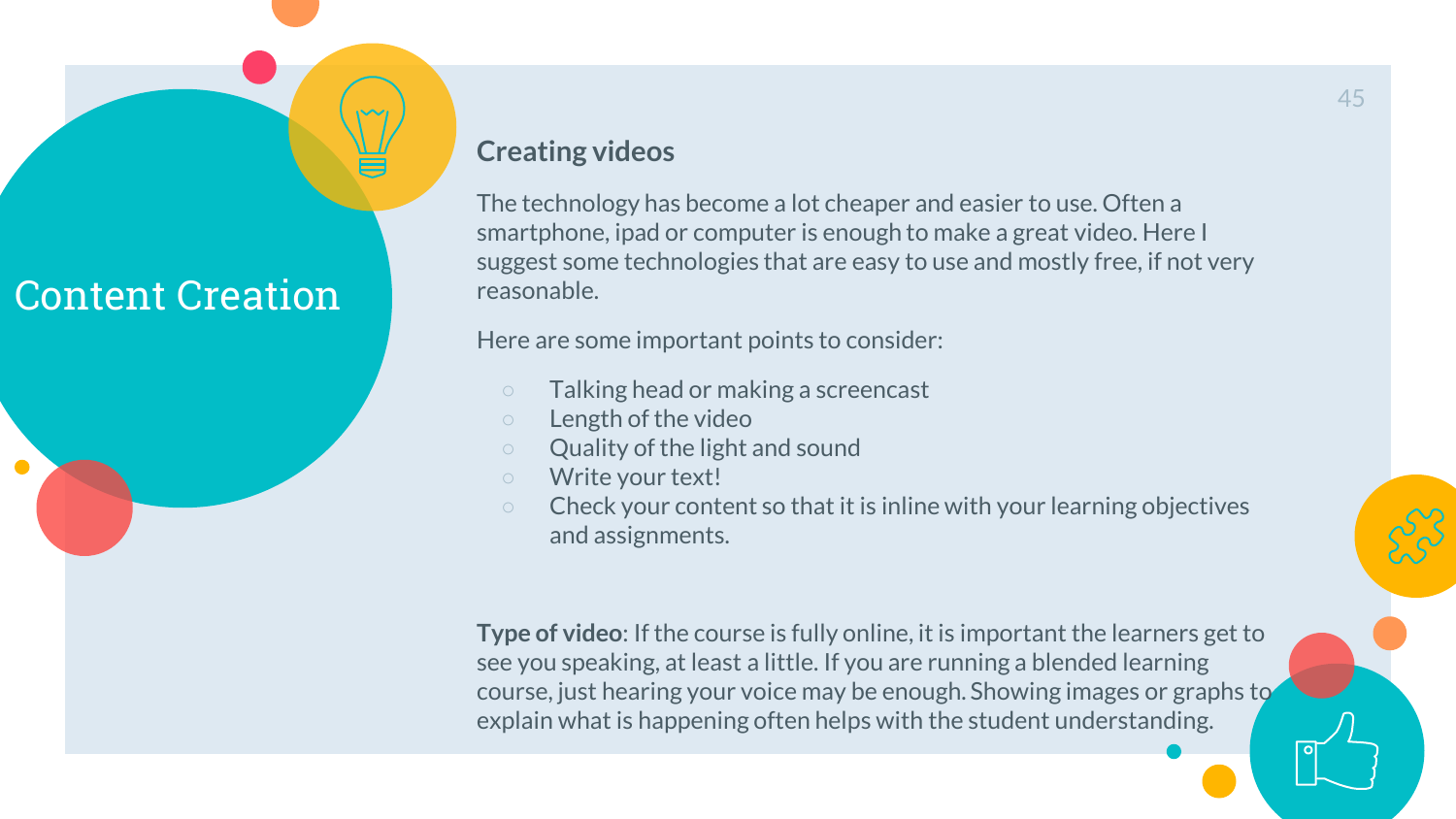

#### **Creating videos**

The technology has become a lot cheaper and easier to use. Often a smartphone, ipad or computer is enough to make a great video. Here I suggest some technologies that are easy to use and mostly free, if not very reasonable.

Here are some important points to consider:

- Talking head or making a screencast
- Length of the video
- Quality of the light and sound
- Write your text!
- Check your content so that it is inline with your learning objectives and assignments.

**Type of video**: If the course is fully online, it is important the learners get to see you speaking, at least a little. If you are running a blended learning course, just hearing your voice may be enough. Showing images or graphs to explain what is happening often helps with the student understanding.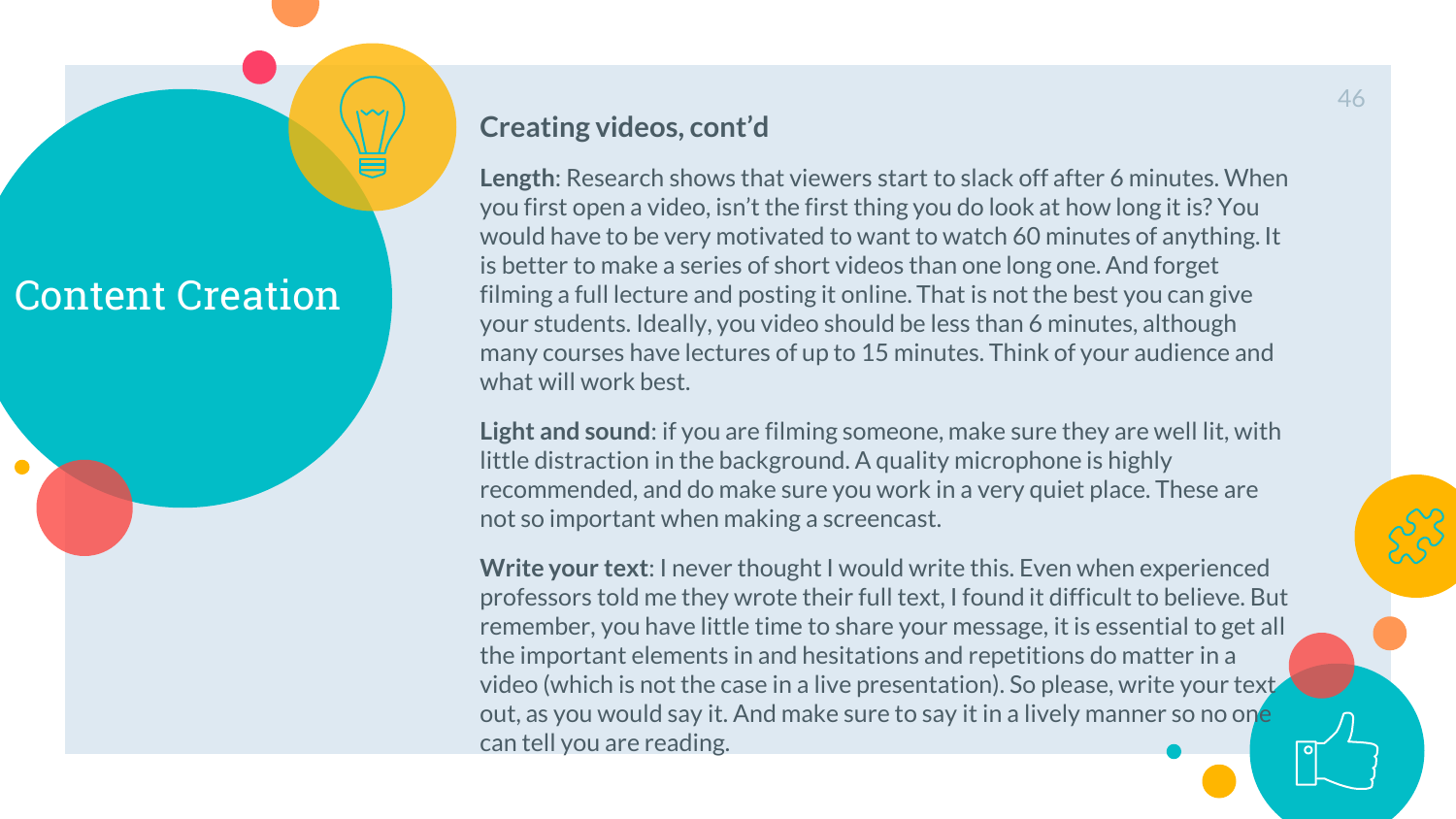

#### **Creating videos, cont'd**

**Length**: Research shows that viewers start to slack off after 6 minutes. When you first open a video, isn't the first thing you do look at how long it is? You would have to be very motivated to want to watch 60 minutes of anything. It is better to make a series of short videos than one long one. And forget filming a full lecture and posting it online. That is not the best you can give your students. Ideally, you video should be less than 6 minutes, although many courses have lectures of up to 15 minutes. Think of your audience and what will work best.

**Light and sound**: if you are filming someone, make sure they are well lit, with little distraction in the background. A quality microphone is highly recommended, and do make sure you work in a very quiet place. These are not so important when making a screencast.

**Write your text**: I never thought I would write this. Even when experienced professors told me they wrote their full text, I found it difficult to believe. But remember, you have little time to share your message, it is essential to get all the important elements in and hesitations and repetitions do matter in a video (which is not the case in a live presentation). So please, write your text out, as you would say it. And make sure to say it in a lively manner so no one can tell you are reading.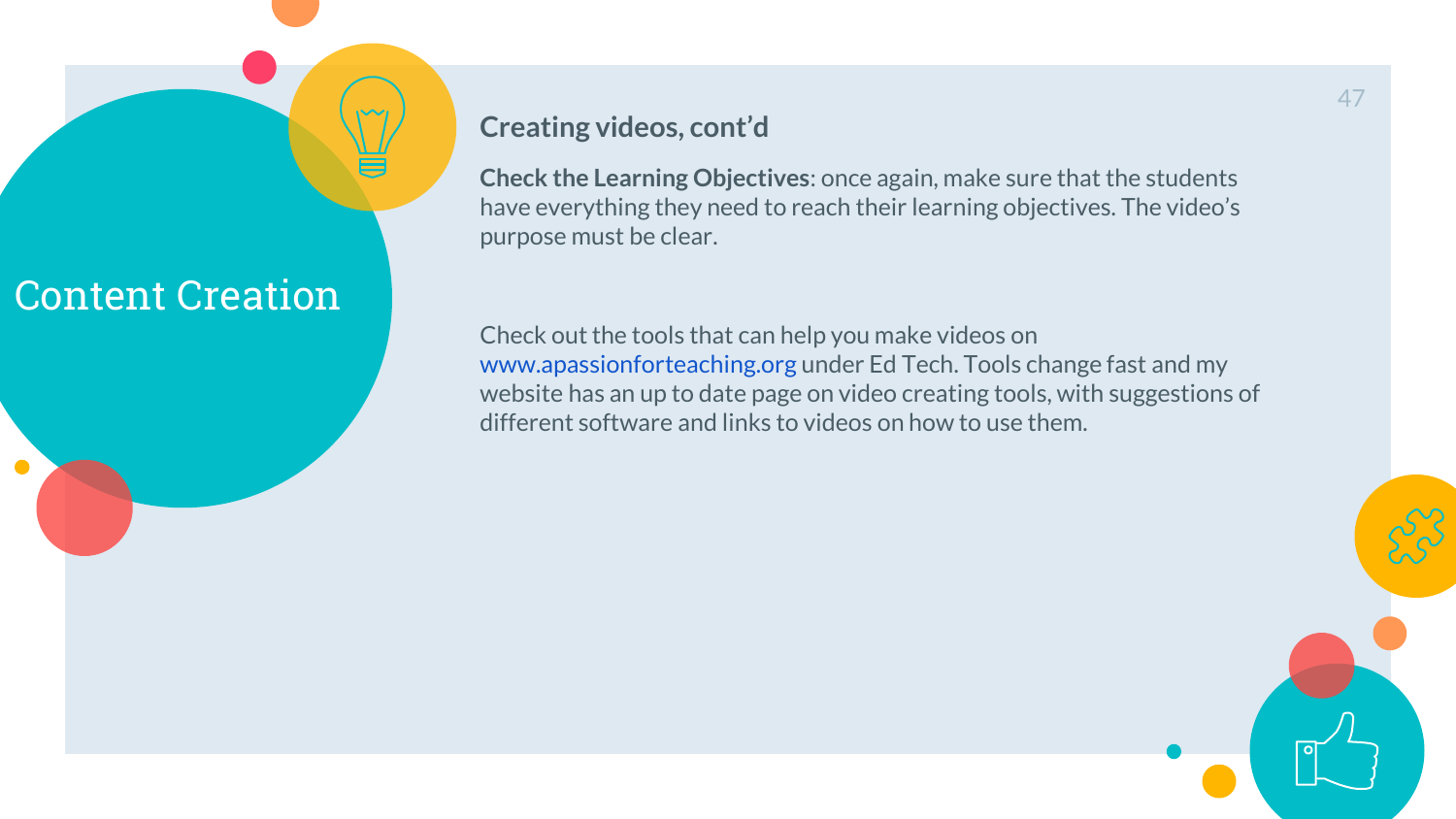#### **Creating videos, cont'd**

**Check the Learning Objectives**: once again, make sure that the students have everything they need to reach their learning objectives. The video's purpose must be clear.

Check out the tools that can help you make videos on [www.apassionforteaching.org](http://www.apassionforteaching.org) under Ed Tech. Tools change fast and my website has an up to date page on video creating tools, with suggestions of different software and links to videos on how to use them.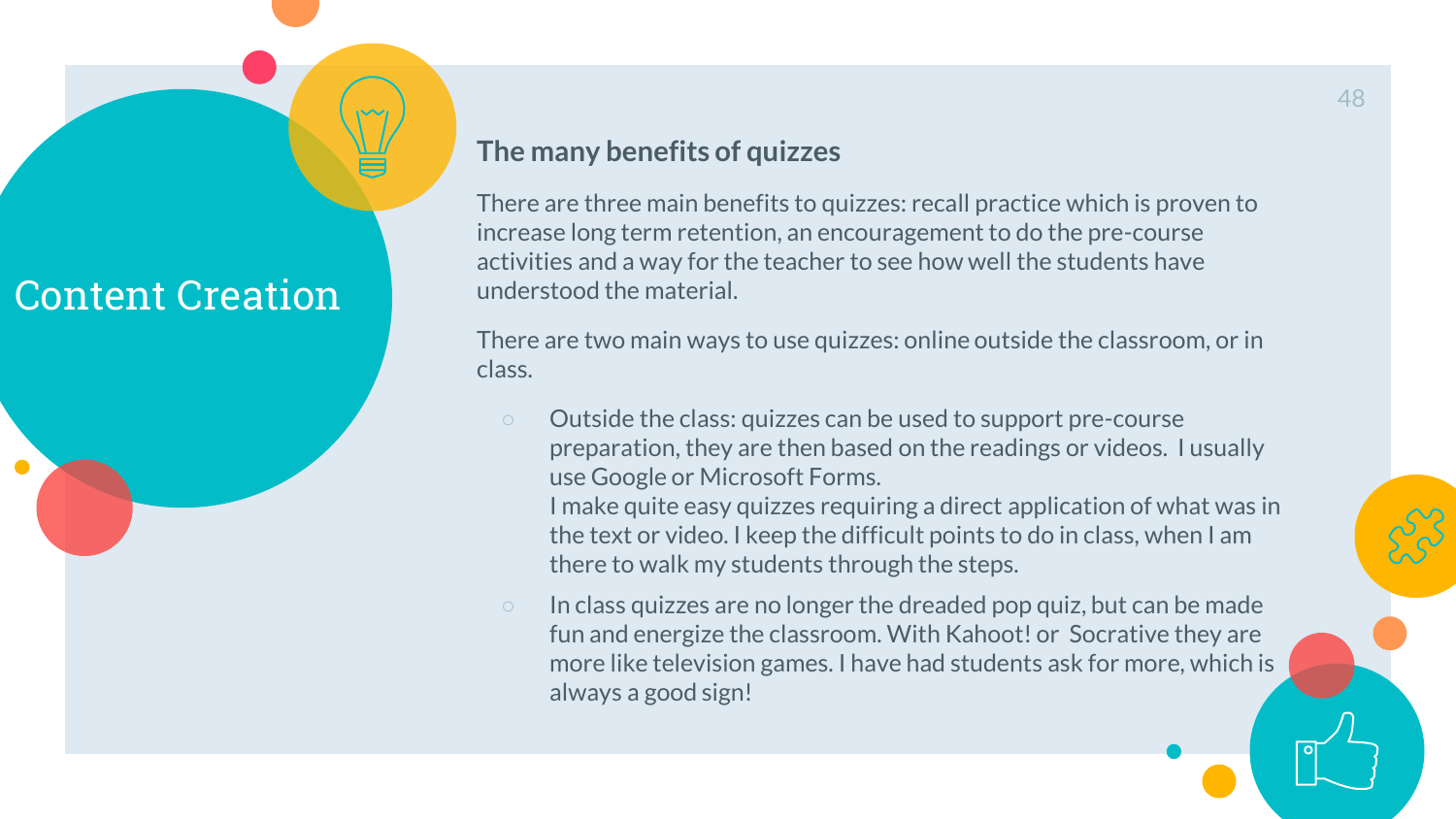

#### **The many benefits of quizzes**

There are three main benefits to quizzes: recall practice which is proven to increase long term retention, an encouragement to do the pre-course activities and a way for the teacher to see how well the students have understood the material.

There are two main ways to use quizzes: online outside the classroom, or in class.

○ Outside the class: quizzes can be used to support pre-course preparation, they are then based on the readings or videos. I usually use Google or Microsoft Forms. I make quite easy quizzes requiring a direct application of what was in

the text or video. I keep the difficult points to do in class, when I am there to walk my students through the steps.

○ In class quizzes are no longer the dreaded pop quiz, but can be made fun and energize the classroom. With Kahoot! or Socrative they are more like television games. I have had students ask for more, which is always a good sign!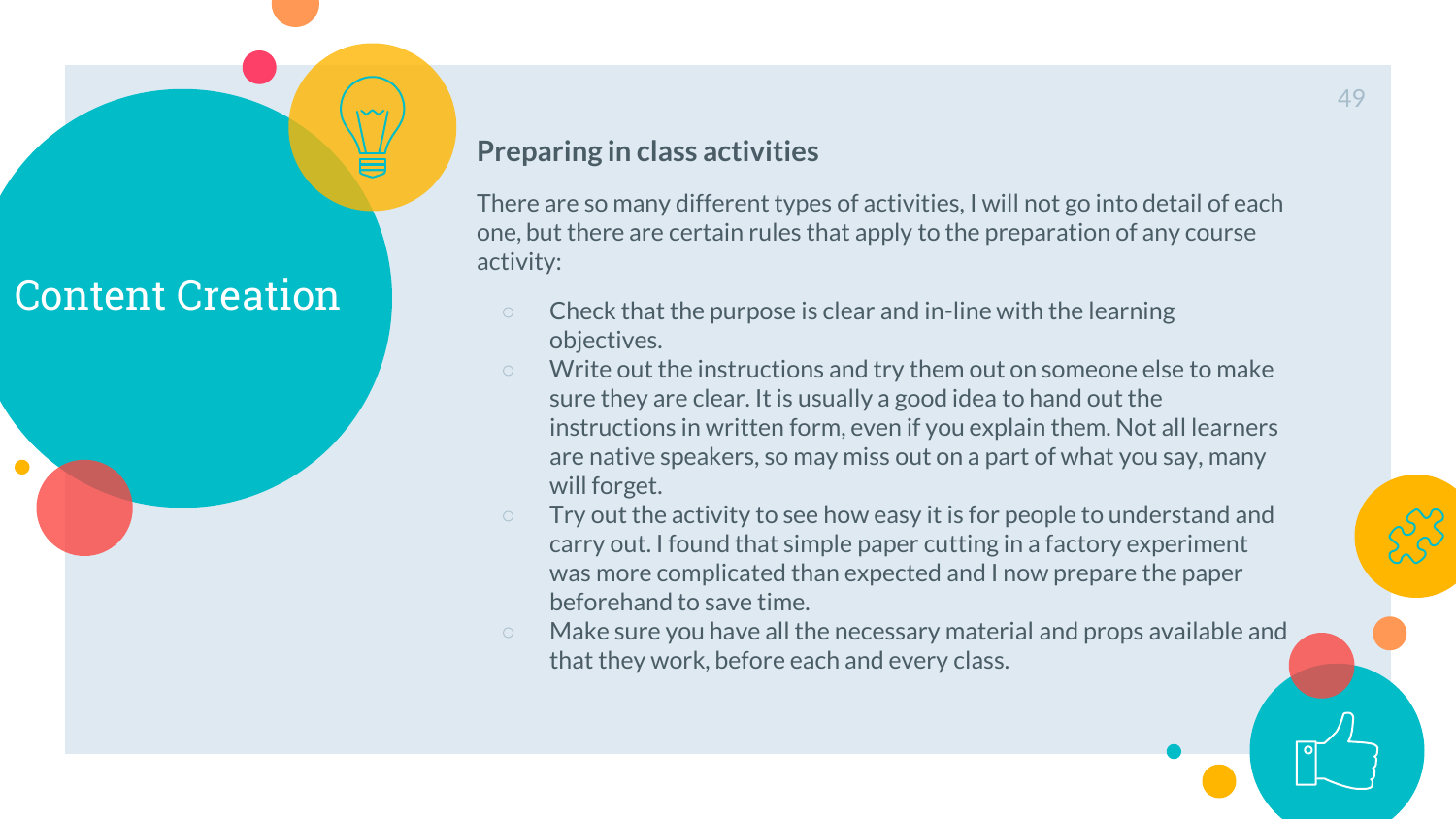

There are so many different types of activities, I will not go into detail of each one, but there are certain rules that apply to the preparation of any course activity:

- Check that the purpose is clear and in-line with the learning objectives.
- Write out the instructions and try them out on someone else to make sure they are clear. It is usually a good idea to hand out the instructions in written form, even if you explain them. Not all learners are native speakers, so may miss out on a part of what you say, many will forget.
- Try out the activity to see how easy it is for people to understand and carry out. I found that simple paper cutting in a factory experiment was more complicated than expected and I now prepare the paper beforehand to save time.
- Make sure you have all the necessary material and props available and that they work, before each and every class.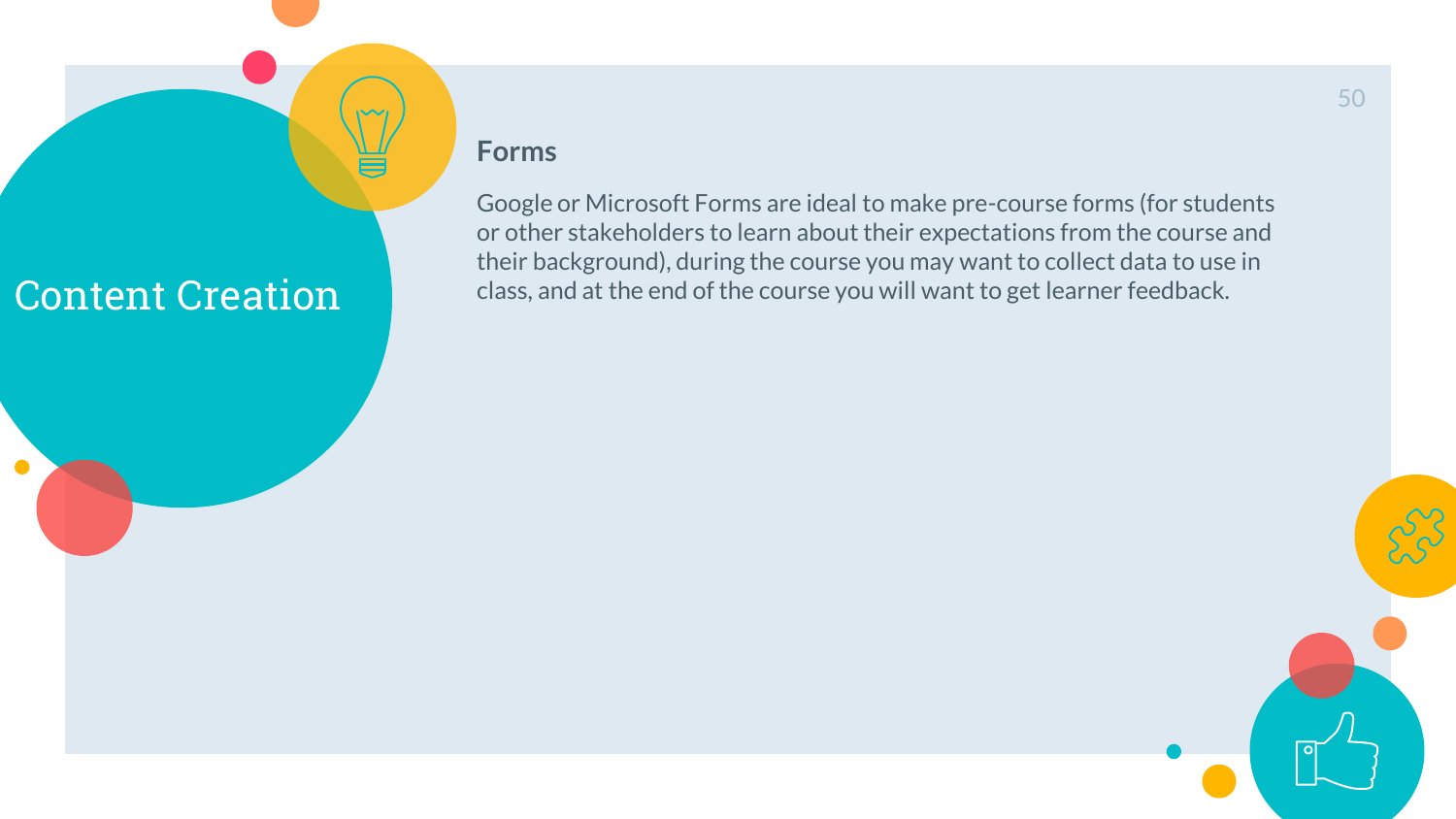$\sqrt{2}$ 

#### **Forms**

Google or Microsoft Forms are ideal to make pre-course forms (for students or other stakeholders to learn about their expectations from the course and their background), during the course you may want to collect data to use in class, and at the end of the course you will want to get learner feedback.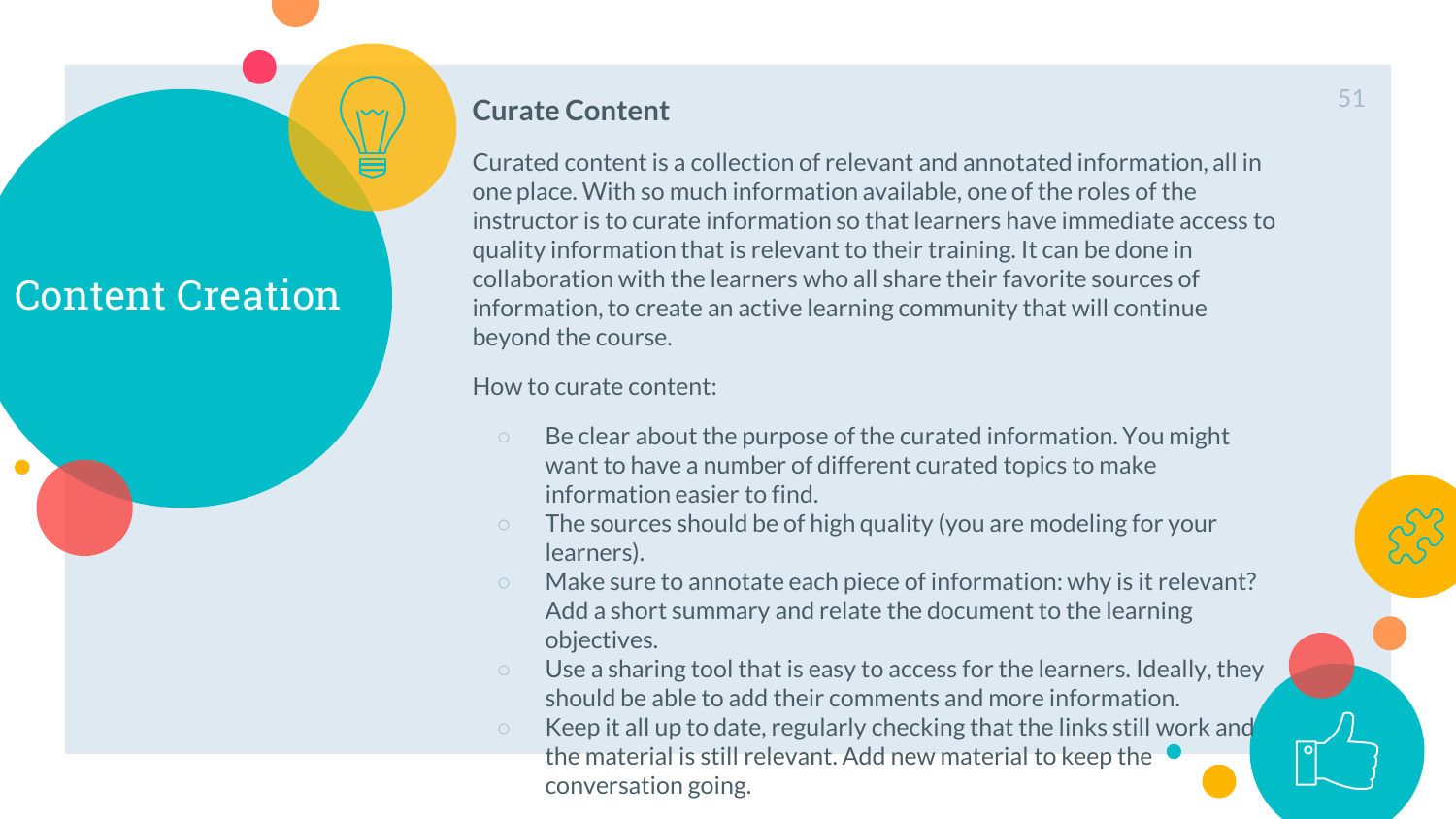# $\bullet$

#### **Curate Content**

Curated content is a collection of relevant and annotated information, all in one place. With so much information available, one of the roles of the instructor is to curate information so that learners have immediate access to quality information that is relevant to their training. It can be done in collaboration with the learners who all share their favorite sources of information, to create an active learning community that will continue beyond the course.

How to curate content:

- Be clear about the purpose of the curated information. You might want to have a number of different curated topics to make information easier to find.
- The sources should be of high quality (you are modeling for your learners).
- Make sure to annotate each piece of information: why is it relevant? Add a short summary and relate the document to the learning objectives.
- Use a sharing tool that is easy to access for the learners. Ideally, they should be able to add their comments and more information.
- Keep it all up to date, regularly checking that the links still work and the material is still relevant. Add new material to keep the conversation going.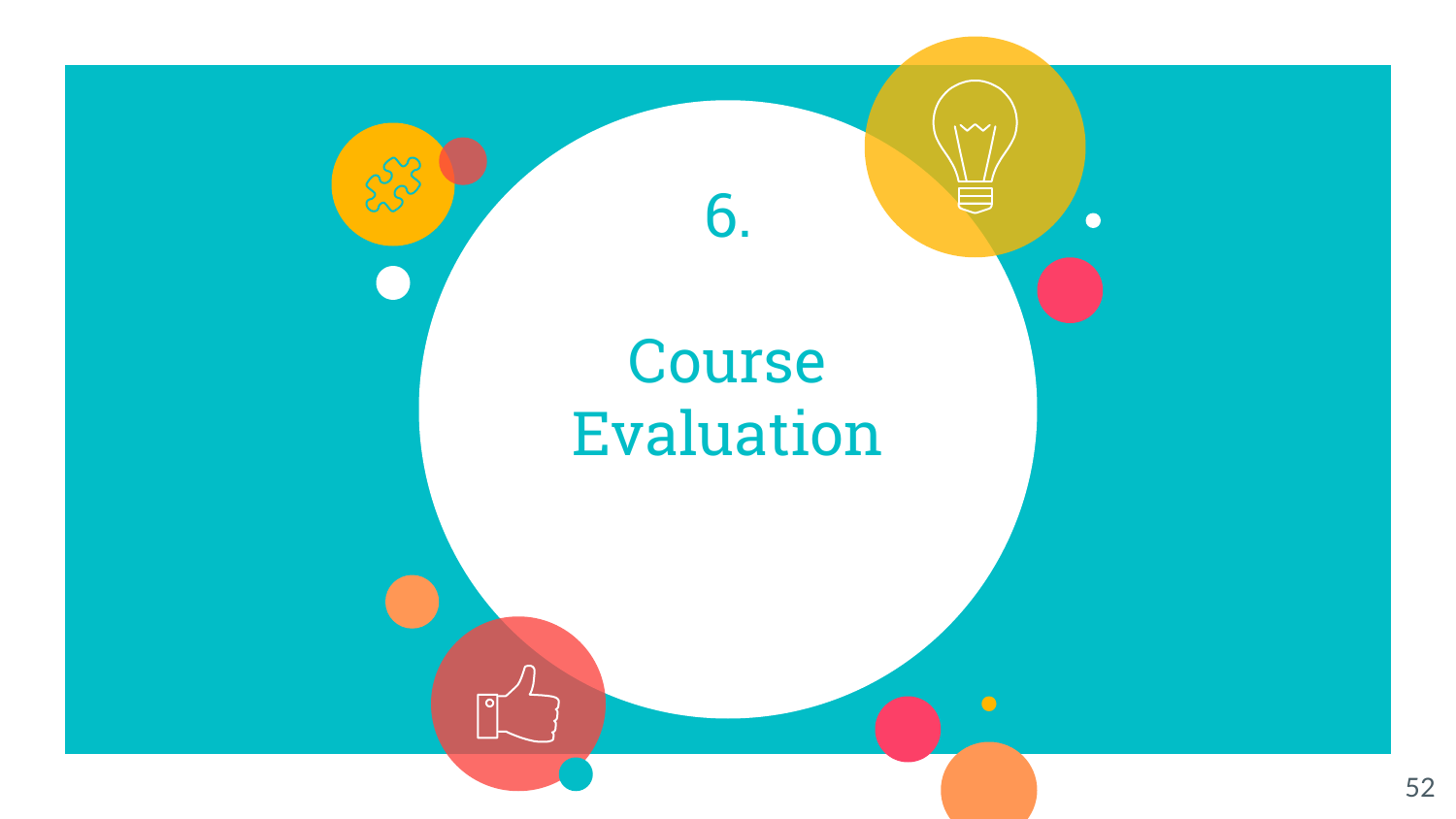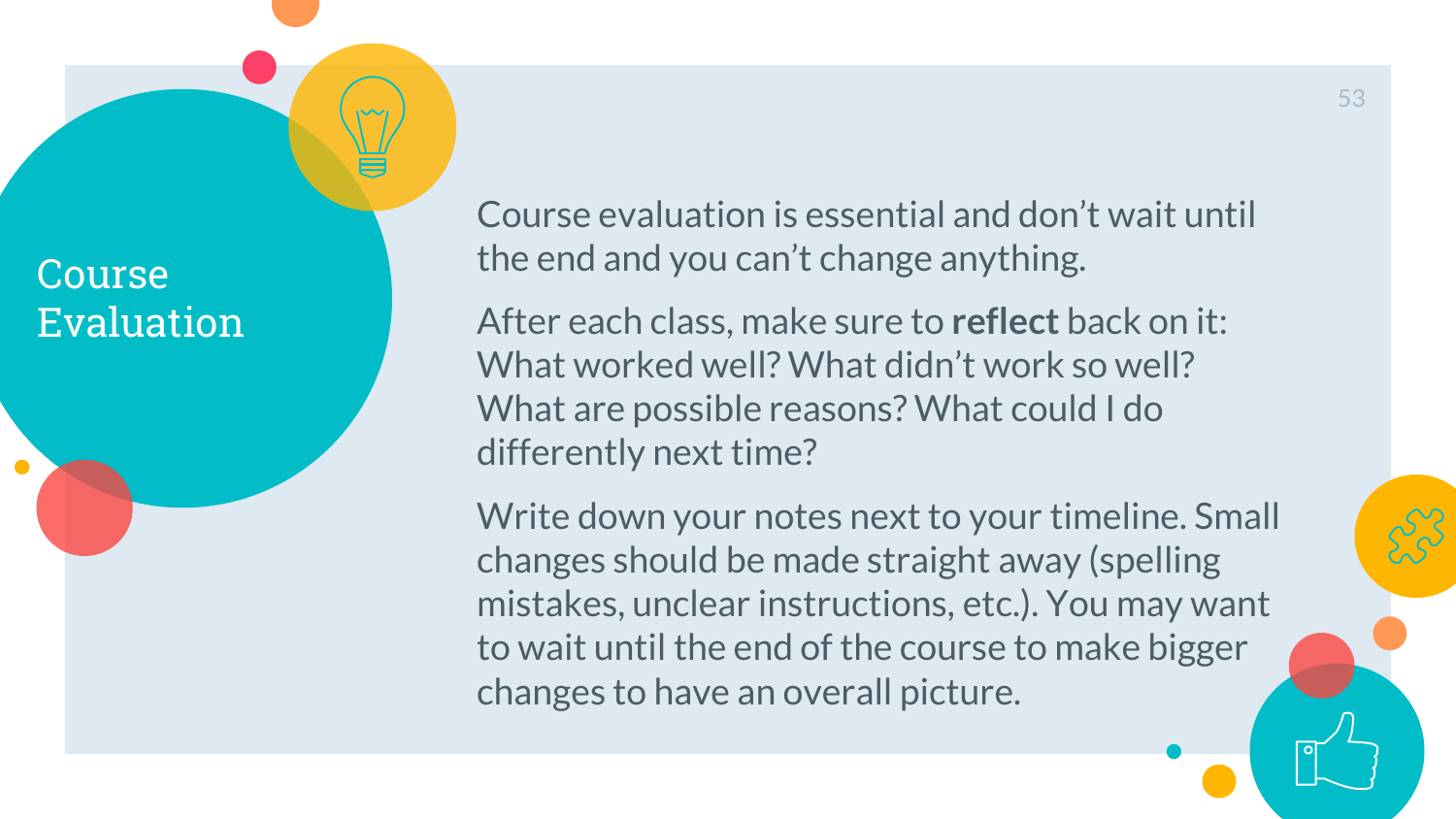Course Evaluation Course evaluation is essential and don't wait until the end and you can't change anything.

After each class, make sure to **reflect** back on it: What worked well? What didn't work so well? What are possible reasons? What could I do differently next time?

Write down your notes next to your timeline. Small changes should be made straight away (spelling mistakes, unclear instructions, etc.). You may want to wait until the end of the course to make bigger changes to have an overall picture.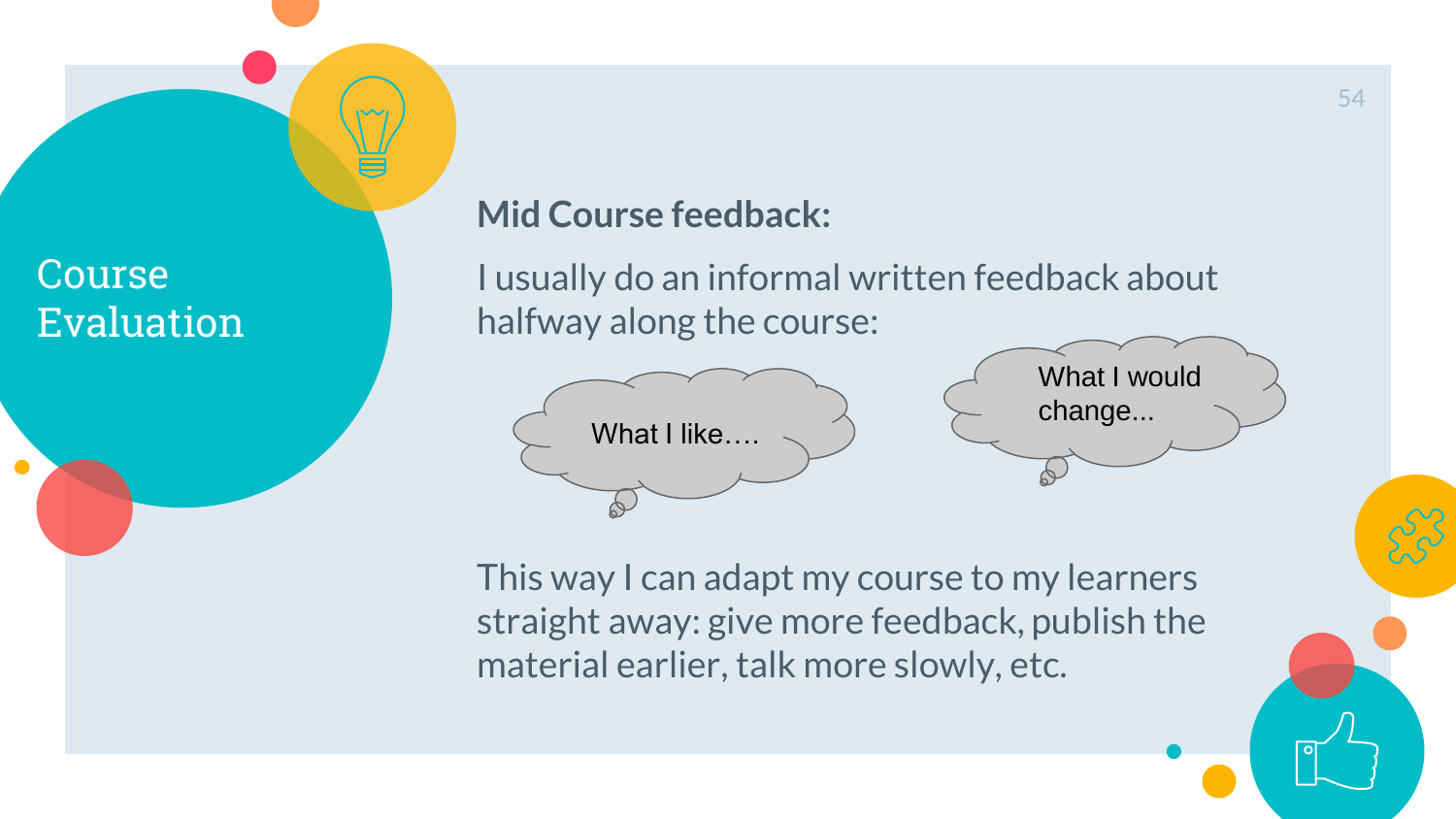## **Course** Evaluation

 $\bullet$ 

## **Mid Course feedback:**

I usually do an informal written feedback about halfway along the course:



What I would change...

This way I can adapt my course to my learners straight away: give more feedback, publish the material earlier, talk more slowly, etc.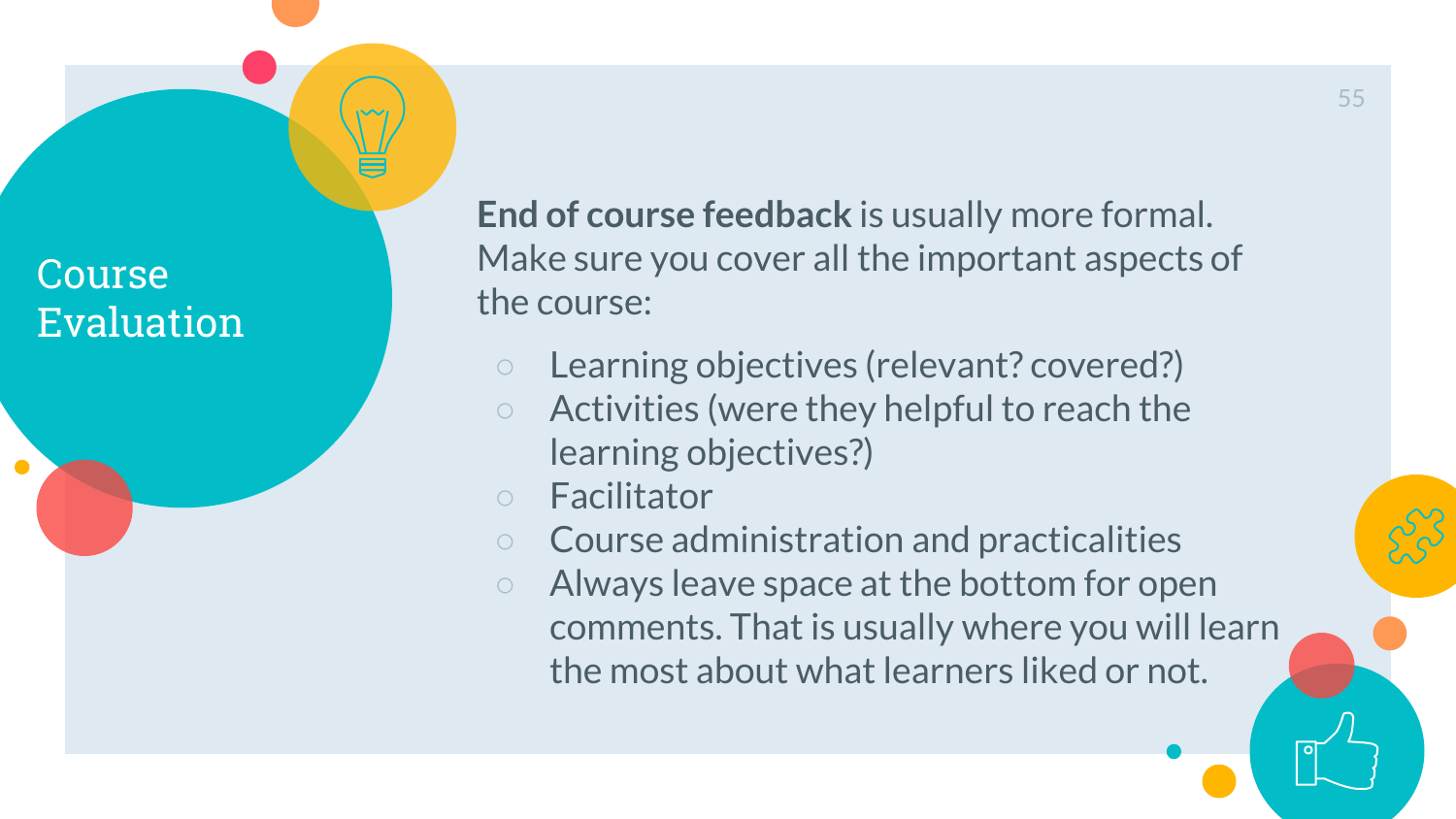Course Evaluation **End of course feedback** is usually more formal. Make sure you cover all the important aspects of the course:

- Learning objectives (relevant? covered?)
- Activities (were they helpful to reach the learning objectives?)
- Facilitator
- Course administration and practicalities
- Always leave space at the bottom for open comments. That is usually where you will learn the most about what learners liked or not.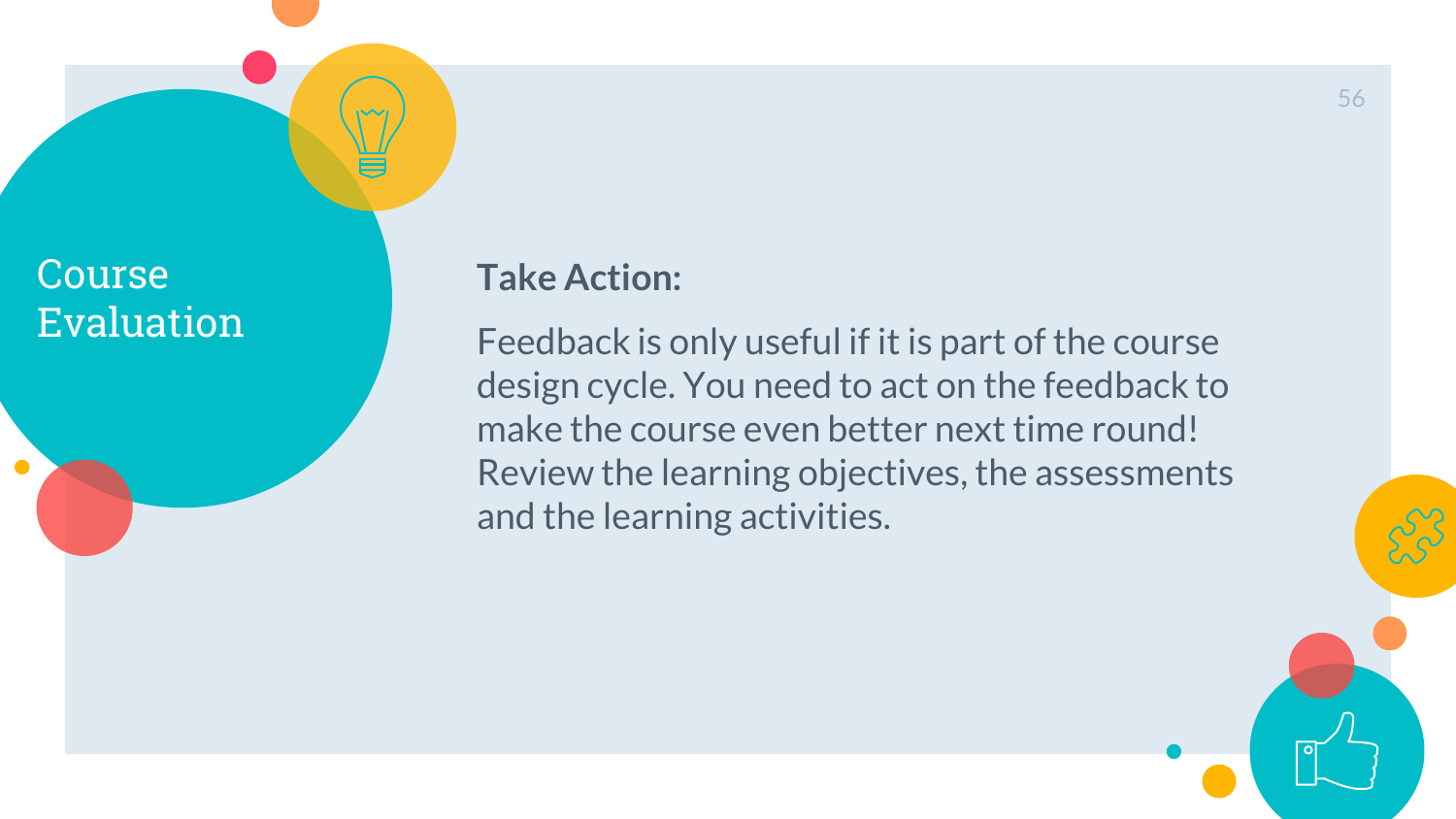## **Course** Evaluation

 $\bullet$ 

## **Take Action:**

Feedback is only useful if it is part of the course design cycle. You need to act on the feedback to make the course even better next time round! Review the learning objectives, the assessments and the learning activities.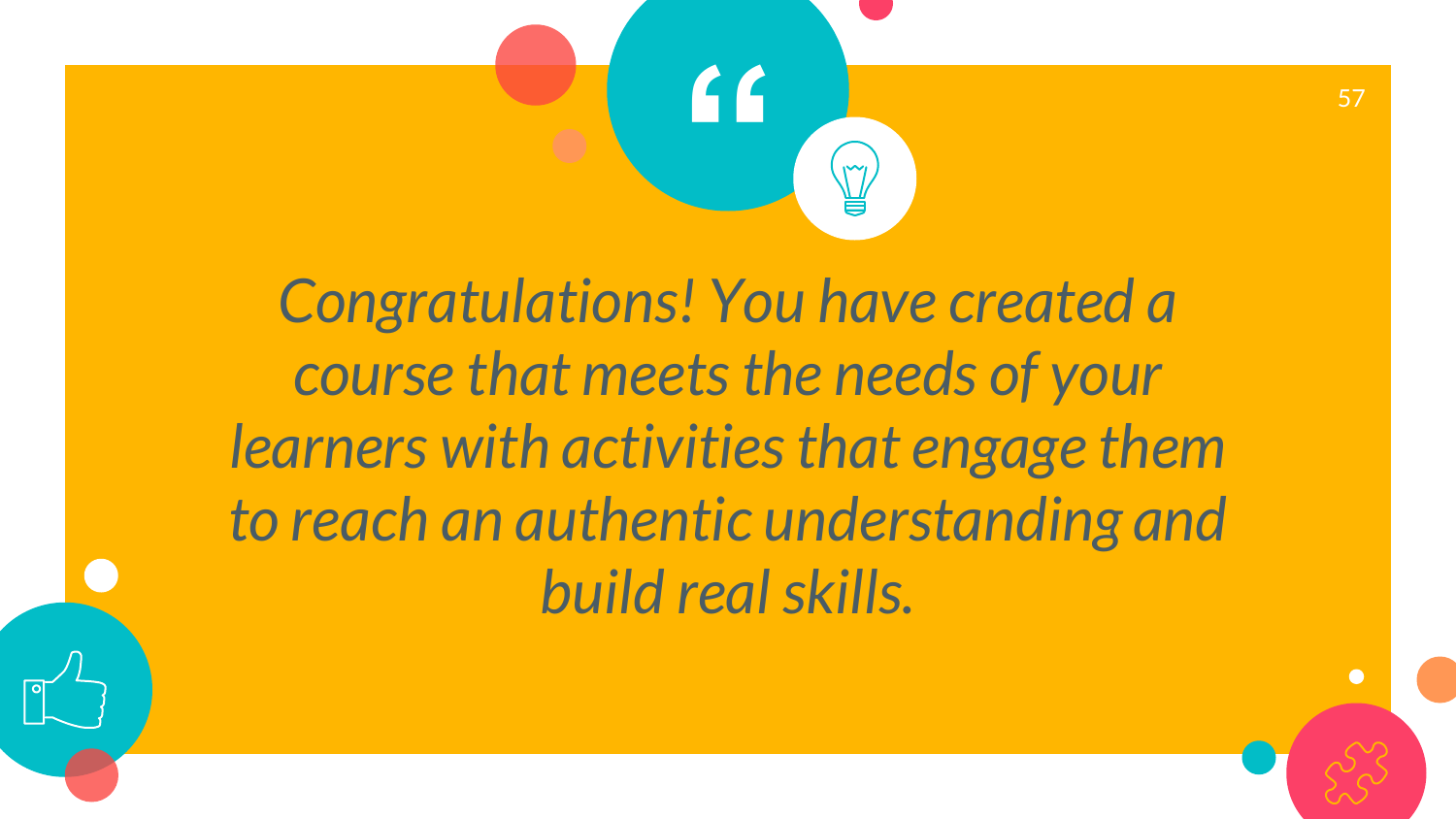

*Congratulations! You have created a course that meets the needs of your learners with activities that engage them to reach an authentic understanding and build real skills.*

 $\bullet$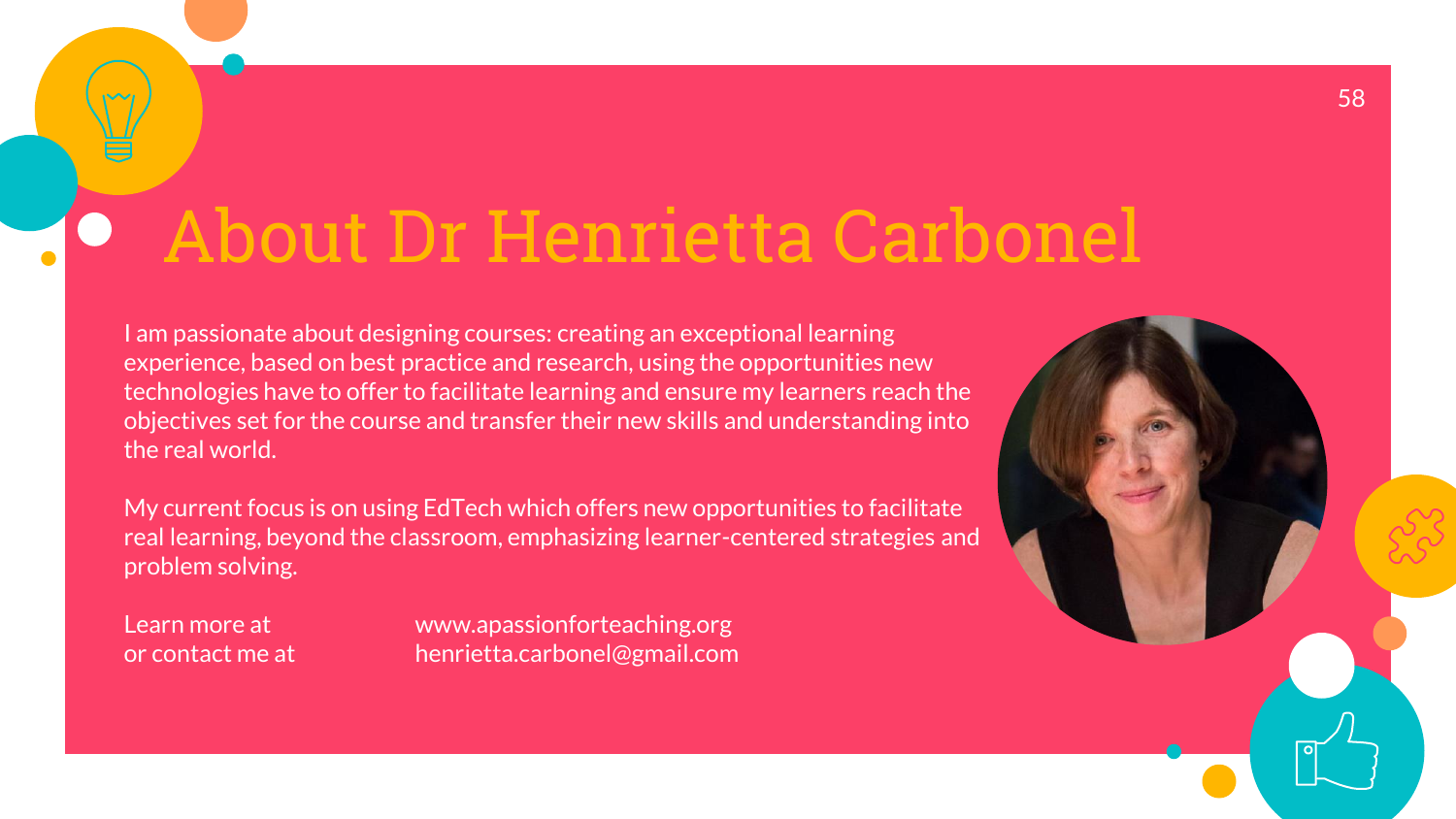# About Dr Henrietta Carbonel

I am passionate about designing courses: creating an exceptional learning experience, based on best practice and research, using the opportunities new technologies have to offer to facilitate learning and ensure my learners reach the objectives set for the course and transfer their new skills and understanding into the real world.

My current focus is on using EdTech which offers new opportunities to facilitate real learning, beyond the classroom, emphasizing learner-centered strategies and problem solving.

Learn more at www.apassionforteaching.org or contact me at henrietta.carbonel@gmail.com

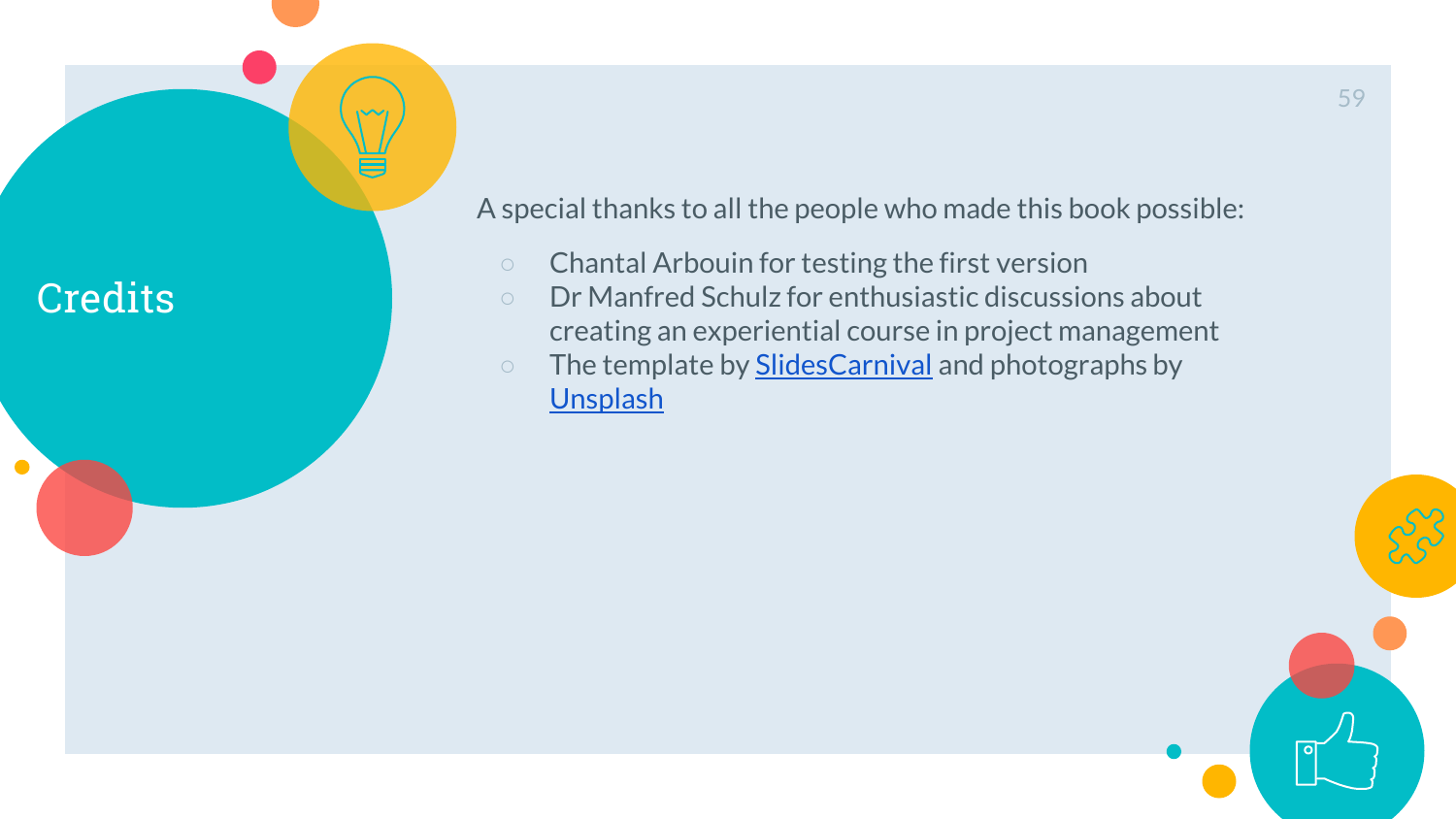## **Credits**

 $\bullet$ 

A special thanks to all the people who made this book possible:

- Chantal Arbouin for testing the first version
- Dr Manfred Schulz for enthusiastic discussions about creating an experiential course in project management
- o The template by **[SlidesCarnival](http://www.slidescarnival.com/)** and photographs by **[Unsplash](http://unsplash.com/)**